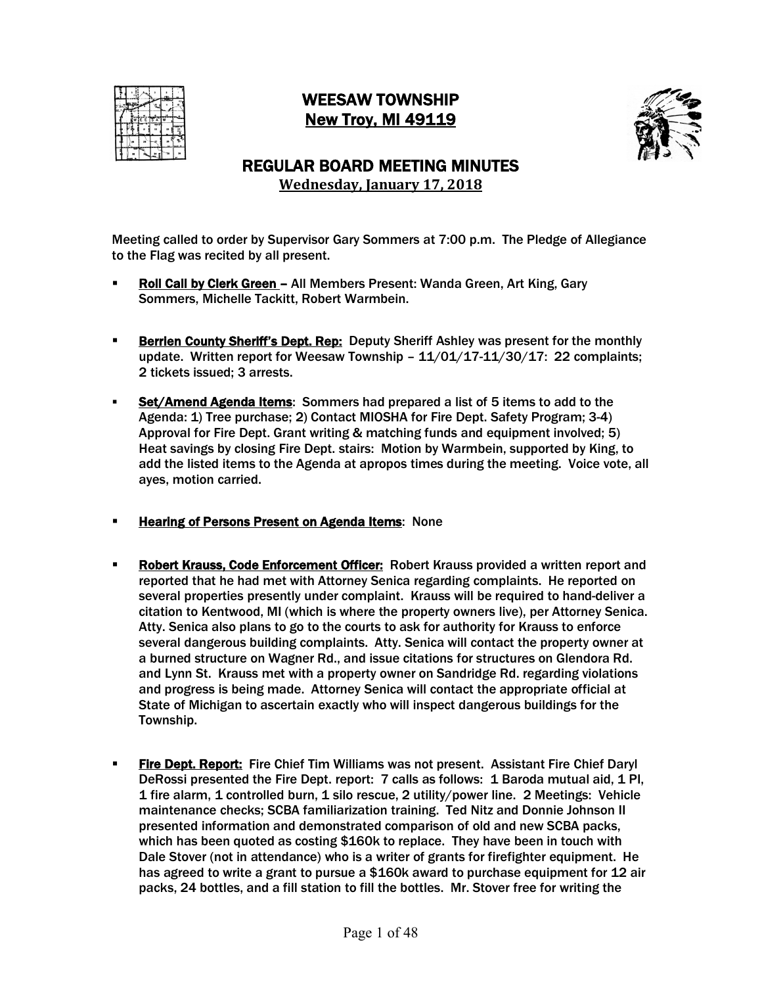

# WEESAW TOWNSHIP New Troy, MI 49119



# REGULAR BOARD MEETING MINUTES **Wednesday, January 17, 2018**

- Roll Call by Clerk Green All Members Present: Wanda Green, Art King, Gary Sommers, Michelle Tackitt, Robert Warmbein.
- **Example T Berrien County Sheriff's Dept. Rep:** Deputy Sheriff Ashley was present for the monthly update. Written report for Weesaw Township - 11/01/17-11/30/17: 22 complaints; 2 tickets issued; 3 arrests.
- Set/Amend Agenda Items: Sommers had prepared a list of 5 items to add to the Agenda: 1) Tree purchase; 2) Contact MIOSHA for Fire Dept. Safety Program; 3-4) Approval for Fire Dept. Grant writing & matching funds and equipment involved; 5) Heat savings by closing Fire Dept. stairs: Motion by Warmbein, supported by King, to add the listed items to the Agenda at apropos times during the meeting. Voice vote, all ayes, motion carried.
- **EXECT:** Hearing of Persons Present on Agenda Items: None
- **Robert Krauss, Code Enforcement Officer:** Robert Krauss provided a written report and reported that he had met with Attorney Senica regarding complaints. He reported on several properties presently under complaint. Krauss will be required to hand-deliver a citation to Kentwood, MI (which is where the property owners live), per Attorney Senica. Atty. Senica also plans to go to the courts to ask for authority for Krauss to enforce several dangerous building complaints. Atty. Senica will contact the property owner at a burned structure on Wagner Rd., and issue citations for structures on Glendora Rd. and Lynn St. Krauss met with a property owner on Sandridge Rd. regarding violations and progress is being made. Attorney Senica will contact the appropriate official at State of Michigan to ascertain exactly who will inspect dangerous buildings for the Township.
- **Fire Dept. Report:** Fire Chief Tim Williams was not present. Assistant Fire Chief Daryl DeRossi presented the Fire Dept. report: 7 calls as follows: 1 Baroda mutual aid, 1 PI, 1 fire alarm, 1 controlled burn, 1 silo rescue, 2 utility/power line. 2 Meetings: Vehicle maintenance checks; SCBA familiarization training. Ted Nitz and Donnie Johnson II presented information and demonstrated comparison of old and new SCBA packs, which has been quoted as costing \$160k to replace. They have been in touch with Dale Stover (not in attendance) who is a writer of grants for firefighter equipment. He has agreed to write a grant to pursue a \$160k award to purchase equipment for 12 air packs, 24 bottles, and a fill station to fill the bottles. Mr. Stover free for writing the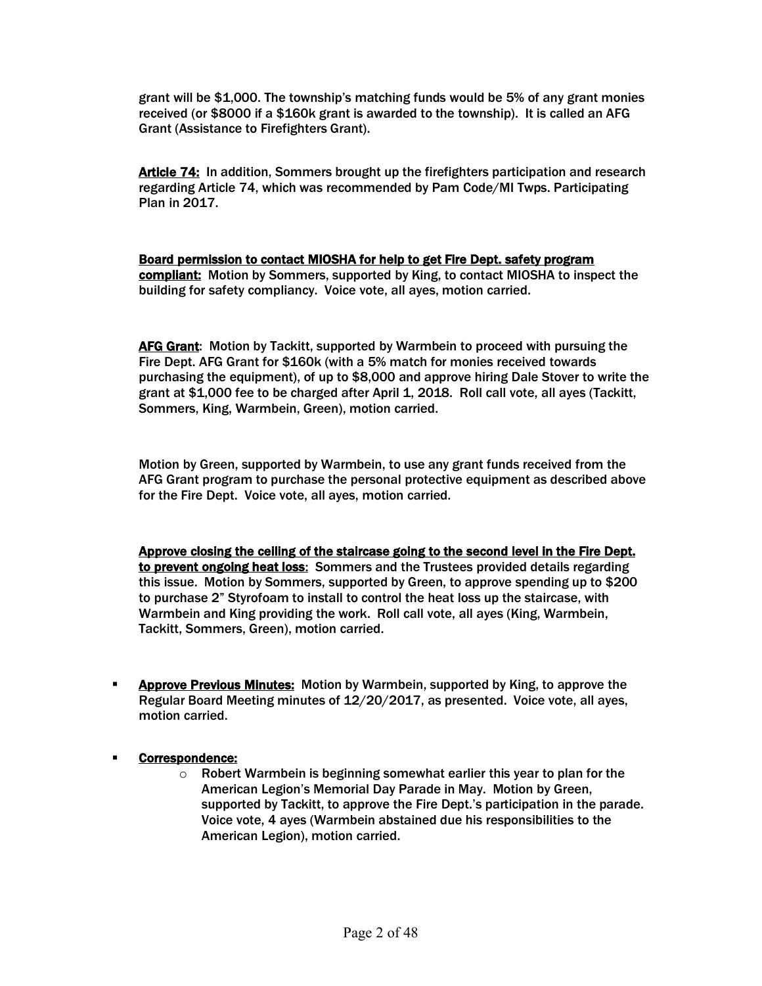grant will be \$1,000. The township's matching funds would be 5% of any grant monies received (or \$8000 if a \$160k grant is awarded to the township). It is called an AFG Grant (Assistance to Firefighters Grant).

Article 74: In addition, Sommers brought up the firefighters participation and research regarding Article 74, which was recommended by Pam Code/MI Twps. Participating Plan in 2017.

Board permission to contact MIOSHA for help to get Fire Dept. safety program compliant: Motion by Sommers, supported by King, to contact MIOSHA to inspect the building for safety compliancy. Voice vote, all ayes, motion carried.

AFG Grant: Motion by Tackitt, supported by Warmbein to proceed with pursuing the Fire Dept. AFG Grant for \$160k (with a 5% match for monies received towards purchasing the equipment), of up to \$8,000 and approve hiring Dale Stover to write the grant at \$1,000 fee to be charged after April 1, 2018. Roll call vote, all ayes (Tackitt, Sommers, King, Warmbein, Green), motion carried.

Motion by Green, supported by Warmbein, to use any grant funds received from the AFG Grant program to purchase the personal protective equipment as described above for the Fire Dept. Voice vote, all ayes, motion carried.

Approve closing the ceiling of the staircase going to the second level in the Fire Dept. to prevent ongoing heat loss: Sommers and the Trustees provided details regarding this issue. Motion by Sommers, supported by Green, to approve spending up to \$200 to purchase 2" Styrofoam to install to control the heat loss up the staircase, with Warmbein and King providing the work. Roll call vote, all ayes (King, Warmbein, Tackitt, Sommers, Green), motion carried.

- **EXPED PREVIOUS MINUTES:** Motion by Warmbein, supported by King, to approve the Regular Board Meeting minutes of 12/20/2017, as presented. Voice vote, all ayes, motion carried.
- § Correspondence:
	- o Robert Warmbein is beginning somewhat earlier this year to plan for the American Legion's Memorial Day Parade in May. Motion by Green, supported by Tackitt, to approve the Fire Dept.'s participation in the parade. Voice vote, 4 ayes (Warmbein abstained due his responsibilities to the American Legion), motion carried.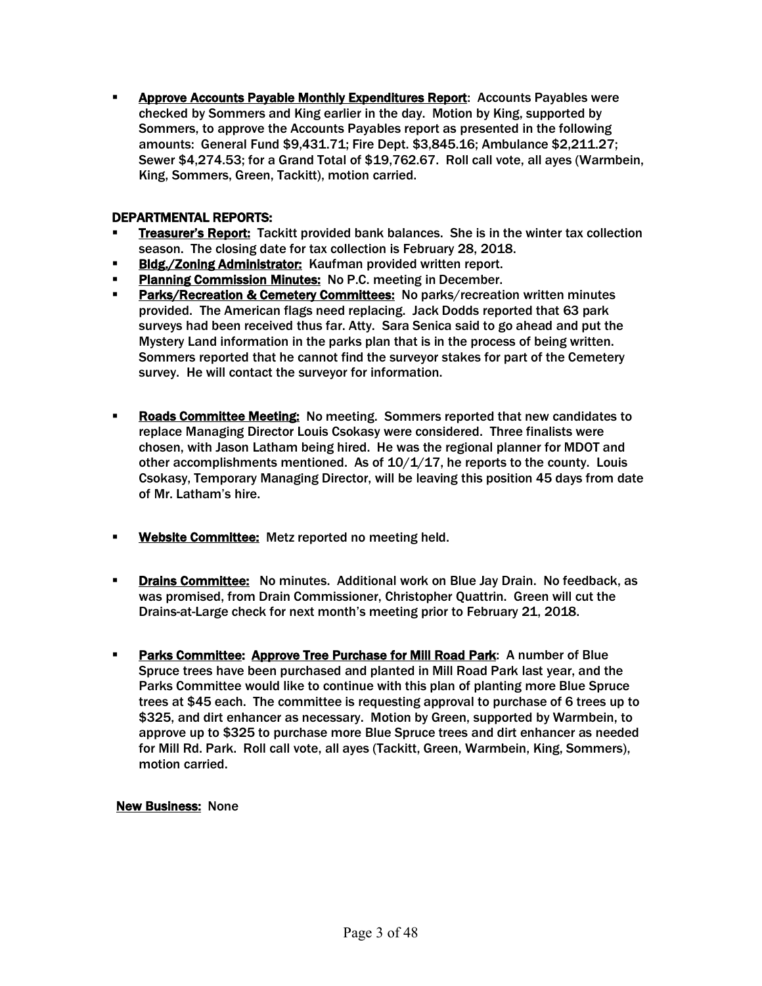§ Approve Accounts Payable Monthly Expenditures Report: Accounts Payables were checked by Sommers and King earlier in the day. Motion by King, supported by Sommers, to approve the Accounts Payables report as presented in the following amounts: General Fund \$9,431.71; Fire Dept. \$3,845.16; Ambulance \$2,211.27; Sewer \$4,274.53; for a Grand Total of \$19,762.67. Roll call vote, all ayes (Warmbein, King, Sommers, Green, Tackitt), motion carried.

#### DEPARTMENTAL REPORTS:

- **Treasurer's Report:** Tackitt provided bank balances. She is in the winter tax collection season. The closing date for tax collection is February 28, 2018.
- **Bldg./Zoning Administrator:** Kaufman provided written report.
- **Planning Commission Minutes:** No P.C. meeting in December.
- **Parks/Recreation & Cemetery Committees: No parks/recreation written minutes** provided. The American flags need replacing. Jack Dodds reported that 63 park surveys had been received thus far. Atty. Sara Senica said to go ahead and put the Mystery Land information in the parks plan that is in the process of being written. Sommers reported that he cannot find the surveyor stakes for part of the Cemetery survey. He will contact the surveyor for information.
- **Roads Committee Meeting:** No meeting. Sommers reported that new candidates to replace Managing Director Louis Csokasy were considered. Three finalists were chosen, with Jason Latham being hired. He was the regional planner for MDOT and other accomplishments mentioned. As of  $10/1/17$ , he reports to the county. Louis Csokasy, Temporary Managing Director, will be leaving this position 45 days from date of Mr. Latham's hire.
- **Website Committee:** Metz reported no meeting held.
- **Drains Committee:** No minutes. Additional work on Blue Jay Drain. No feedback, as was promised, from Drain Commissioner, Christopher Quattrin. Green will cut the Drains-at-Large check for next month's meeting prior to February 21, 2018.
- **Parks Committee: Approve Tree Purchase for Mill Road Park: A number of Blue** Spruce trees have been purchased and planted in Mill Road Park last year, and the Parks Committee would like to continue with this plan of planting more Blue Spruce trees at \$45 each. The committee is requesting approval to purchase of 6 trees up to \$325, and dirt enhancer as necessary. Motion by Green, supported by Warmbein, to approve up to \$325 to purchase more Blue Spruce trees and dirt enhancer as needed for Mill Rd. Park. Roll call vote, all ayes (Tackitt, Green, Warmbein, King, Sommers), motion carried.

#### New Business: None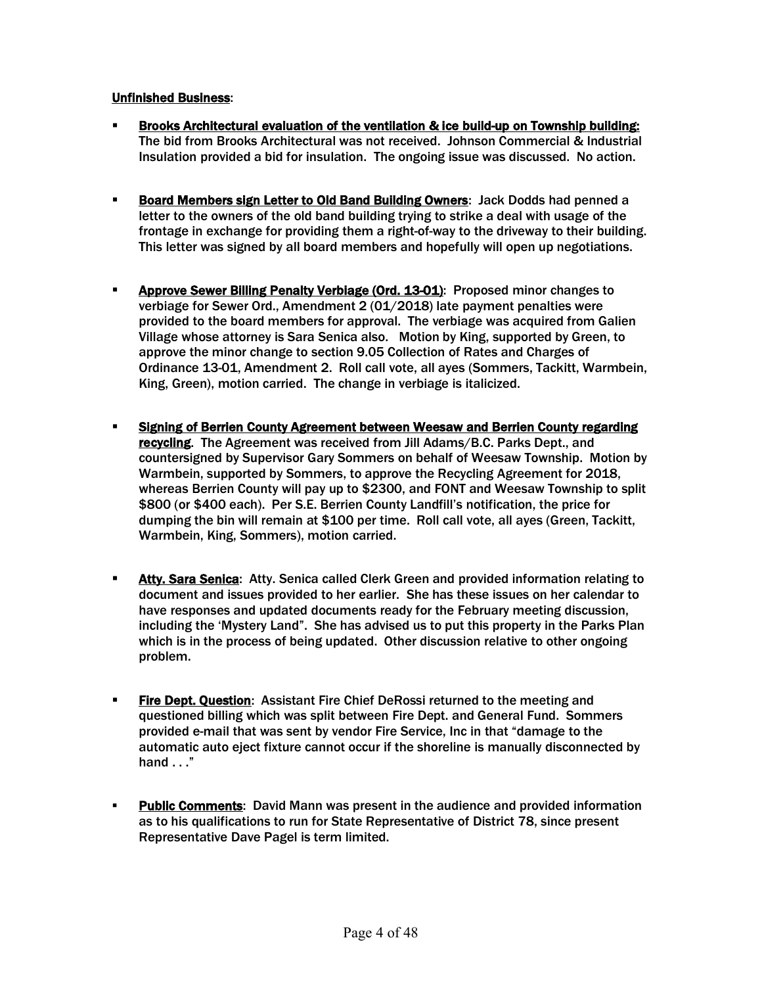#### Unfinished Business:

- § Brooks Architectural evaluation of the ventilation & ice build-up on Township building: The bid from Brooks Architectural was not received. Johnson Commercial & Industrial Insulation provided a bid for insulation. The ongoing issue was discussed. No action.
- **Board Members sign Letter to Old Band Building Owners: Jack Dodds had penned a** letter to the owners of the old band building trying to strike a deal with usage of the frontage in exchange for providing them a right-of-way to the driveway to their building. This letter was signed by all board members and hopefully will open up negotiations.
- **Approve Sewer Billing Penalty Verbiage (Ord. 13-01):** Proposed minor changes to verbiage for Sewer Ord., Amendment 2 (01/2018) late payment penalties were provided to the board members for approval. The verbiage was acquired from Galien Village whose attorney is Sara Senica also. Motion by King, supported by Green, to approve the minor change to section 9.05 Collection of Rates and Charges of Ordinance 13-01, Amendment 2. Roll call vote, all ayes (Sommers, Tackitt, Warmbein, King, Green), motion carried. The change in verbiage is italicized.
- § Signing of Berrien County Agreement between Weesaw and Berrien County regarding recycling. The Agreement was received from Jill Adams/B.C. Parks Dept., and countersigned by Supervisor Gary Sommers on behalf of Weesaw Township. Motion by Warmbein, supported by Sommers, to approve the Recycling Agreement for 2018, whereas Berrien County will pay up to \$2300, and FONT and Weesaw Township to split \$800 (or \$400 each). Per S.E. Berrien County Landfill's notification, the price for dumping the bin will remain at \$100 per time. Roll call vote, all ayes (Green, Tackitt, Warmbein, King, Sommers), motion carried.
- **Atty. Sara Senica:** Atty. Senica called Clerk Green and provided information relating to document and issues provided to her earlier. She has these issues on her calendar to have responses and updated documents ready for the February meeting discussion, including the 'Mystery Land". She has advised us to put this property in the Parks Plan which is in the process of being updated. Other discussion relative to other ongoing problem.
- **Fire Dept. Question:** Assistant Fire Chief DeRossi returned to the meeting and questioned billing which was split between Fire Dept. and General Fund. Sommers provided e-mail that was sent by vendor Fire Service, Inc in that "damage to the automatic auto eject fixture cannot occur if the shoreline is manually disconnected by hand . . ."
- **Public Comments:** David Mann was present in the audience and provided information as to his qualifications to run for State Representative of District 78, since present Representative Dave Pagel is term limited.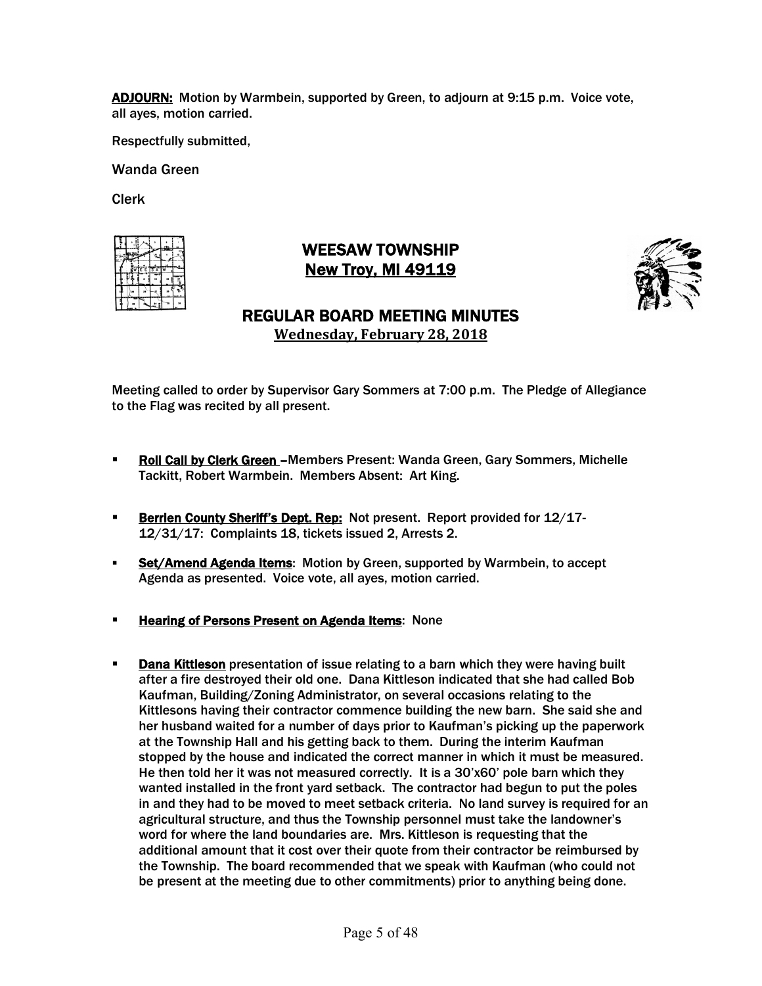ADJOURN: Motion by Warmbein, supported by Green, to adjourn at 9:15 p.m. Voice vote, all ayes, motion carried.

Respectfully submitted,

Wanda Green

Clerk

|  | E E TS A |  |   |
|--|----------|--|---|
|  |          |  | ã |
|  |          |  |   |
|  |          |  |   |

# WEESAW TOWNSHIP New Troy, MI 49119



# REGULAR BOARD MEETING MINUTES **Wednesday, February 28, 2018**

- § Roll Call by Clerk Green –Members Present: Wanda Green, Gary Sommers, Michelle Tackitt, Robert Warmbein. Members Absent: Art King.
- **Berrien County Sheriff's Dept. Rep:** Not present. Report provided for 12/17-12/31/17: Complaints 18, tickets issued 2, Arrests 2.
- **Set/Amend Agenda Items:** Motion by Green, supported by Warmbein, to accept Agenda as presented. Voice vote, all ayes, motion carried.
- § Hearing of Persons Present on Agenda Items: None
- **Dana Kittleson** presentation of issue relating to a barn which they were having built after a fire destroyed their old one. Dana Kittleson indicated that she had called Bob Kaufman, Building/Zoning Administrator, on several occasions relating to the Kittlesons having their contractor commence building the new barn. She said she and her husband waited for a number of days prior to Kaufman's picking up the paperwork at the Township Hall and his getting back to them. During the interim Kaufman stopped by the house and indicated the correct manner in which it must be measured. He then told her it was not measured correctly. It is a 30'x60' pole barn which they wanted installed in the front yard setback. The contractor had begun to put the poles in and they had to be moved to meet setback criteria. No land survey is required for an agricultural structure, and thus the Township personnel must take the landowner's word for where the land boundaries are. Mrs. Kittleson is requesting that the additional amount that it cost over their quote from their contractor be reimbursed by the Township. The board recommended that we speak with Kaufman (who could not be present at the meeting due to other commitments) prior to anything being done.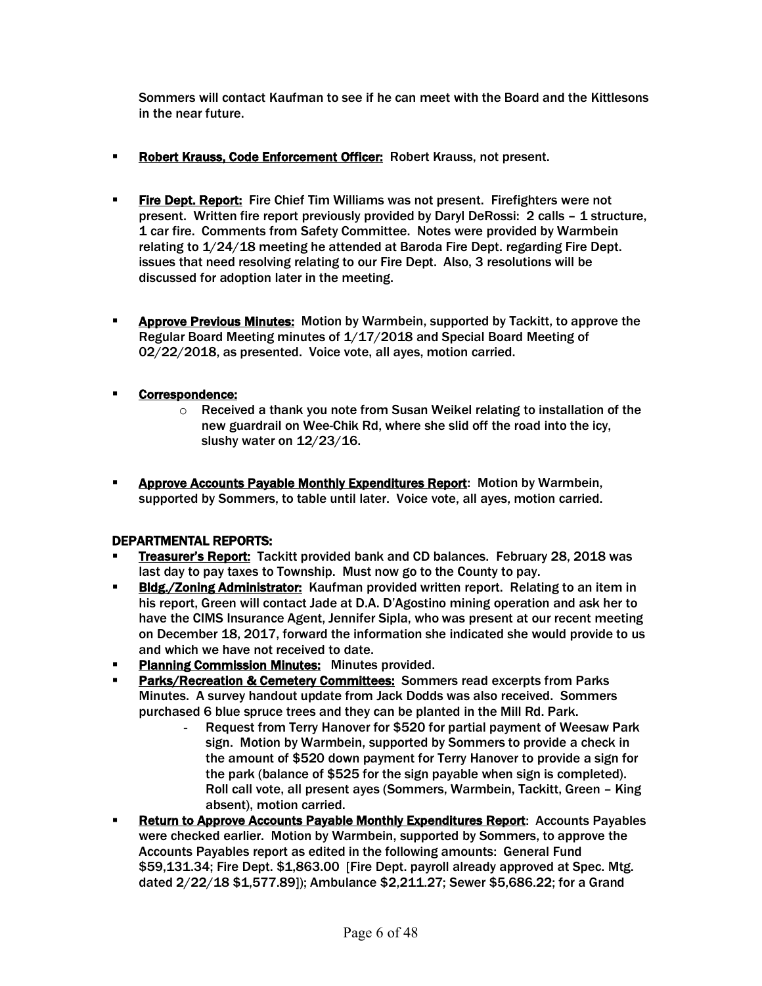Sommers will contact Kaufman to see if he can meet with the Board and the Kittlesons in the near future.

- **EXPORT KRAUSE, Code Enforcement Officer: Robert Krauss, not present.**
- **Fire Dept. Report:** Fire Chief Tim Williams was not present. Firefighters were not present. Written fire report previously provided by Daryl DeRossi: 2 calls - 1 structure. 1 car fire. Comments from Safety Committee. Notes were provided by Warmbein relating to 1/24/18 meeting he attended at Baroda Fire Dept. regarding Fire Dept. issues that need resolving relating to our Fire Dept. Also, 3 resolutions will be discussed for adoption later in the meeting.
- **EXPED PREVIOUS Minutes:** Motion by Warmbein, supported by Tackitt, to approve the Regular Board Meeting minutes of 1/17/2018 and Special Board Meeting of 02/22/2018, as presented. Voice vote, all ayes, motion carried.

### § Correspondence:

- $\circ$  Received a thank you note from Susan Weikel relating to installation of the new guardrail on Wee-Chik Rd, where she slid off the road into the icy, slushy water on 12/23/16.
- **EXPEDENTIFY Approve Accounts Payable Monthly Expenditures Report:** Motion by Warmbein, supported by Sommers, to table until later. Voice vote, all ayes, motion carried.

### DEPARTMENTAL REPORTS:

- **Treasurer's Report:** Tackitt provided bank and CD balances. February 28, 2018 was last day to pay taxes to Township. Must now go to the County to pay.
- **Bldg./Zoning Administrator:** Kaufman provided written report. Relating to an item in his report, Green will contact Jade at D.A. D'Agostino mining operation and ask her to have the CIMS Insurance Agent, Jennifer Sipla, who was present at our recent meeting on December 18, 2017, forward the information she indicated she would provide to us and which we have not received to date.
- § Planning Commission Minutes: Minutes provided.
- § Parks/Recreation & Cemetery Committees: Sommers read excerpts from Parks Minutes. A survey handout update from Jack Dodds was also received. Sommers purchased 6 blue spruce trees and they can be planted in the Mill Rd. Park.
	- Request from Terry Hanover for \$520 for partial payment of Weesaw Park sign. Motion by Warmbein, supported by Sommers to provide a check in the amount of \$520 down payment for Terry Hanover to provide a sign for the park (balance of \$525 for the sign payable when sign is completed). Roll call vote, all present ayes (Sommers, Warmbein, Tackitt, Green – King absent), motion carried.
- **EXECTER 19 Return to Approve Accounts Payable Monthly Expenditures Report:** Accounts Payables were checked earlier. Motion by Warmbein, supported by Sommers, to approve the Accounts Payables report as edited in the following amounts: General Fund \$59,131.34; Fire Dept. \$1,863.00 [Fire Dept. payroll already approved at Spec. Mtg. dated 2/22/18 \$1,577.89]); Ambulance \$2,211.27; Sewer \$5,686.22; for a Grand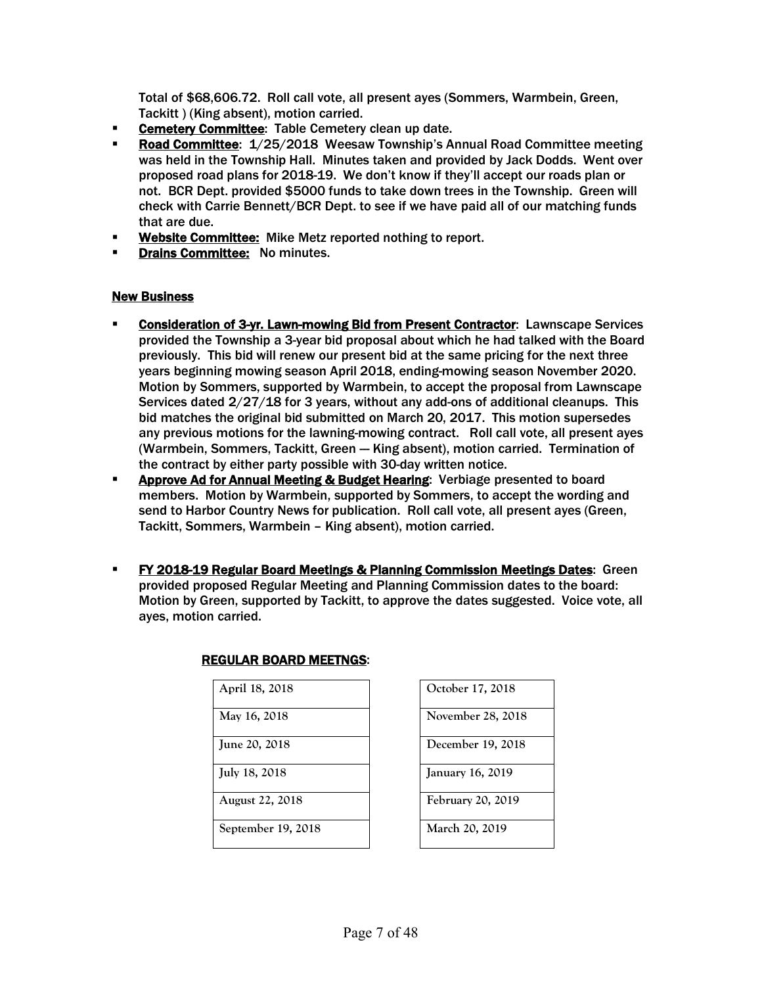Total of \$68,606.72. Roll call vote, all present ayes (Sommers, Warmbein, Green, Tackitt ) (King absent), motion carried.

- **Example 2 Cemetery Committee:** Table Cemetery clean up date.
- **Road Committee: 1/25/2018 Weesaw Township's Annual Road Committee meeting** was held in the Township Hall. Minutes taken and provided by Jack Dodds. Went over proposed road plans for 2018-19. We don't know if they'll accept our roads plan or not. BCR Dept. provided \$5000 funds to take down trees in the Township. Green will check with Carrie Bennett/BCR Dept. to see if we have paid all of our matching funds that are due.
- Website Committee: Mike Metz reported nothing to report.
- **Drains Committee: No minutes.**

#### New Business

- § Consideration of 3-yr. Lawn-mowing Bid from Present Contractor: Lawnscape Services provided the Township a 3-year bid proposal about which he had talked with the Board previously. This bid will renew our present bid at the same pricing for the next three years beginning mowing season April 2018, ending-mowing season November 2020. Motion by Sommers, supported by Warmbein, to accept the proposal from Lawnscape Services dated 2/27/18 for 3 years, without any add-ons of additional cleanups. This bid matches the original bid submitted on March 20, 2017. This motion supersedes any previous motions for the lawning-mowing contract. Roll call vote, all present ayes (Warmbein, Sommers, Tackitt, Green -- King absent), motion carried. Termination of the contract by either party possible with 30-day written notice.
- **EXPROVE Ad for Annual Meeting & Budget Hearing:** Verbiage presented to board members. Motion by Warmbein, supported by Sommers, to accept the wording and send to Harbor Country News for publication. Roll call vote, all present ayes (Green, Tackitt, Sommers, Warmbein – King absent), motion carried.
- § FY 2018-19 Regular Board Meetings & Planning Commission Meetings Dates: Green provided proposed Regular Meeting and Planning Commission dates to the board: Motion by Green, supported by Tackitt, to approve the dates suggested. Voice vote, all ayes, motion carried.

| April 18, 2018         | October 17, 2018        |
|------------------------|-------------------------|
| May 16, 2018           | November 28, 2018       |
| <b>June 20, 2018</b>   | December 19, 2018       |
| July 18, 2018          | <b>January 16, 2019</b> |
| <b>August 22, 2018</b> | February 20, 2019       |
| September 19, 2018     | March 20, 2019          |

| <b>REGULAR BOARD MEETNGS:</b> |  |
|-------------------------------|--|
| April 18, 2018                |  |

| October 17, 2018  |
|-------------------|
| November 28, 2018 |
| December 19, 2018 |
| January 16, 2019  |
| February 20, 2019 |
| March 20, 2019    |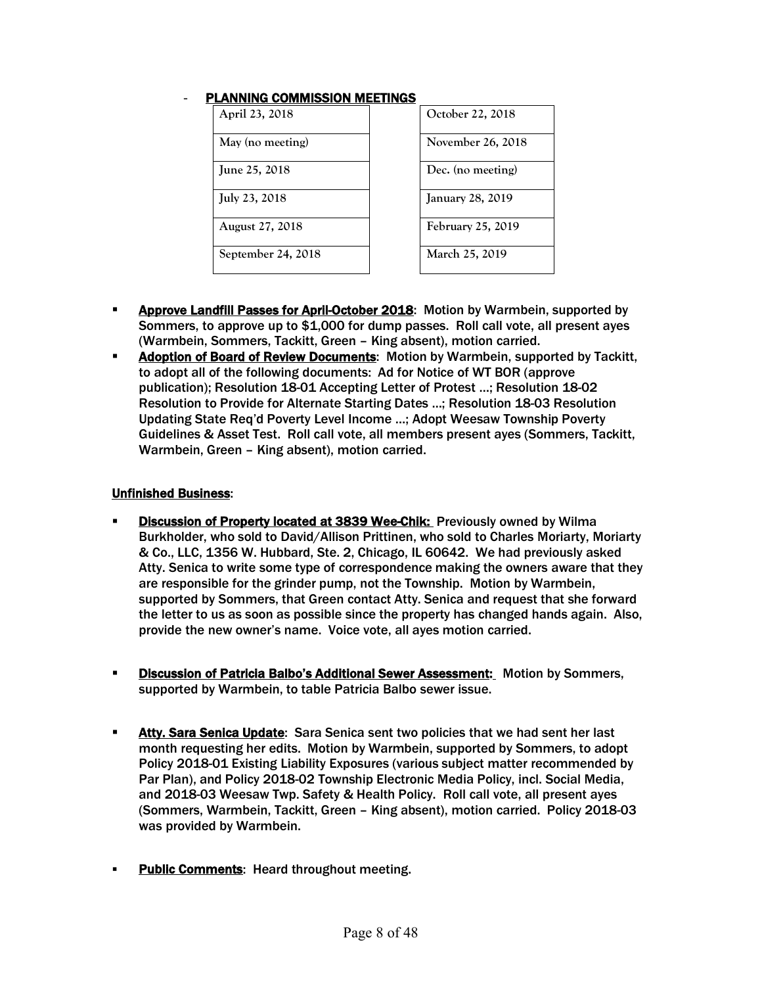#### PLANNING COMMISSION MEETINGS

| April 23, 2018         | October 22, 2018        |
|------------------------|-------------------------|
| May (no meeting)       | November 26, 2018       |
| June 25, 2018          | Dec. (no meeting)       |
| July 23, 2018          | <b>January 28, 2019</b> |
| <b>August 27, 2018</b> | February 25, 2019       |
| September 24, 2018     | March 25, 2019          |

| October 22, 2018        |
|-------------------------|
| November 26, 2018       |
| Dec. (no meeting)       |
| <b>January 28, 2019</b> |
| February 25, 2019       |
| March 25, 2019          |

- **EXPROVE Landfill Passes for April-October 2018:** Motion by Warmbein, supported by Sommers, to approve up to \$1,000 for dump passes. Roll call vote, all present ayes (Warmbein, Sommers, Tackitt, Green – King absent), motion carried.
- **Adoption of Board of Review Documents: Motion by Warmbein, supported by Tackitt,** to adopt all of the following documents: Ad for Notice of WT BOR (approve publication); Resolution 18-01 Accepting Letter of Protest …; Resolution 18-02 Resolution to Provide for Alternate Starting Dates …; Resolution 18-03 Resolution Updating State Req'd Poverty Level Income …; Adopt Weesaw Township Poverty Guidelines & Asset Test. Roll call vote, all members present ayes (Sommers, Tackitt, Warmbein, Green – King absent), motion carried.

#### Unfinished Business:

- § Discussion of Property located at 3839 Wee-Chik: Previously owned by Wilma Burkholder, who sold to David/Allison Prittinen, who sold to Charles Moriarty, Moriarty & Co., LLC, 1356 W. Hubbard, Ste. 2, Chicago, IL 60642. We had previously asked Atty. Senica to write some type of correspondence making the owners aware that they are responsible for the grinder pump, not the Township. Motion by Warmbein, supported by Sommers, that Green contact Atty. Senica and request that she forward the letter to us as soon as possible since the property has changed hands again. Also, provide the new owner's name. Voice vote, all ayes motion carried.
- **Discussion of Patricia Balbo's Additional Sewer Assessment: Motion by Sommers,** supported by Warmbein, to table Patricia Balbo sewer issue.
- **EXECT:** Atty. Sara Senica Update: Sara Senica sent two policies that we had sent her last month requesting her edits. Motion by Warmbein, supported by Sommers, to adopt Policy 2018-01 Existing Liability Exposures (various subject matter recommended by Par Plan), and Policy 2018-02 Township Electronic Media Policy, incl. Social Media, and 2018-03 Weesaw Twp. Safety & Health Policy. Roll call vote, all present ayes (Sommers, Warmbein, Tackitt, Green – King absent), motion carried. Policy 2018-03 was provided by Warmbein.
- **Public Comments:** Heard throughout meeting.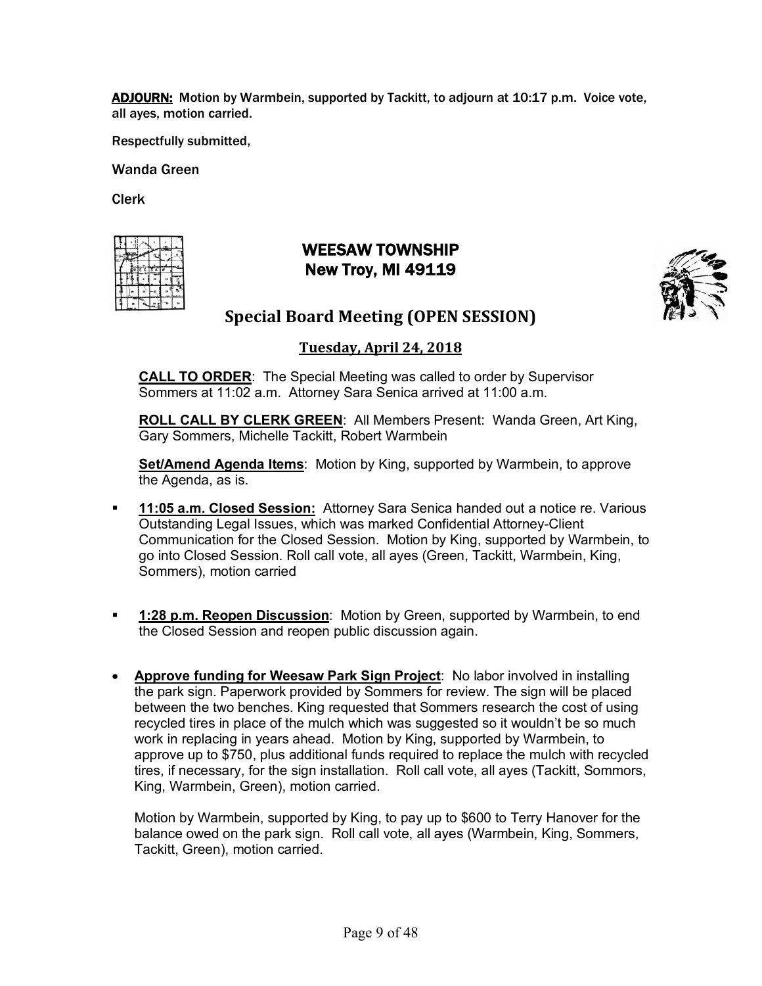ADJOURN: Motion by Warmbein, supported by Tackitt, to adjourn at 10:17 p.m. Voice vote, all ayes, motion carried.

Respectfully submitted,

Wanda Green

Clerk

|  | F |  |  |
|--|---|--|--|
|  |   |  |  |
|  |   |  |  |
|  |   |  |  |

# WEESAW TOWNSHIP New Troy, MI 49119



# **Special Board Meeting (OPEN SESSION)**

### **Tuesday, April 24, 2018**

**CALL TO ORDER**: The Special Meeting was called to order by Supervisor Sommers at 11:02 a.m. Attorney Sara Senica arrived at 11:00 a.m.

**ROLL CALL BY CLERK GREEN**: All Members Present: Wanda Green, Art King, Gary Sommers, Michelle Tackitt, Robert Warmbein

**Set/Amend Agenda Items**: Motion by King, supported by Warmbein, to approve the Agenda, as is.

- § **11:05 a.m. Closed Session:** Attorney Sara Senica handed out a notice re. Various Outstanding Legal Issues, which was marked Confidential Attorney-Client Communication for the Closed Session. Motion by King, supported by Warmbein, to go into Closed Session. Roll call vote, all ayes (Green, Tackitt, Warmbein, King, Sommers), motion carried
- **<sup>1:28</sup> p.m. Reopen Discussion:** Motion by Green, supported by Warmbein, to end the Closed Session and reopen public discussion again.
- **Approve funding for Weesaw Park Sign Project**: No labor involved in installing the park sign. Paperwork provided by Sommers for review. The sign will be placed between the two benches. King requested that Sommers research the cost of using recycled tires in place of the mulch which was suggested so it wouldn't be so much work in replacing in years ahead. Motion by King, supported by Warmbein, to approve up to \$750, plus additional funds required to replace the mulch with recycled tires, if necessary, for the sign installation. Roll call vote, all ayes (Tackitt, Sommors, King, Warmbein, Green), motion carried.

Motion by Warmbein, supported by King, to pay up to \$600 to Terry Hanover for the balance owed on the park sign. Roll call vote, all ayes (Warmbein, King, Sommers, Tackitt, Green), motion carried.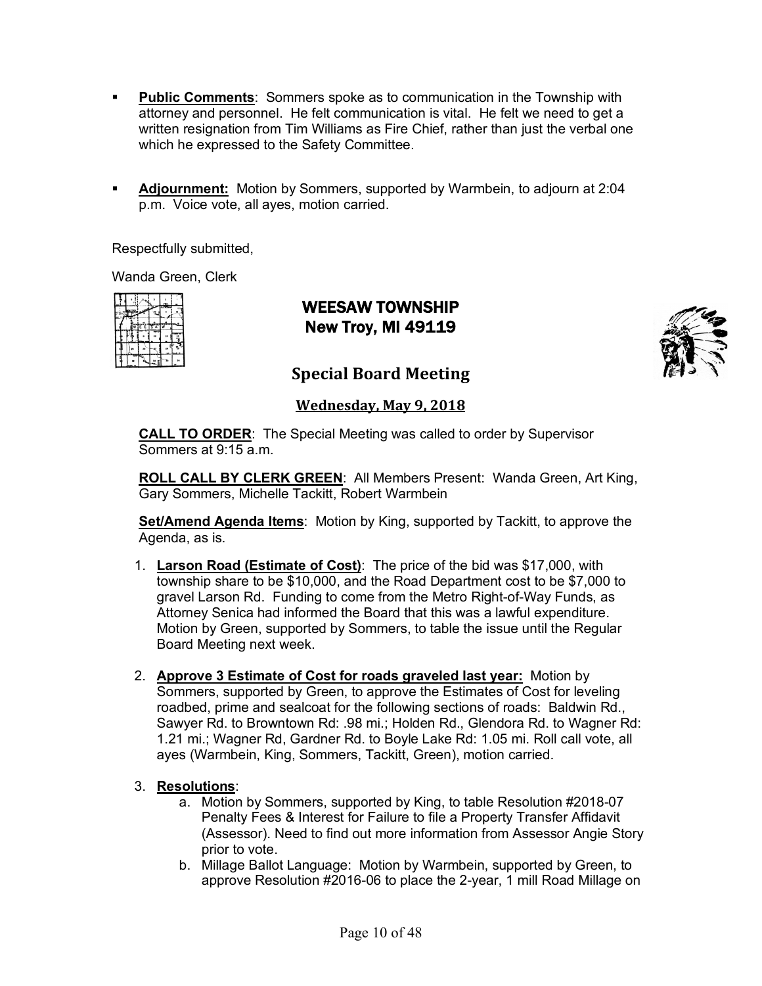- § **Public Comments**: Sommers spoke as to communication in the Township with attorney and personnel. He felt communication is vital. He felt we need to get a written resignation from Tim Williams as Fire Chief, rather than just the verbal one which he expressed to the Safety Committee.
- § **Adjournment:** Motion by Sommers, supported by Warmbein, to adjourn at 2:04 p.m. Voice vote, all ayes, motion carried.

Respectfully submitted,

Wanda Green, Clerk

|  | r e 13 | ı |         |
|--|--------|---|---------|
|  |        |   | 89<br>ó |
|  |        |   |         |
|  |        |   |         |

WEESAW TOWNSHIP New Troy, MI 49119



**Special Board Meeting** 

**Wednesday, May 9, 2018** 

**CALL TO ORDER**: The Special Meeting was called to order by Supervisor Sommers at 9:15 a.m.

**ROLL CALL BY CLERK GREEN**: All Members Present: Wanda Green, Art King, Gary Sommers, Michelle Tackitt, Robert Warmbein

**Set/Amend Agenda Items**: Motion by King, supported by Tackitt, to approve the Agenda, as is.

- 1. **Larson Road (Estimate of Cost)**: The price of the bid was \$17,000, with township share to be \$10,000, and the Road Department cost to be \$7,000 to gravel Larson Rd. Funding to come from the Metro Right-of-Way Funds, as Attorney Senica had informed the Board that this was a lawful expenditure. Motion by Green, supported by Sommers, to table the issue until the Regular Board Meeting next week.
- 2. **Approve 3 Estimate of Cost for roads graveled last year:** Motion by Sommers, supported by Green, to approve the Estimates of Cost for leveling roadbed, prime and sealcoat for the following sections of roads: Baldwin Rd., Sawyer Rd. to Browntown Rd: .98 mi.; Holden Rd., Glendora Rd. to Wagner Rd: 1.21 mi.; Wagner Rd, Gardner Rd. to Boyle Lake Rd: 1.05 mi. Roll call vote, all ayes (Warmbein, King, Sommers, Tackitt, Green), motion carried.

#### 3. **Resolutions**:

- a. Motion by Sommers, supported by King, to table Resolution #2018-07 Penalty Fees & Interest for Failure to file a Property Transfer Affidavit (Assessor). Need to find out more information from Assessor Angie Story prior to vote.
- b. Millage Ballot Language: Motion by Warmbein, supported by Green, to approve Resolution #2016-06 to place the 2-year, 1 mill Road Millage on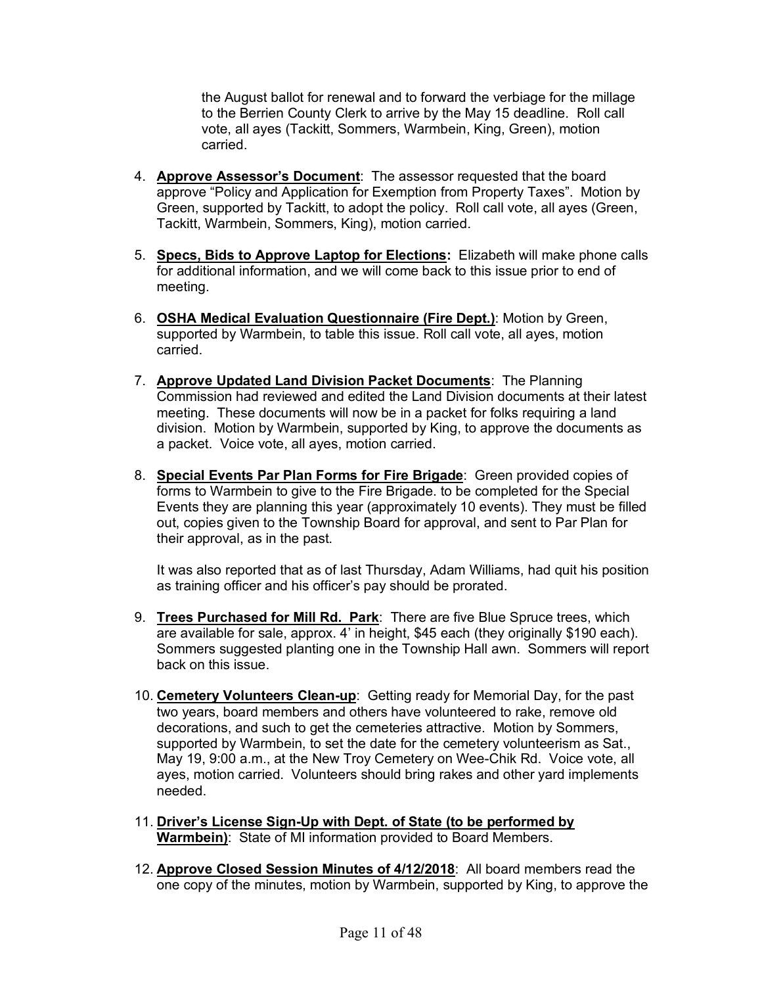the August ballot for renewal and to forward the verbiage for the millage to the Berrien County Clerk to arrive by the May 15 deadline. Roll call vote, all ayes (Tackitt, Sommers, Warmbein, King, Green), motion carried.

- 4. **Approve Assessor's Document**: The assessor requested that the board approve "Policy and Application for Exemption from Property Taxes". Motion by Green, supported by Tackitt, to adopt the policy. Roll call vote, all ayes (Green, Tackitt, Warmbein, Sommers, King), motion carried.
- 5. **Specs, Bids to Approve Laptop for Elections:** Elizabeth will make phone calls for additional information, and we will come back to this issue prior to end of meeting.
- 6. **OSHA Medical Evaluation Questionnaire (Fire Dept.)**: Motion by Green, supported by Warmbein, to table this issue. Roll call vote, all ayes, motion carried.
- 7. **Approve Updated Land Division Packet Documents**: The Planning Commission had reviewed and edited the Land Division documents at their latest meeting. These documents will now be in a packet for folks requiring a land division. Motion by Warmbein, supported by King, to approve the documents as a packet. Voice vote, all ayes, motion carried.
- 8. **Special Events Par Plan Forms for Fire Brigade**: Green provided copies of forms to Warmbein to give to the Fire Brigade. to be completed for the Special Events they are planning this year (approximately 10 events). They must be filled out, copies given to the Township Board for approval, and sent to Par Plan for their approval, as in the past.

It was also reported that as of last Thursday, Adam Williams, had quit his position as training officer and his officer's pay should be prorated.

- 9. **Trees Purchased for Mill Rd. Park**: There are five Blue Spruce trees, which are available for sale, approx. 4' in height, \$45 each (they originally \$190 each). Sommers suggested planting one in the Township Hall awn. Sommers will report back on this issue.
- 10. **Cemetery Volunteers Clean-up**: Getting ready for Memorial Day, for the past two years, board members and others have volunteered to rake, remove old decorations, and such to get the cemeteries attractive. Motion by Sommers, supported by Warmbein, to set the date for the cemetery volunteerism as Sat., May 19, 9:00 a.m., at the New Troy Cemetery on Wee-Chik Rd. Voice vote, all ayes, motion carried. Volunteers should bring rakes and other yard implements needed.
- 11. **Driver's License Sign-Up with Dept. of State (to be performed by Warmbein)**: State of MI information provided to Board Members.
- 12. **Approve Closed Session Minutes of 4/12/2018**: All board members read the one copy of the minutes, motion by Warmbein, supported by King, to approve the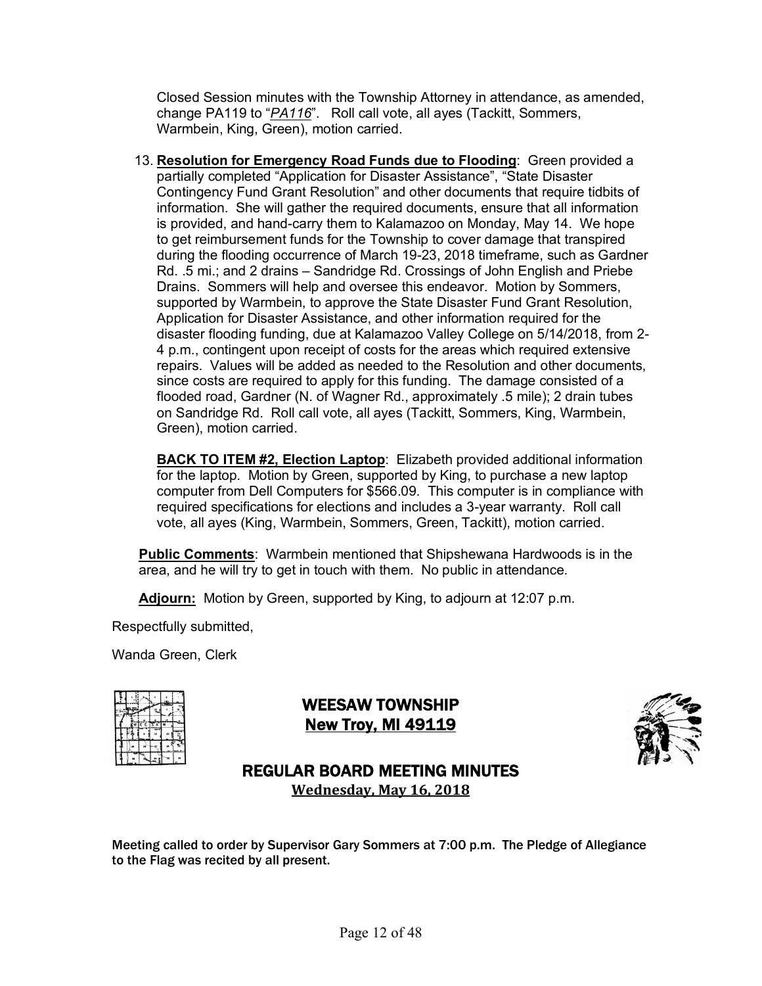Closed Session minutes with the Township Attorney in attendance, as amended, change PA119 to "*PA116*". Roll call vote, all ayes (Tackitt, Sommers, Warmbein, King, Green), motion carried.

13. **Resolution for Emergency Road Funds due to Flooding**: Green provided a partially completed "Application for Disaster Assistance", "State Disaster Contingency Fund Grant Resolution" and other documents that require tidbits of information. She will gather the required documents, ensure that all information is provided, and hand-carry them to Kalamazoo on Monday, May 14. We hope to get reimbursement funds for the Township to cover damage that transpired during the flooding occurrence of March 19-23, 2018 timeframe, such as Gardner Rd. .5 mi.; and 2 drains – Sandridge Rd. Crossings of John English and Priebe Drains. Sommers will help and oversee this endeavor. Motion by Sommers, supported by Warmbein, to approve the State Disaster Fund Grant Resolution, Application for Disaster Assistance, and other information required for the disaster flooding funding, due at Kalamazoo Valley College on 5/14/2018, from 2- 4 p.m., contingent upon receipt of costs for the areas which required extensive repairs. Values will be added as needed to the Resolution and other documents, since costs are required to apply for this funding. The damage consisted of a flooded road, Gardner (N. of Wagner Rd., approximately .5 mile); 2 drain tubes on Sandridge Rd. Roll call vote, all ayes (Tackitt, Sommers, King, Warmbein, Green), motion carried.

**BACK TO ITEM #2, Election Laptop**: Elizabeth provided additional information for the laptop. Motion by Green, supported by King, to purchase a new laptop computer from Dell Computers for \$566.09. This computer is in compliance with required specifications for elections and includes a 3-year warranty. Roll call vote, all ayes (King, Warmbein, Sommers, Green, Tackitt), motion carried.

**Public Comments**: Warmbein mentioned that Shipshewana Hardwoods is in the area, and he will try to get in touch with them. No public in attendance.

**Adjourn:** Motion by Green, supported by King, to adjourn at 12:07 p.m.

Respectfully submitted,

Wanda Green, Clerk

|  | TE E IS A |  |  |
|--|-----------|--|--|
|  |           |  |  |
|  |           |  |  |
|  |           |  |  |

# WEESAW TOWNSHIP **New Troy, MI 49119**



# REGULAR BOARD MEETING MINUTES **Wednesday, May 16, 2018**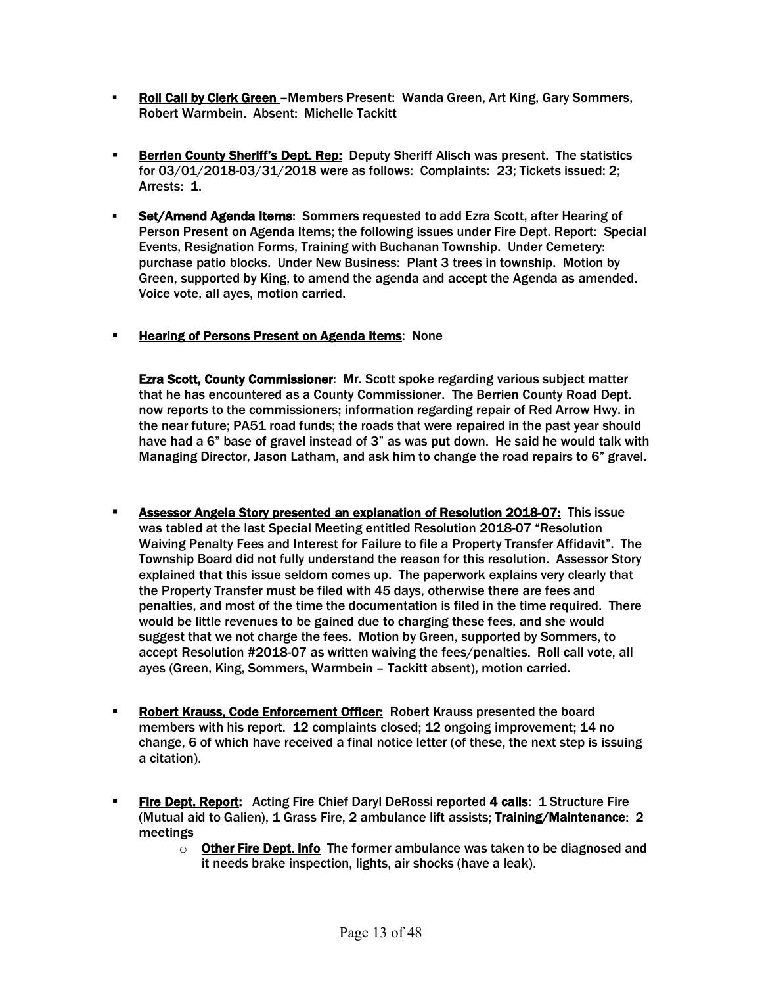- **Roll Call by Clerk Green -**Members Present: Wanda Green, Art King, Gary Sommers, Robert Warmbein. Absent: Michelle Tackitt
- **Berrien County Sheriff's Dept. Rep:** Deputy Sheriff Alisch was present. The statistics for 03/01/2018-03/31/2018 were as follows: Complaints: 23; Tickets issued: 2; Arrests: 1.
- Set/Amend Agenda Items: Sommers requested to add Ezra Scott, after Hearing of Person Present on Agenda Items; the following issues under Fire Dept. Report: Special Events, Resignation Forms, Training with Buchanan Township. Under Cemetery: purchase patio blocks. Under New Business: Plant 3 trees in township. Motion by Green, supported by King, to amend the agenda and accept the Agenda as amended. Voice vote, all ayes, motion carried.

#### **Example 2 Hearing of Persons Present on Agenda Items:** None

**Ezra Scott, County Commissioner:** Mr. Scott spoke regarding various subject matter that he has encountered as a County Commissioner. The Berrien County Road Dept. now reports to the commissioners; information regarding repair of Red Arrow Hwy. in the near future; PA51 road funds; the roads that were repaired in the past year should have had a 6" base of gravel instead of 3" as was put down. He said he would talk with Managing Director, Jason Latham, and ask him to change the road repairs to 6" gravel.

- **Assessor Angela Story presented an explanation of Resolution 2018-07:** This issue was tabled at the last Special Meeting entitled Resolution 2018-07 "Resolution Waiving Penalty Fees and Interest for Failure to file a Property Transfer Affidavit". The Township Board did not fully understand the reason for this resolution. Assessor Story explained that this issue seldom comes up. The paperwork explains very clearly that the Property Transfer must be filed with 45 days, otherwise there are fees and penalties, and most of the time the documentation is filed in the time required. There would be little revenues to be gained due to charging these fees, and she would suggest that we not charge the fees. Motion by Green, supported by Sommers, to accept Resolution #2018-07 as written waiving the fees/penalties. Roll call vote, all ayes (Green, King, Sommers, Warmbein – Tackitt absent), motion carried.
- **EXPERIFERENT ENGINEER IS A Robert Krauss presented the board FIFT** Robert Krauss presented the board members with his report. 12 complaints closed; 12 ongoing improvement; 14 no change, 6 of which have received a final notice letter (of these, the next step is issuing a citation).
- **Fire Dept. Report:** Acting Fire Chief Daryl DeRossi reported 4 calls: 1 Structure Fire (Mutual aid to Galien), 1 Grass Fire, 2 ambulance lift assists; Training/Maintenance: 2 meetings
	- $\circ$  Other Fire Dept. Info The former ambulance was taken to be diagnosed and it needs brake inspection, lights, air shocks (have a leak).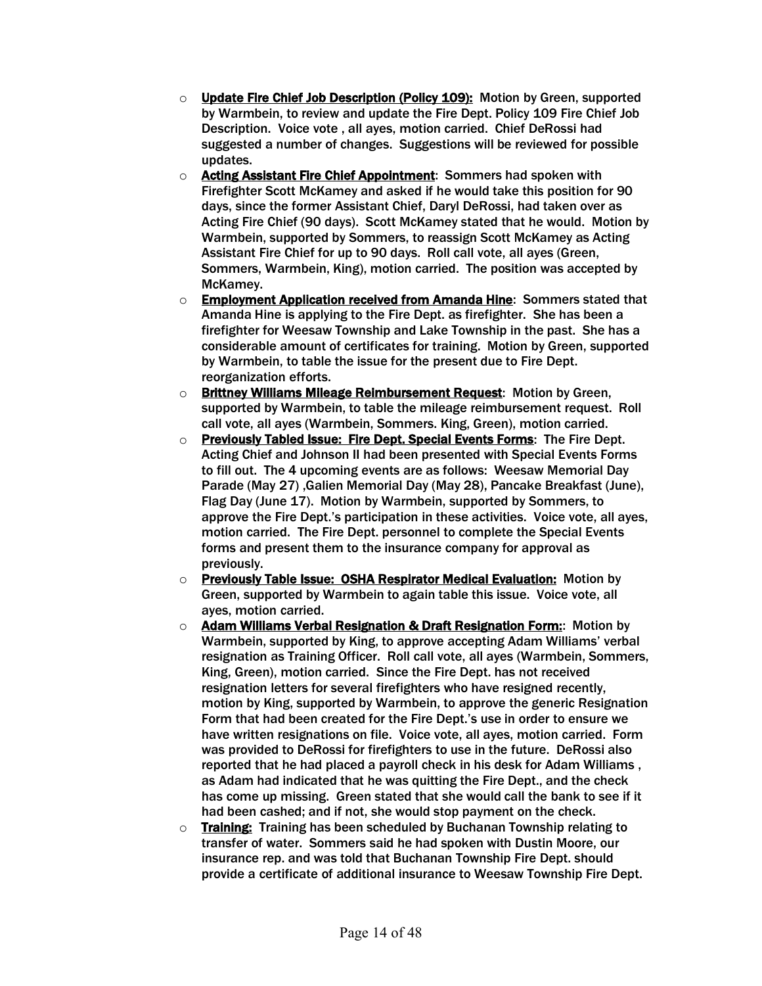- o Update Fire Chief Job Description (Policy 109): Motion by Green, supported by Warmbein, to review and update the Fire Dept. Policy 109 Fire Chief Job Description. Voice vote , all ayes, motion carried. Chief DeRossi had suggested a number of changes. Suggestions will be reviewed for possible updates.
- o Acting Assistant Fire Chief Appointment: Sommers had spoken with Firefighter Scott McKamey and asked if he would take this position for 90 days, since the former Assistant Chief, Daryl DeRossi, had taken over as Acting Fire Chief (90 days). Scott McKamey stated that he would. Motion by Warmbein, supported by Sommers, to reassign Scott McKamey as Acting Assistant Fire Chief for up to 90 days. Roll call vote, all ayes (Green, Sommers, Warmbein, King), motion carried. The position was accepted by McKamey.
- o Employment Application received from Amanda Hine: Sommers stated that Amanda Hine is applying to the Fire Dept. as firefighter. She has been a firefighter for Weesaw Township and Lake Township in the past. She has a considerable amount of certificates for training. Motion by Green, supported by Warmbein, to table the issue for the present due to Fire Dept. reorganization efforts.
- o Brittney Williams Mileage Reimbursement Request: Motion by Green, supported by Warmbein, to table the mileage reimbursement request. Roll call vote, all ayes (Warmbein, Sommers. King, Green), motion carried.
- o Previously Tabled Issue: Fire Dept. Special Events Forms: The Fire Dept. Acting Chief and Johnson II had been presented with Special Events Forms to fill out. The 4 upcoming events are as follows: Weesaw Memorial Day Parade (May 27) ,Galien Memorial Day (May 28), Pancake Breakfast (June), Flag Day (June 17). Motion by Warmbein, supported by Sommers, to approve the Fire Dept.'s participation in these activities. Voice vote, all ayes, motion carried. The Fire Dept. personnel to complete the Special Events forms and present them to the insurance company for approval as previously.
- $\circ$  Previously Table Issue: OSHA Respirator Medical Evaluation: Motion by Green, supported by Warmbein to again table this issue. Voice vote, all ayes, motion carried.
- o **Adam Williams Verbal Resignation & Draft Resignation Form:**: Motion by Warmbein, supported by King, to approve accepting Adam Williams' verbal resignation as Training Officer. Roll call vote, all ayes (Warmbein, Sommers, King, Green), motion carried. Since the Fire Dept. has not received resignation letters for several firefighters who have resigned recently, motion by King, supported by Warmbein, to approve the generic Resignation Form that had been created for the Fire Dept.'s use in order to ensure we have written resignations on file. Voice vote, all ayes, motion carried. Form was provided to DeRossi for firefighters to use in the future. DeRossi also reported that he had placed a payroll check in his desk for Adam Williams , as Adam had indicated that he was quitting the Fire Dept., and the check has come up missing. Green stated that she would call the bank to see if it had been cashed; and if not, she would stop payment on the check.
- $\circ$  Training: Training has been scheduled by Buchanan Township relating to transfer of water. Sommers said he had spoken with Dustin Moore, our insurance rep. and was told that Buchanan Township Fire Dept. should provide a certificate of additional insurance to Weesaw Township Fire Dept.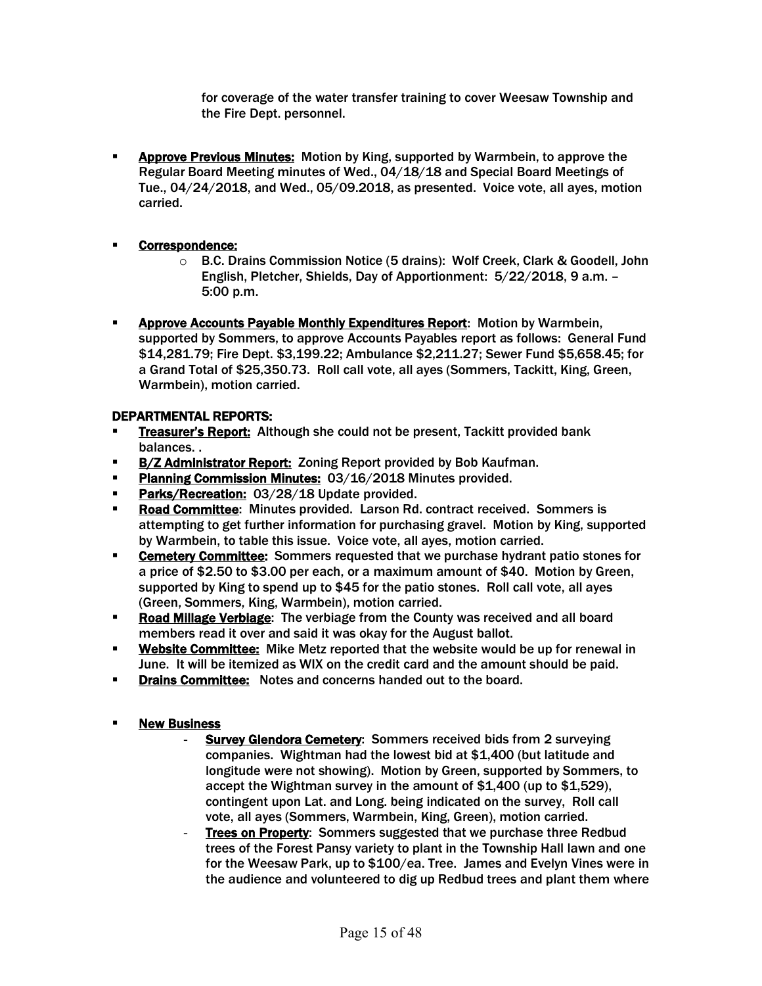for coverage of the water transfer training to cover Weesaw Township and the Fire Dept. personnel.

**EXPED PREVIOUS MINUTES:** Motion by King, supported by Warmbein, to approve the Regular Board Meeting minutes of Wed., 04/18/18 and Special Board Meetings of Tue., 04/24/2018, and Wed., 05/09.2018, as presented. Voice vote, all ayes, motion carried.

#### **E** Correspondence:

- o B.C. Drains Commission Notice (5 drains): Wolf Creek, Clark & Goodell, John English, Pletcher, Shields, Day of Apportionment: 5/22/2018, 9 a.m. – 5:00 p.m.
- Approve Accounts Payable Monthly Expenditures Report: Motion by Warmbein, supported by Sommers, to approve Accounts Payables report as follows: General Fund \$14,281.79; Fire Dept. \$3,199.22; Ambulance \$2,211.27; Sewer Fund \$5,658.45; for a Grand Total of \$25,350.73. Roll call vote, all ayes (Sommers, Tackitt, King, Green, Warmbein), motion carried.

#### DEPARTMENTAL REPORTS:

- **Treasurer's Report:** Although she could not be present, Tackitt provided bank balances. .
- **B/Z Administrator Report: Zoning Report provided by Bob Kaufman.**
- **Planning Commission Minutes: 03/16/2018 Minutes provided.**
- Parks/Recreation: 03/28/18 Update provided.
- **Road Committee:** Minutes provided. Larson Rd. contract received. Sommers is attempting to get further information for purchasing gravel. Motion by King, supported by Warmbein, to table this issue. Voice vote, all ayes, motion carried.
- **Cemetery Committee:** Sommers requested that we purchase hydrant patio stones for a price of \$2.50 to \$3.00 per each, or a maximum amount of \$40. Motion by Green, supported by King to spend up to \$45 for the patio stones. Roll call vote, all ayes (Green, Sommers, King, Warmbein), motion carried.
- **Road Millage Verbiage:** The verbiage from the County was received and all board members read it over and said it was okay for the August ballot.
- **Website Committee:** Mike Metz reported that the website would be up for renewal in June. It will be itemized as WIX on the credit card and the amount should be paid.
- **Drains Committee: Notes and concerns handed out to the board.**

#### § New Business

- **Survey Glendora Cemetery:** Sommers received bids from 2 surveying companies. Wightman had the lowest bid at \$1,400 (but latitude and longitude were not showing). Motion by Green, supported by Sommers, to accept the Wightman survey in the amount of \$1,400 (up to \$1,529), contingent upon Lat. and Long. being indicated on the survey, Roll call vote, all ayes (Sommers, Warmbein, King, Green), motion carried.
- Trees on Property: Sommers suggested that we purchase three Redbud trees of the Forest Pansy variety to plant in the Township Hall lawn and one for the Weesaw Park, up to \$100/ea. Tree. James and Evelyn Vines were in the audience and volunteered to dig up Redbud trees and plant them where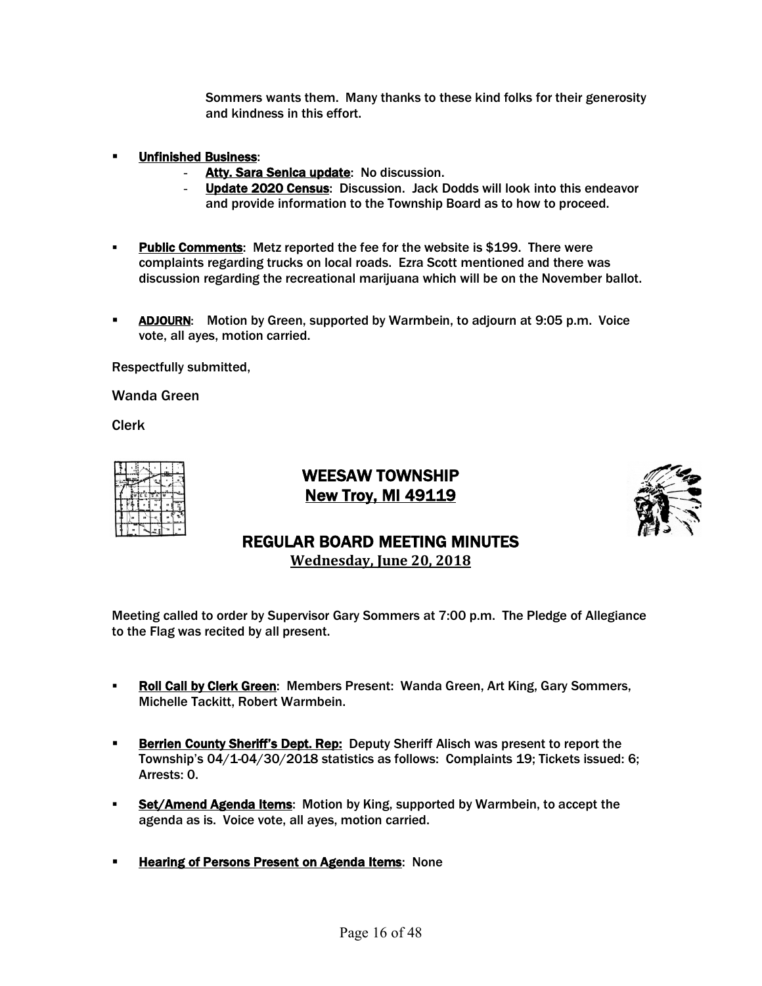Sommers wants them. Many thanks to these kind folks for their generosity and kindness in this effort.

- § Unfinished Business:
	- Atty. Sara Senica update: No discussion.
	- Update 2020 Census: Discussion. Jack Dodds will look into this endeavor and provide information to the Township Board as to how to proceed.
- **Public Comments:** Metz reported the fee for the website is \$199. There were complaints regarding trucks on local roads. Ezra Scott mentioned and there was discussion regarding the recreational marijuana which will be on the November ballot.
- **EXTER:** Motion by Green, supported by Warmbein, to adjourn at 9:05 p.m. Voice vote, all ayes, motion carried.

Respectfully submitted,

Wanda Green

Clerk

|  | TE E TS A |  |   |
|--|-----------|--|---|
|  |           |  | × |
|  |           |  |   |
|  |           |  |   |

WEESAW TOWNSHIP New Troy, MI 49119



### REGULAR BOARD MEETING MINUTES **Wednesday, June 20, 2018**

- § Roll Call by Clerk Green: Members Present: Wanda Green, Art King, Gary Sommers, Michelle Tackitt, Robert Warmbein.
- **Berrien County Sheriff's Dept. Rep:** Deputy Sheriff Alisch was present to report the Township's 04/1-04/30/2018 statistics as follows: Complaints 19; Tickets issued: 6; Arrests: 0.
- Set/Amend Agenda Items: Motion by King, supported by Warmbein, to accept the agenda as is. Voice vote, all ayes, motion carried.
- **Example 2 Hearing of Persons Present on Agenda Items: None**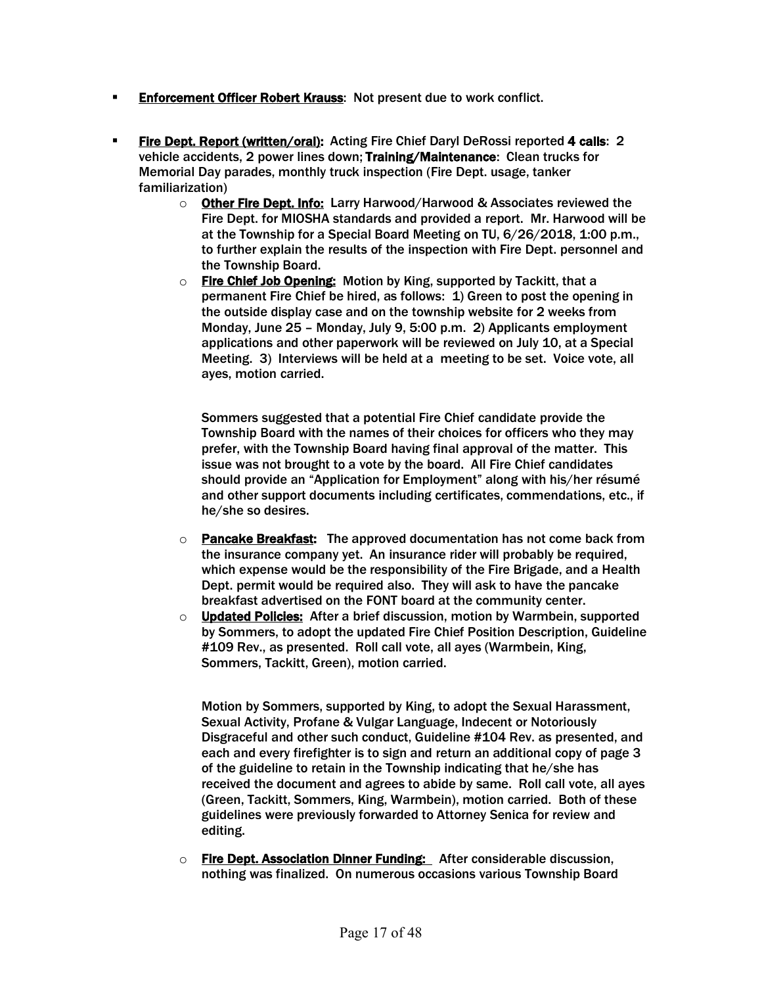- **Enforcement Officer Robert Krauss: Not present due to work conflict.**
- § Fire Dept. Report (written/oral): Acting Fire Chief Daryl DeRossi reported 4 calls: 2 vehicle accidents, 2 power lines down; Training/Maintenance: Clean trucks for Memorial Day parades, monthly truck inspection (Fire Dept. usage, tanker familiarization)
	- $\circ$  Other Fire Dept. Info: Larry Harwood/Harwood & Associates reviewed the Fire Dept. for MIOSHA standards and provided a report. Mr. Harwood will be at the Township for a Special Board Meeting on TU, 6/26/2018, 1:00 p.m., to further explain the results of the inspection with Fire Dept. personnel and the Township Board.
	- o Fire Chief Job Opening: Motion by King, supported by Tackitt, that a permanent Fire Chief be hired, as follows: 1) Green to post the opening in the outside display case and on the township website for 2 weeks from Monday, June 25 – Monday, July 9, 5:00 p.m. 2) Applicants employment applications and other paperwork will be reviewed on July 10, at a Special Meeting. 3) Interviews will be held at a meeting to be set. Voice vote, all ayes, motion carried.

Sommers suggested that a potential Fire Chief candidate provide the Township Board with the names of their choices for officers who they may prefer, with the Township Board having final approval of the matter. This issue was not brought to a vote by the board. All Fire Chief candidates should provide an "Application for Employment" along with his/her résumé and other support documents including certificates, commendations, etc., if he/she so desires.

- $\circ$  Pancake Breakfast: The approved documentation has not come back from the insurance company yet. An insurance rider will probably be required, which expense would be the responsibility of the Fire Brigade, and a Health Dept. permit would be required also. They will ask to have the pancake breakfast advertised on the FONT board at the community center.
- o Updated Policies: After a brief discussion, motion by Warmbein, supported by Sommers, to adopt the updated Fire Chief Position Description, Guideline #109 Rev., as presented. Roll call vote, all ayes (Warmbein, King, Sommers, Tackitt, Green), motion carried.

Motion by Sommers, supported by King, to adopt the Sexual Harassment, Sexual Activity, Profane & Vulgar Language, Indecent or Notoriously Disgraceful and other such conduct, Guideline #104 Rev. as presented, and each and every firefighter is to sign and return an additional copy of page 3 of the guideline to retain in the Township indicating that he/she has received the document and agrees to abide by same. Roll call vote, all ayes (Green, Tackitt, Sommers, King, Warmbein), motion carried. Both of these guidelines were previously forwarded to Attorney Senica for review and editing.

o Fire Dept. Association Dinner Funding: After considerable discussion, nothing was finalized. On numerous occasions various Township Board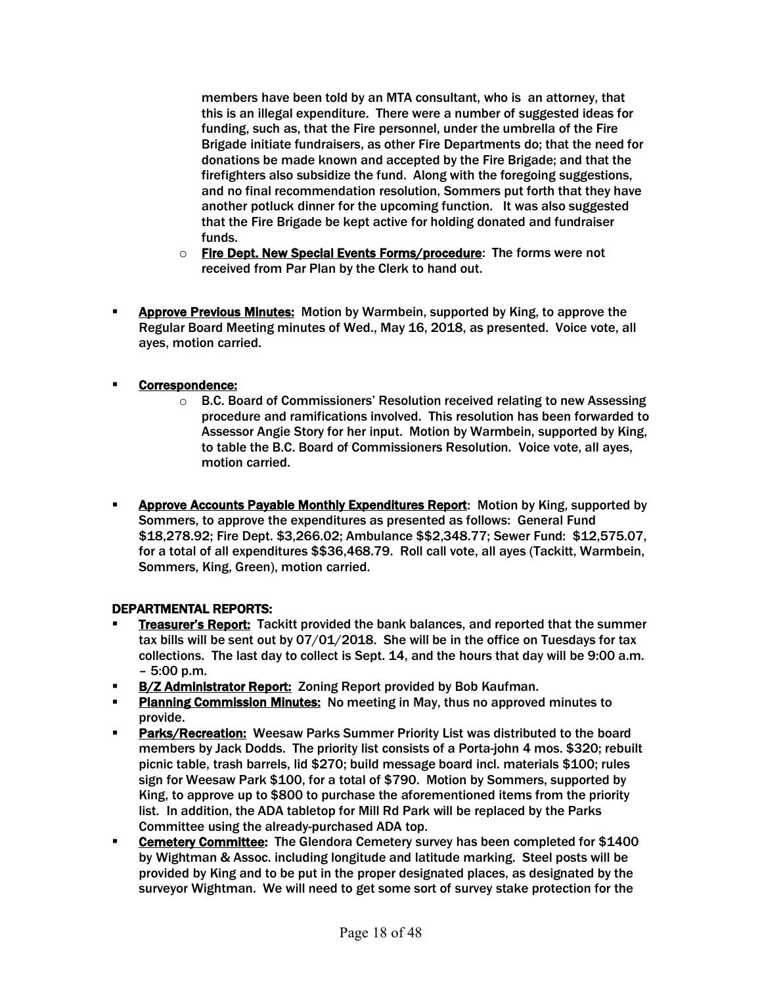members have been told by an MTA consultant, who is an attorney, that this is an illegal expenditure. There were a number of suggested ideas for funding, such as, that the Fire personnel, under the umbrella of the Fire Brigade initiate fundraisers, as other Fire Departments do; that the need for donations be made known and accepted by the Fire Brigade; and that the firefighters also subsidize the fund. Along with the foregoing suggestions, and no final recommendation resolution, Sommers put forth that they have another potluck dinner for the upcoming function. It was also suggested that the Fire Brigade be kept active for holding donated and fundraiser funds.

- o Fire Dept. New Special Events Forms/procedure: The forms were not received from Par Plan by the Clerk to hand out.
- **EXPED PREVIOUS MINUTES:** Motion by Warmbein, supported by King, to approve the Regular Board Meeting minutes of Wed., May 16, 2018, as presented. Voice vote, all ayes, motion carried.

#### § Correspondence:

- $\circ$  B.C. Board of Commissioners' Resolution received relating to new Assessing procedure and ramifications involved. This resolution has been forwarded to Assessor Angie Story for her input. Motion by Warmbein, supported by King, to table the B.C. Board of Commissioners Resolution. Voice vote, all ayes, motion carried.
- § Approve Accounts Payable Monthly Expenditures Report: Motion by King, supported by Sommers, to approve the expenditures as presented as follows: General Fund \$18,278.92; Fire Dept. \$3,266.02; Ambulance \$\$2,348.77; Sewer Fund: \$12,575.07, for a total of all expenditures \$\$36,468.79. Roll call vote, all ayes (Tackitt, Warmbein, Sommers, King, Green), motion carried.

#### DEPARTMENTAL REPORTS:

- **Treasurer's Report: Tackitt provided the bank balances, and reported that the summer** tax bills will be sent out by 07/01/2018. She will be in the office on Tuesdays for tax collections. The last day to collect is Sept. 14, and the hours that day will be 9:00 a.m. – 5:00 p.m.
- **B/Z Administrator Report: Zoning Report provided by Bob Kaufman.**
- **Planning Commission Minutes:** No meeting in May, thus no approved minutes to provide.
- **Parks/Recreation: Weesaw Parks Summer Priority List was distributed to the board** members by Jack Dodds. The priority list consists of a Porta-john 4 mos. \$320; rebuilt picnic table, trash barrels, lid \$270; build message board incl. materials \$100; rules sign for Weesaw Park \$100, for a total of \$790. Motion by Sommers, supported by King, to approve up to \$800 to purchase the aforementioned items from the priority list. In addition, the ADA tabletop for Mill Rd Park will be replaced by the Parks Committee using the already-purchased ADA top.
- **Cemetery Committee:** The Glendora Cemetery survey has been completed for \$1400 by Wightman & Assoc. including longitude and latitude marking. Steel posts will be provided by King and to be put in the proper designated places, as designated by the surveyor Wightman. We will need to get some sort of survey stake protection for the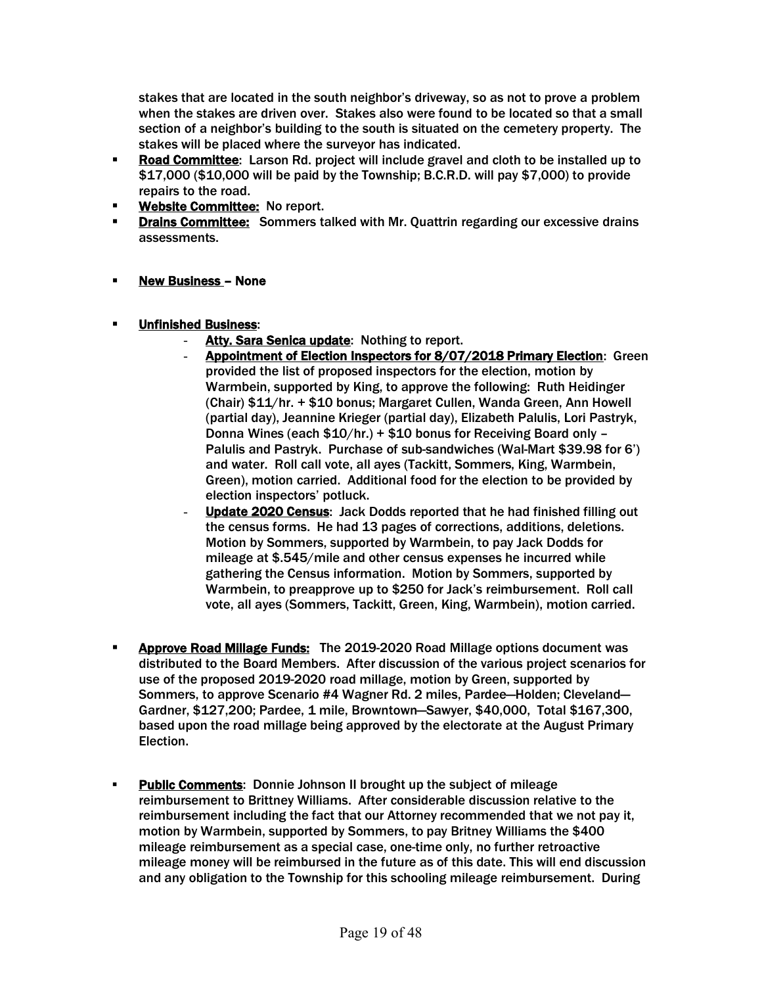stakes that are located in the south neighbor's driveway, so as not to prove a problem when the stakes are driven over. Stakes also were found to be located so that a small section of a neighbor's building to the south is situated on the cemetery property. The stakes will be placed where the surveyor has indicated.

- **Road Committee:** Larson Rd. project will include gravel and cloth to be installed up to \$17,000 (\$10,000 will be paid by the Township; B.C.R.D. will pay \$7,000) to provide repairs to the road.
- **Website Committee: No report.**
- **Drains Committee:** Sommers talked with Mr. Quattrin regarding our excessive drains assessments.
- § New Business None
- § Unfinished Business:
	- Atty. Sara Senica update: Nothing to report.
	- Appointment of Election Inspectors for 8/07/2018 Primary Election: Green provided the list of proposed inspectors for the election, motion by Warmbein, supported by King, to approve the following: Ruth Heidinger (Chair) \$11/hr. + \$10 bonus; Margaret Cullen, Wanda Green, Ann Howell (partial day), Jeannine Krieger (partial day), Elizabeth Palulis, Lori Pastryk, Donna Wines (each \$10/hr.) + \$10 bonus for Receiving Board only – Palulis and Pastryk. Purchase of sub-sandwiches (Wal-Mart \$39.98 for 6') and water. Roll call vote, all ayes (Tackitt, Sommers, King, Warmbein, Green), motion carried. Additional food for the election to be provided by election inspectors' potluck.
	- Update 2020 Census: Jack Dodds reported that he had finished filling out the census forms. He had 13 pages of corrections, additions, deletions. Motion by Sommers, supported by Warmbein, to pay Jack Dodds for mileage at \$.545/mile and other census expenses he incurred while gathering the Census information. Motion by Sommers, supported by Warmbein, to preapprove up to \$250 for Jack's reimbursement. Roll call vote, all ayes (Sommers, Tackitt, Green, King, Warmbein), motion carried.
- **Approve Road Millage Funds:** The 2019-2020 Road Millage options document was distributed to the Board Members. After discussion of the various project scenarios for use of the proposed 2019-2020 road millage, motion by Green, supported by Sommers, to approve Scenario #4 Wagner Rd. 2 miles, Pardee—Holden; Cleveland— Gardner, \$127,200; Pardee, 1 mile, Browntown—Sawyer, \$40,000, Total \$167,300, based upon the road millage being approved by the electorate at the August Primary Election.
- § Public Comments: Donnie Johnson II brought up the subject of mileage reimbursement to Brittney Williams. After considerable discussion relative to the reimbursement including the fact that our Attorney recommended that we not pay it, motion by Warmbein, supported by Sommers, to pay Britney Williams the \$400 mileage reimbursement as a special case, one-time only, no further retroactive mileage money will be reimbursed in the future as of this date. This will end discussion and any obligation to the Township for this schooling mileage reimbursement. During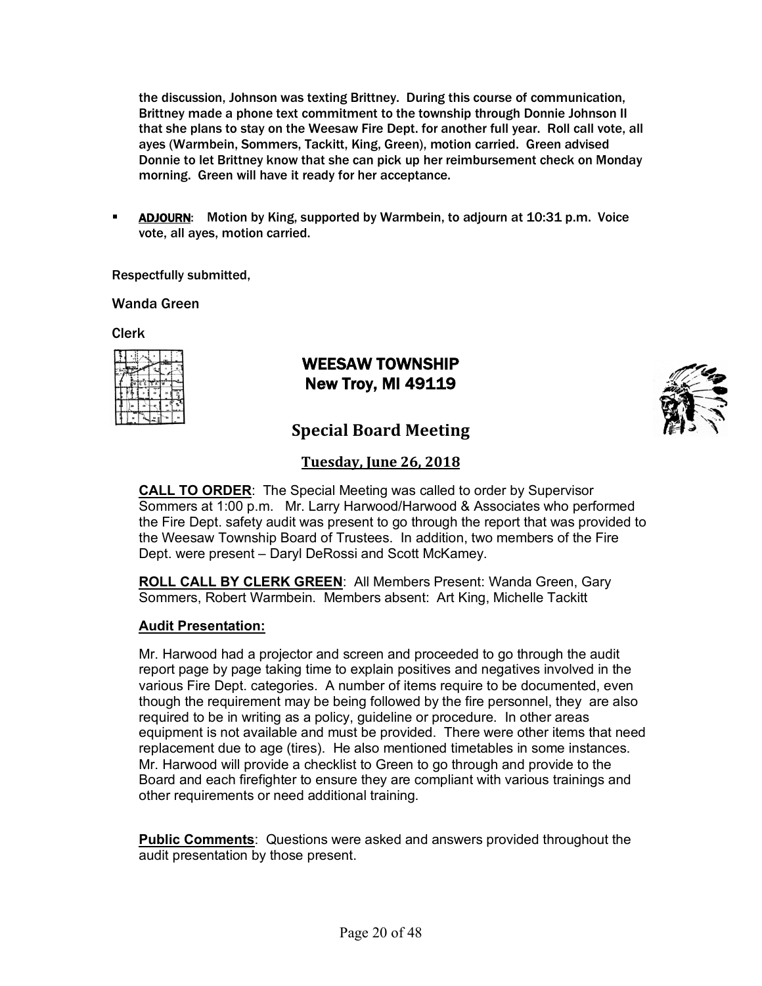the discussion, Johnson was texting Brittney. During this course of communication, Brittney made a phone text commitment to the township through Donnie Johnson II that she plans to stay on the Weesaw Fire Dept. for another full year. Roll call vote, all ayes (Warmbein, Sommers, Tackitt, King, Green), motion carried. Green advised Donnie to let Brittney know that she can pick up her reimbursement check on Monday morning. Green will have it ready for her acceptance.

**EXTED ADJOURN:** Motion by King, supported by Warmbein, to adjourn at 10:31 p.m. Voice vote, all ayes, motion carried.

Respectfully submitted,

Wanda Green

Clerk

|  | FFT |  |  |
|--|-----|--|--|
|  |     |  |  |
|  |     |  |  |
|  |     |  |  |

# WEESAW TOWNSHIP New Troy, MI 49119



# **Special Board Meeting**

### **Tuesday, June 26, 2018**

**CALL TO ORDER**: The Special Meeting was called to order by Supervisor Sommers at 1:00 p.m. Mr. Larry Harwood/Harwood & Associates who performed the Fire Dept. safety audit was present to go through the report that was provided to the Weesaw Township Board of Trustees. In addition, two members of the Fire Dept. were present – Daryl DeRossi and Scott McKamey.

**ROLL CALL BY CLERK GREEN**: All Members Present: Wanda Green, Gary Sommers, Robert Warmbein. Members absent: Art King, Michelle Tackitt

#### **Audit Presentation:**

Mr. Harwood had a projector and screen and proceeded to go through the audit report page by page taking time to explain positives and negatives involved in the various Fire Dept. categories. A number of items require to be documented, even though the requirement may be being followed by the fire personnel, they are also required to be in writing as a policy, guideline or procedure. In other areas equipment is not available and must be provided. There were other items that need replacement due to age (tires). He also mentioned timetables in some instances. Mr. Harwood will provide a checklist to Green to go through and provide to the Board and each firefighter to ensure they are compliant with various trainings and other requirements or need additional training.

**Public Comments**: Questions were asked and answers provided throughout the audit presentation by those present.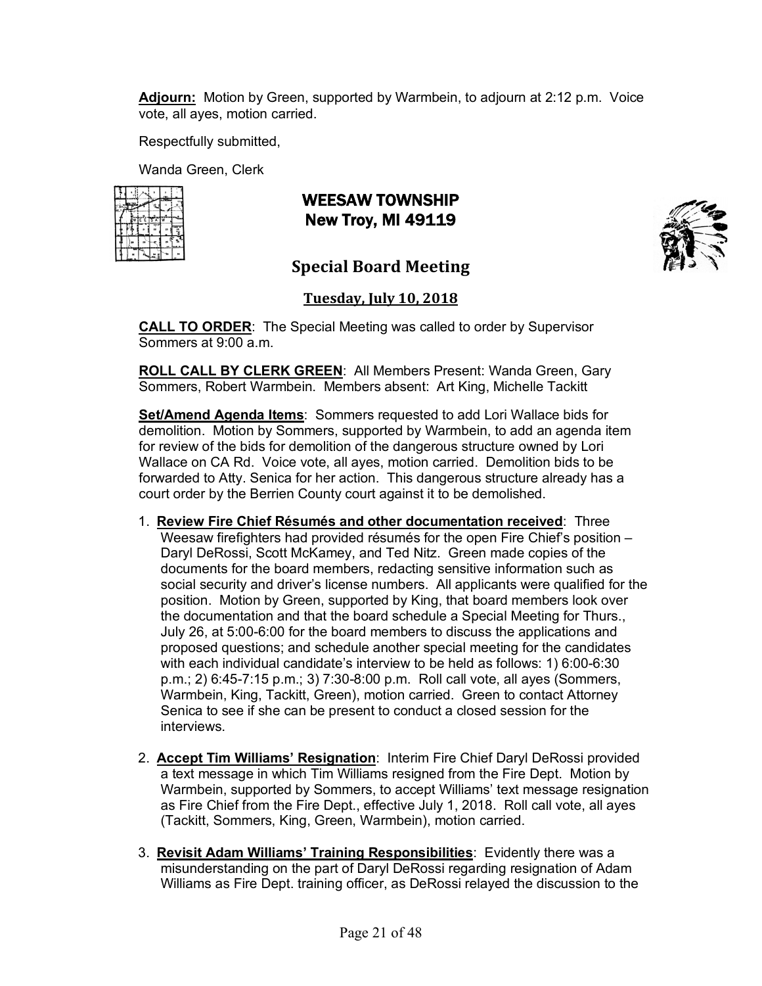**Adjourn:** Motion by Green, supported by Warmbein, to adjourn at 2:12 p.m. Voice vote, all ayes, motion carried.

Respectfully submitted,

Wanda Green, Clerk

|  |          | m. |   |
|--|----------|----|---|
|  | TE ETS A |    |   |
|  |          |    | ä |
|  |          |    |   |
|  |          |    |   |

WEESAW TOWNSHIP New Troy, MI 49119



# **Special Board Meeting**

### **Tuesday, July 10, 2018**

**CALL TO ORDER**: The Special Meeting was called to order by Supervisor Sommers at 9:00 a.m.

**ROLL CALL BY CLERK GREEN**: All Members Present: Wanda Green, Gary Sommers, Robert Warmbein. Members absent: Art King, Michelle Tackitt

**Set/Amend Agenda Items**: Sommers requested to add Lori Wallace bids for demolition. Motion by Sommers, supported by Warmbein, to add an agenda item for review of the bids for demolition of the dangerous structure owned by Lori Wallace on CA Rd. Voice vote, all ayes, motion carried. Demolition bids to be forwarded to Atty. Senica for her action. This dangerous structure already has a court order by the Berrien County court against it to be demolished.

- 1. **Review Fire Chief Résumés and other documentation received**: Three Weesaw firefighters had provided résumés for the open Fire Chief's position – Daryl DeRossi, Scott McKamey, and Ted Nitz. Green made copies of the documents for the board members, redacting sensitive information such as social security and driver's license numbers. All applicants were qualified for the position. Motion by Green, supported by King, that board members look over the documentation and that the board schedule a Special Meeting for Thurs., July 26, at 5:00-6:00 for the board members to discuss the applications and proposed questions; and schedule another special meeting for the candidates with each individual candidate's interview to be held as follows: 1) 6:00-6:30 p.m.; 2) 6:45-7:15 p.m.; 3) 7:30-8:00 p.m. Roll call vote, all ayes (Sommers, Warmbein, King, Tackitt, Green), motion carried. Green to contact Attorney Senica to see if she can be present to conduct a closed session for the interviews.
- 2. **Accept Tim Williams' Resignation**: Interim Fire Chief Daryl DeRossi provided a text message in which Tim Williams resigned from the Fire Dept. Motion by Warmbein, supported by Sommers, to accept Williams' text message resignation as Fire Chief from the Fire Dept., effective July 1, 2018. Roll call vote, all ayes (Tackitt, Sommers, King, Green, Warmbein), motion carried.
- 3. **Revisit Adam Williams' Training Responsibilities**: Evidently there was a misunderstanding on the part of Daryl DeRossi regarding resignation of Adam Williams as Fire Dept. training officer, as DeRossi relayed the discussion to the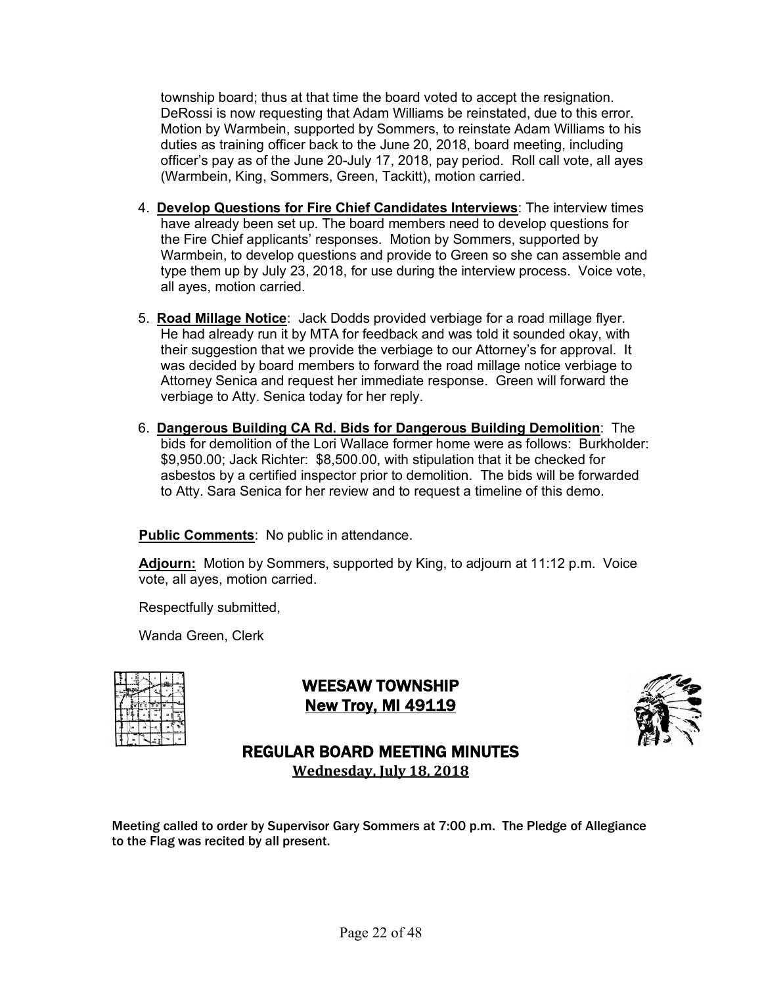township board; thus at that time the board voted to accept the resignation. DeRossi is now requesting that Adam Williams be reinstated, due to this error. Motion by Warmbein, supported by Sommers, to reinstate Adam Williams to his duties as training officer back to the June 20, 2018, board meeting, including officer's pay as of the June 20-July 17, 2018, pay period. Roll call vote, all ayes (Warmbein, King, Sommers, Green, Tackitt), motion carried.

- 4. **Develop Questions for Fire Chief Candidates Interviews**: The interview times have already been set up. The board members need to develop questions for the Fire Chief applicants' responses. Motion by Sommers, supported by Warmbein, to develop questions and provide to Green so she can assemble and type them up by July 23, 2018, for use during the interview process. Voice vote, all ayes, motion carried.
- 5. **Road Millage Notice**: Jack Dodds provided verbiage for a road millage flyer. He had already run it by MTA for feedback and was told it sounded okay, with their suggestion that we provide the verbiage to our Attorney's for approval. It was decided by board members to forward the road millage notice verbiage to Attorney Senica and request her immediate response. Green will forward the verbiage to Atty. Senica today for her reply.
- 6. **Dangerous Building CA Rd. Bids for Dangerous Building Demolition**: The bids for demolition of the Lori Wallace former home were as follows: Burkholder: \$9,950.00; Jack Richter: \$8,500.00, with stipulation that it be checked for asbestos by a certified inspector prior to demolition. The bids will be forwarded to Atty. Sara Senica for her review and to request a timeline of this demo.

**Public Comments**: No public in attendance.

**Adjourn:** Motion by Sommers, supported by King, to adjourn at 11:12 p.m. Voice vote, all ayes, motion carried.

Respectfully submitted,

Wanda Green, Clerk

|  |           |   | H |
|--|-----------|---|---|
|  | wie eis a | ŵ |   |
|  |           |   | ă |
|  |           |   |   |
|  |           |   |   |

WEESAW TOWNSHIP New Troy, MI 49119



REGULAR BOARD MEETING MINUTES **Wednesday, July 18, 2018**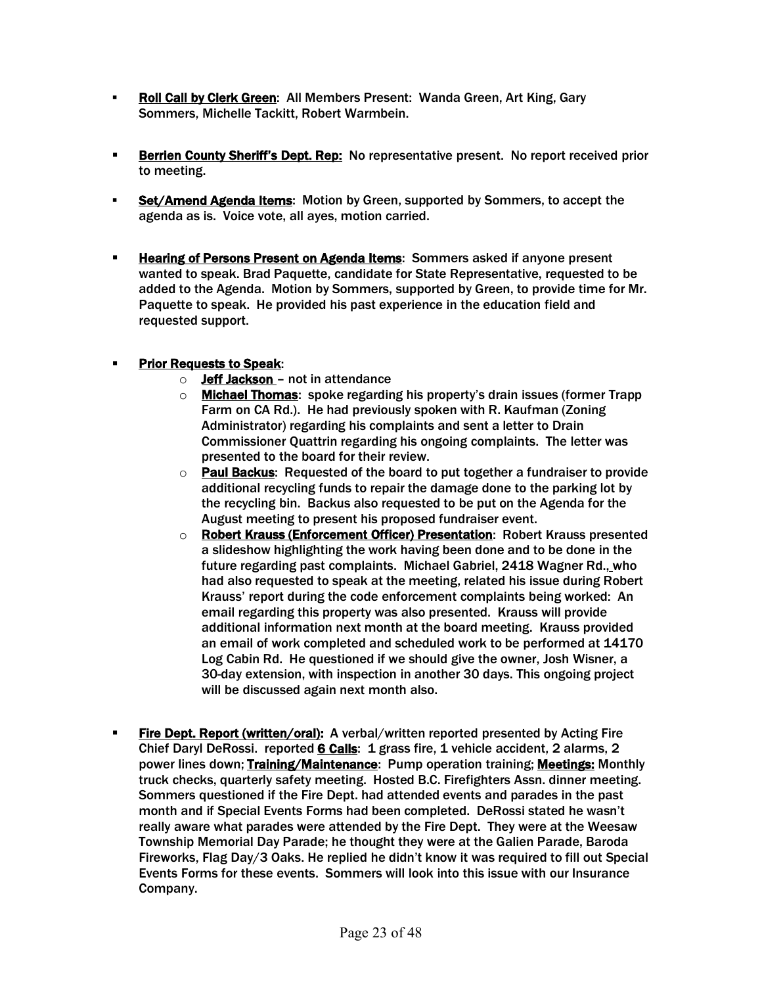- § Roll Call by Clerk Green: All Members Present: Wanda Green, Art King, Gary Sommers, Michelle Tackitt, Robert Warmbein.
- **Berrien County Sheriff's Dept. Rep:** No representative present. No report received prior to meeting.
- § Set/Amend Agenda Items: Motion by Green, supported by Sommers, to accept the agenda as is. Voice vote, all ayes, motion carried.
- **Example 3 Hearing of Persons Present on Agenda Items:** Sommers asked if anyone present wanted to speak. Brad Paquette, candidate for State Representative, requested to be added to the Agenda. Motion by Sommers, supported by Green, to provide time for Mr. Paquette to speak. He provided his past experience in the education field and requested support.

#### **• Prior Requests to Speak:**

- $\circ$  Jeff Jackson not in attendance
- $\circ$  Michael Thomas: spoke regarding his property's drain issues (former Trapp) Farm on CA Rd.). He had previously spoken with R. Kaufman (Zoning Administrator) regarding his complaints and sent a letter to Drain Commissioner Quattrin regarding his ongoing complaints. The letter was presented to the board for their review.
- o Paul Backus: Requested of the board to put together a fundraiser to provide additional recycling funds to repair the damage done to the parking lot by the recycling bin. Backus also requested to be put on the Agenda for the August meeting to present his proposed fundraiser event.
- o Robert Krauss (Enforcement Officer) Presentation: Robert Krauss presented a slideshow highlighting the work having been done and to be done in the future regarding past complaints. Michael Gabriel, 2418 Wagner Rd., who had also requested to speak at the meeting, related his issue during Robert Krauss' report during the code enforcement complaints being worked: An email regarding this property was also presented. Krauss will provide additional information next month at the board meeting. Krauss provided an email of work completed and scheduled work to be performed at 14170 Log Cabin Rd. He questioned if we should give the owner, Josh Wisner, a 30-day extension, with inspection in another 30 days. This ongoing project will be discussed again next month also.
- **Fire Dept. Report (written/oral):** A verbal/written reported presented by Acting Fire Chief Daryl DeRossi. reported 6 Calls: 1 grass fire, 1 vehicle accident, 2 alarms, 2 power lines down; **Training/Maintenance**: Pump operation training; **Meetings:** Monthly truck checks, quarterly safety meeting. Hosted B.C. Firefighters Assn. dinner meeting. Sommers questioned if the Fire Dept. had attended events and parades in the past month and if Special Events Forms had been completed. DeRossi stated he wasn't really aware what parades were attended by the Fire Dept. They were at the Weesaw Township Memorial Day Parade; he thought they were at the Galien Parade, Baroda Fireworks, Flag Day/3 Oaks. He replied he didn't know it was required to fill out Special Events Forms for these events. Sommers will look into this issue with our Insurance Company.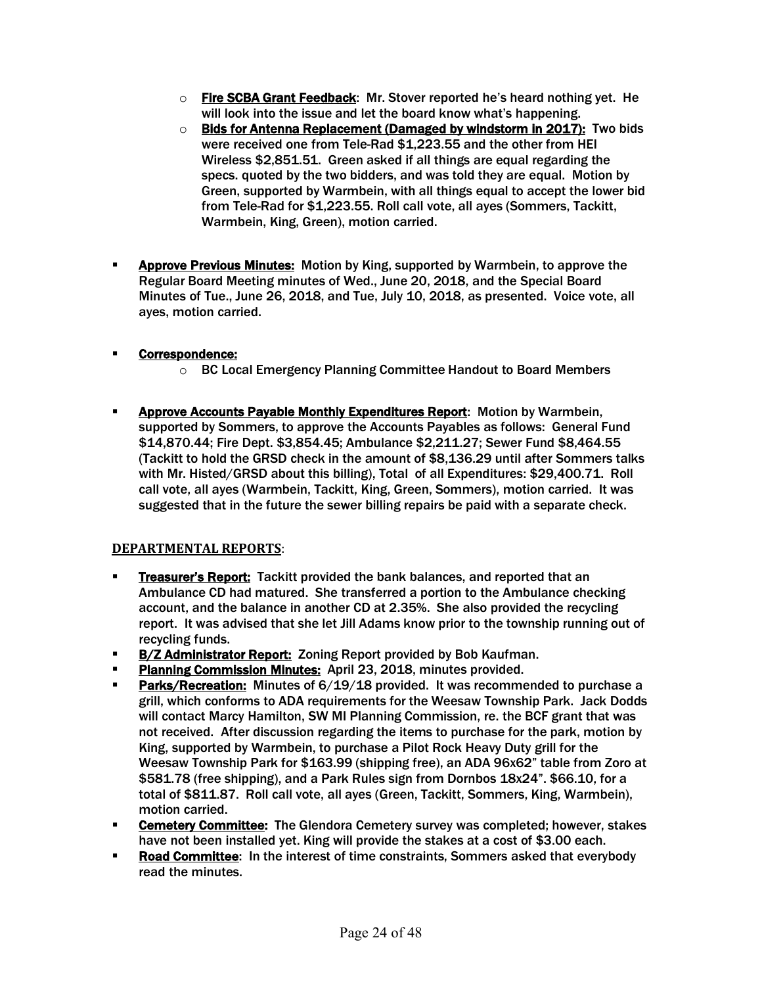- $\circ$  Fire SCBA Grant Feedback: Mr. Stover reported he's heard nothing yet. He will look into the issue and let the board know what's happening.
- o Bids for Antenna Replacement (Damaged by windstorm in 2017): Two bids were received one from Tele-Rad \$1,223.55 and the other from HEI Wireless \$2,851.51. Green asked if all things are equal regarding the specs. quoted by the two bidders, and was told they are equal. Motion by Green, supported by Warmbein, with all things equal to accept the lower bid from Tele-Rad for \$1,223.55. Roll call vote, all ayes (Sommers, Tackitt, Warmbein, King, Green), motion carried.
- **EXPED PREVIOUS Minutes:** Motion by King, supported by Warmbein, to approve the Regular Board Meeting minutes of Wed., June 20, 2018, and the Special Board Minutes of Tue., June 26, 2018, and Tue, July 10, 2018, as presented. Voice vote, all ayes, motion carried.

### § Correspondence:

- o BC Local Emergency Planning Committee Handout to Board Members
- **EXPEDED Accounts Payable Monthly Expenditures Report:** Motion by Warmbein, supported by Sommers, to approve the Accounts Payables as follows: General Fund \$14,870.44; Fire Dept. \$3,854.45; Ambulance \$2,211.27; Sewer Fund \$8,464.55 (Tackitt to hold the GRSD check in the amount of \$8,136.29 until after Sommers talks with Mr. Histed/GRSD about this billing), Total of all Expenditures: \$29,400.71. Roll call vote, all ayes (Warmbein, Tackitt, King, Green, Sommers), motion carried. It was suggested that in the future the sewer billing repairs be paid with a separate check.

#### **DEPARTMENTAL REPORTS**:

- **Treasurer's Report:** Tackitt provided the bank balances, and reported that an Ambulance CD had matured. She transferred a portion to the Ambulance checking account, and the balance in another CD at 2.35%. She also provided the recycling report. It was advised that she let Jill Adams know prior to the township running out of recycling funds.
- **B/Z Administrator Report:** Zoning Report provided by Bob Kaufman.
- **Planning Commission Minutes: April 23, 2018, minutes provided.**
- **Parks/Recreation:** Minutes of 6/19/18 provided. It was recommended to purchase a grill, which conforms to ADA requirements for the Weesaw Township Park. Jack Dodds will contact Marcy Hamilton, SW MI Planning Commission, re. the BCF grant that was not received. After discussion regarding the items to purchase for the park, motion by King, supported by Warmbein, to purchase a Pilot Rock Heavy Duty grill for the Weesaw Township Park for \$163.99 (shipping free), an ADA 96x62" table from Zoro at \$581.78 (free shipping), and a Park Rules sign from Dornbos 18x24". \$66.10, for a total of \$811.87. Roll call vote, all ayes (Green, Tackitt, Sommers, King, Warmbein), motion carried.
- **Cemetery Committee:** The Glendora Cemetery survey was completed; however, stakes have not been installed yet. King will provide the stakes at a cost of \$3.00 each.
- **Road Committee:** In the interest of time constraints, Sommers asked that everybody read the minutes.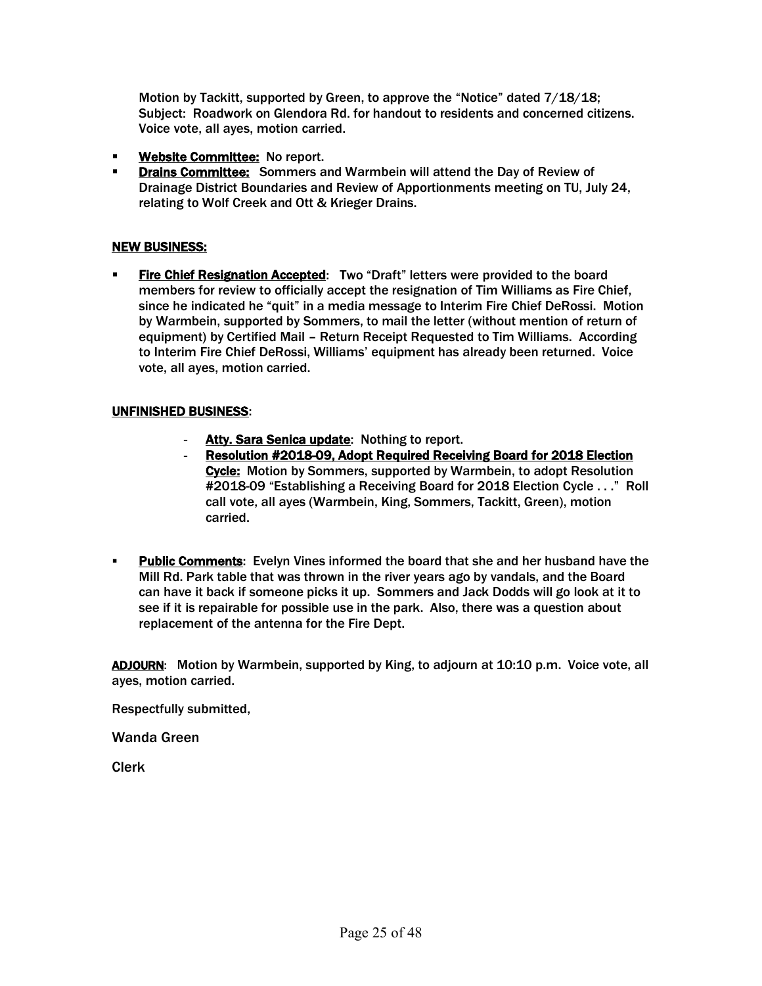Motion by Tackitt, supported by Green, to approve the "Notice" dated 7/18/18; Subject: Roadwork on Glendora Rd. for handout to residents and concerned citizens. Voice vote, all ayes, motion carried.

- **EXECT** Website Committee: No report.
- § Drains Committee: Sommers and Warmbein will attend the Day of Review of Drainage District Boundaries and Review of Apportionments meeting on TU, July 24, relating to Wolf Creek and Ott & Krieger Drains.

#### NEW BUSINESS:

§ Fire Chief Resignation Accepted: Two "Draft" letters were provided to the board members for review to officially accept the resignation of Tim Williams as Fire Chief, since he indicated he "quit" in a media message to Interim Fire Chief DeRossi. Motion by Warmbein, supported by Sommers, to mail the letter (without mention of return of equipment) by Certified Mail – Return Receipt Requested to Tim Williams. According to Interim Fire Chief DeRossi, Williams' equipment has already been returned. Voice vote, all ayes, motion carried.

#### UNFINISHED BUSINESS:

- Atty. Sara Senica update: Nothing to report.
- Resolution #2018-09, Adopt Required Receiving Board for 2018 Election Cycle: Motion by Sommers, supported by Warmbein, to adopt Resolution #2018-09 "Establishing a Receiving Board for 2018 Election Cycle . . ." Roll call vote, all ayes (Warmbein, King, Sommers, Tackitt, Green), motion carried.
- **Public Comments:** Evelyn Vines informed the board that she and her husband have the Mill Rd. Park table that was thrown in the river years ago by vandals, and the Board can have it back if someone picks it up. Sommers and Jack Dodds will go look at it to see if it is repairable for possible use in the park. Also, there was a question about replacement of the antenna for the Fire Dept.

ADJOURN: Motion by Warmbein, supported by King, to adjourn at 10:10 p.m. Voice vote, all ayes, motion carried.

Respectfully submitted,

Wanda Green

Clerk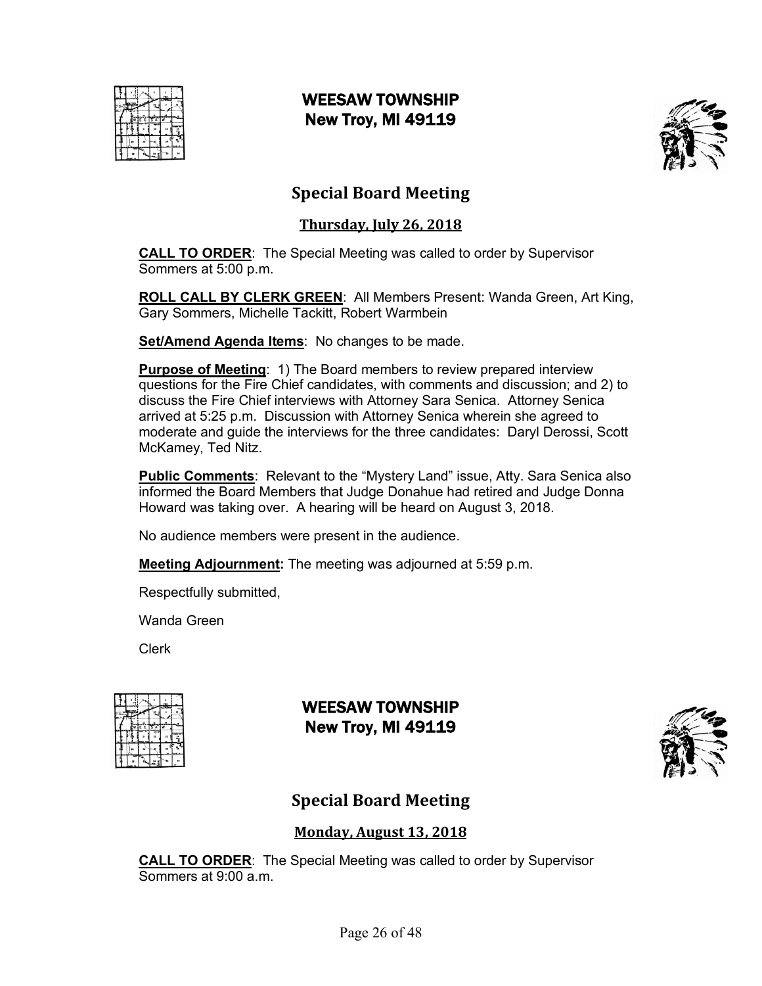

# WEESAW TOWNSHIP New Troy, MI 49119



# **Special Board Meeting**

### **Thursday, July 26, 2018**

**CALL TO ORDER**: The Special Meeting was called to order by Supervisor Sommers at 5:00 p.m.

**ROLL CALL BY CLERK GREEN**: All Members Present: Wanda Green, Art King, Gary Sommers, Michelle Tackitt, Robert Warmbein

**Set/Amend Agenda Items**: No changes to be made.

**Purpose of Meeting:** 1) The Board members to review prepared interview questions for the Fire Chief candidates, with comments and discussion; and 2) to discuss the Fire Chief interviews with Attorney Sara Senica. Attorney Senica arrived at 5:25 p.m. Discussion with Attorney Senica wherein she agreed to moderate and guide the interviews for the three candidates: Daryl Derossi, Scott McKamey, Ted Nitz.

**Public Comments**: Relevant to the "Mystery Land" issue, Atty. Sara Senica also informed the Board Members that Judge Donahue had retired and Judge Donna Howard was taking over. A hearing will be heard on August 3, 2018.

No audience members were present in the audience.

**Meeting Adjournment:** The meeting was adjourned at 5:59 p.m.

Respectfully submitted,

Wanda Green

Clerk

|  |       | <b>COLAN</b> |                 |
|--|-------|--------------|-----------------|
|  | EETSA | w            |                 |
|  |       |              | $\frac{\pi}{2}$ |
|  |       |              |                 |
|  |       |              |                 |

# WEESAW TOWNSHIP New Troy, MI 49119



# **Special Board Meeting**

### **Monday, August 13, 2018**

**CALL TO ORDER**: The Special Meeting was called to order by Supervisor Sommers at 9:00 a.m.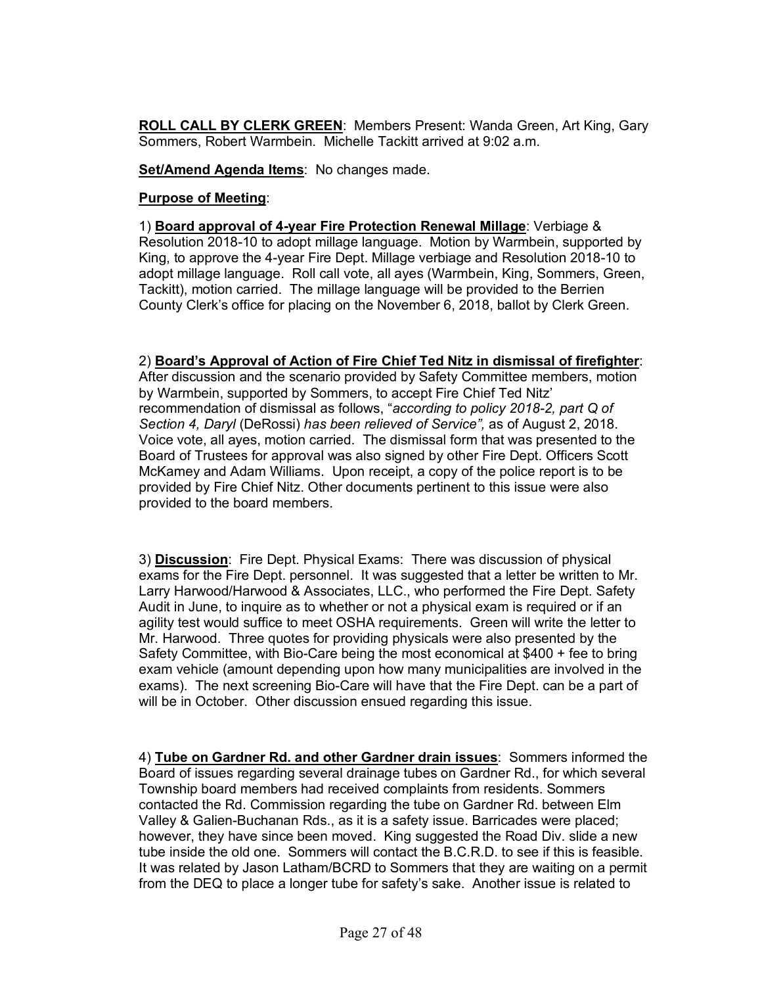**ROLL CALL BY CLERK GREEN**: Members Present: Wanda Green, Art King, Gary Sommers, Robert Warmbein. Michelle Tackitt arrived at 9:02 a.m.

**Set/Amend Agenda Items**: No changes made.

#### **Purpose of Meeting**:

1) **Board approval of 4-year Fire Protection Renewal Millage**: Verbiage & Resolution 2018-10 to adopt millage language. Motion by Warmbein, supported by King, to approve the 4-year Fire Dept. Millage verbiage and Resolution 2018-10 to adopt millage language. Roll call vote, all ayes (Warmbein, King, Sommers, Green, Tackitt), motion carried. The millage language will be provided to the Berrien County Clerk's office for placing on the November 6, 2018, ballot by Clerk Green.

#### 2) **Board's Approval of Action of Fire Chief Ted Nitz in dismissal of firefighter**:

After discussion and the scenario provided by Safety Committee members, motion by Warmbein, supported by Sommers, to accept Fire Chief Ted Nitz' recommendation of dismissal as follows, "*according to policy 2018-2, part Q of Section 4, Daryl* (DeRossi) *has been relieved of Service",* as of August 2, 2018. Voice vote, all ayes, motion carried. The dismissal form that was presented to the Board of Trustees for approval was also signed by other Fire Dept. Officers Scott McKamey and Adam Williams. Upon receipt, a copy of the police report is to be provided by Fire Chief Nitz. Other documents pertinent to this issue were also provided to the board members.

3) **Discussion**: Fire Dept. Physical Exams: There was discussion of physical exams for the Fire Dept. personnel. It was suggested that a letter be written to Mr. Larry Harwood/Harwood & Associates, LLC., who performed the Fire Dept. Safety Audit in June, to inquire as to whether or not a physical exam is required or if an agility test would suffice to meet OSHA requirements. Green will write the letter to Mr. Harwood. Three quotes for providing physicals were also presented by the Safety Committee, with Bio-Care being the most economical at \$400 + fee to bring exam vehicle (amount depending upon how many municipalities are involved in the exams). The next screening Bio-Care will have that the Fire Dept. can be a part of will be in October. Other discussion ensued regarding this issue.

4) **Tube on Gardner Rd. and other Gardner drain issues**: Sommers informed the Board of issues regarding several drainage tubes on Gardner Rd., for which several Township board members had received complaints from residents. Sommers contacted the Rd. Commission regarding the tube on Gardner Rd. between Elm Valley & Galien-Buchanan Rds., as it is a safety issue. Barricades were placed; however, they have since been moved. King suggested the Road Div. slide a new tube inside the old one. Sommers will contact the B.C.R.D. to see if this is feasible. It was related by Jason Latham/BCRD to Sommers that they are waiting on a permit from the DEQ to place a longer tube for safety's sake. Another issue is related to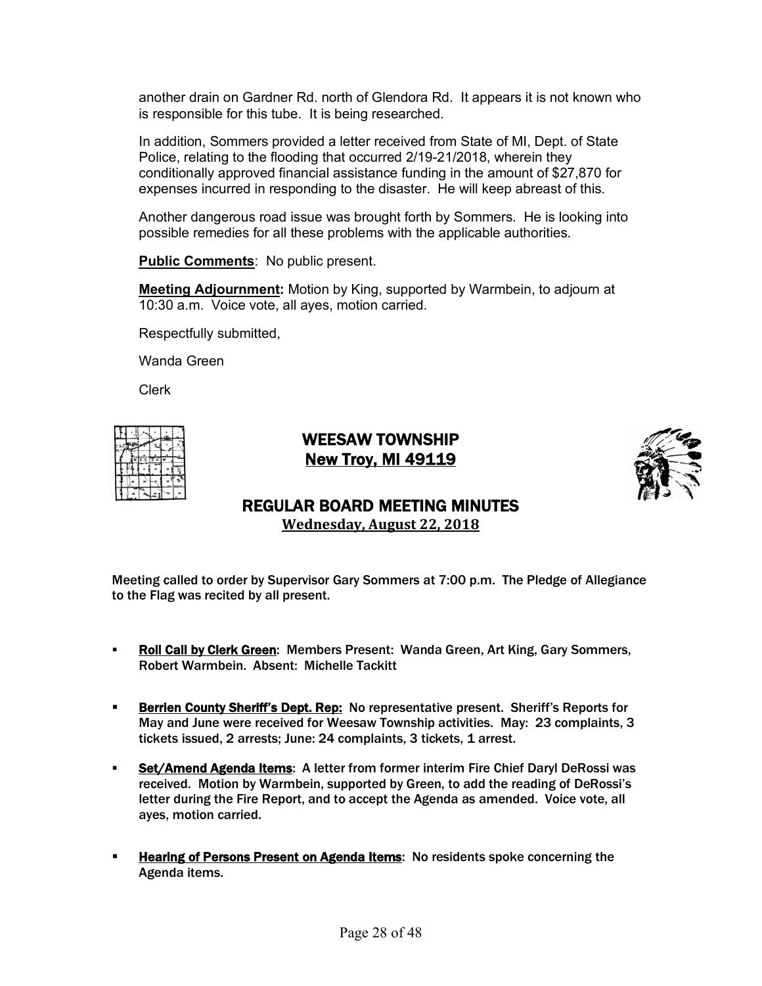another drain on Gardner Rd. north of Glendora Rd. It appears it is not known who is responsible for this tube. It is being researched.

In addition, Sommers provided a letter received from State of MI, Dept. of State Police, relating to the flooding that occurred 2/19-21/2018, wherein they conditionally approved financial assistance funding in the amount of \$27,870 for expenses incurred in responding to the disaster. He will keep abreast of this.

Another dangerous road issue was brought forth by Sommers. He is looking into possible remedies for all these problems with the applicable authorities.

**Public Comments**: No public present.

**Meeting Adjournment:** Motion by King, supported by Warmbein, to adjourn at 10:30 a.m. Voice vote, all ayes, motion carried.

Respectfully submitted,

Wanda Green

Clerk

|  | TE E TS' |  |   |
|--|----------|--|---|
|  |          |  | 븹 |
|  |          |  |   |
|  |          |  |   |

# WEESAW TOWNSHIP New Troy, MI 49119



# REGULAR BOARD MEETING MINUTES

**Wednesday, August 22, 2018**

- **Roll Call by Clerk Green:** Members Present: Wanda Green, Art King, Gary Sommers, Robert Warmbein. Absent: Michelle Tackitt
- **EXECTE:** Berrien County Sheriff's Dept. Rep: No representative present. Sheriff's Reports for May and June were received for Weesaw Township activities. May: 23 complaints, 3 tickets issued, 2 arrests; June: 24 complaints, 3 tickets, 1 arrest.
- § Set/Amend Agenda Items: A letter from former interim Fire Chief Daryl DeRossi was received. Motion by Warmbein, supported by Green, to add the reading of DeRossi's letter during the Fire Report, and to accept the Agenda as amended. Voice vote, all ayes, motion carried.
- **EXECTE:** Hearing of Persons Present on Agenda Items: No residents spoke concerning the Agenda items.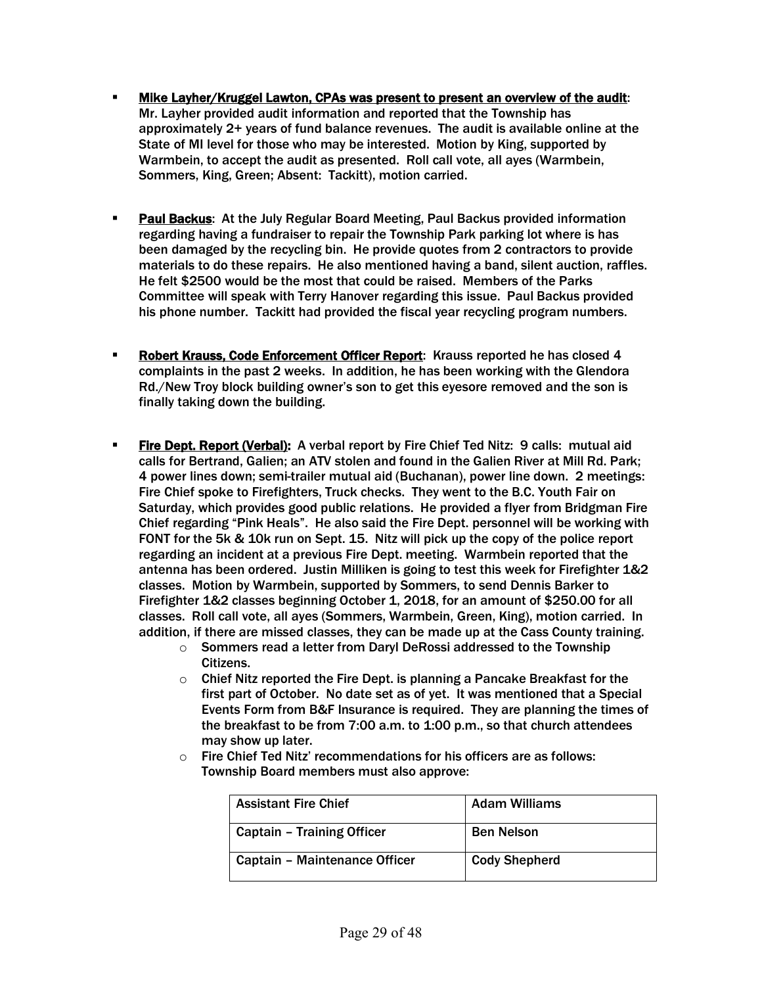- § Mike Layher/Kruggel Lawton, CPAs was present to present an overview of the audit: Mr. Layher provided audit information and reported that the Township has approximately 2+ years of fund balance revenues. The audit is available online at the State of MI level for those who may be interested. Motion by King, supported by Warmbein, to accept the audit as presented. Roll call vote, all ayes (Warmbein, Sommers, King, Green; Absent: Tackitt), motion carried.
- **Paul Backus:** At the July Regular Board Meeting, Paul Backus provided information regarding having a fundraiser to repair the Township Park parking lot where is has been damaged by the recycling bin. He provide quotes from 2 contractors to provide materials to do these repairs. He also mentioned having a band, silent auction, raffles. He felt \$2500 would be the most that could be raised. Members of the Parks Committee will speak with Terry Hanover regarding this issue. Paul Backus provided his phone number. Tackitt had provided the fiscal year recycling program numbers.
- **Robert Krauss, Code Enforcement Officer Report:** Krauss reported he has closed 4 complaints in the past 2 weeks. In addition, he has been working with the Glendora Rd./New Troy block building owner's son to get this eyesore removed and the son is finally taking down the building.
- **Fire Dept. Report (Verbal):** A verbal report by Fire Chief Ted Nitz: 9 calls: mutual aid calls for Bertrand, Galien; an ATV stolen and found in the Galien River at Mill Rd. Park; 4 power lines down; semi-trailer mutual aid (Buchanan), power line down. 2 meetings: Fire Chief spoke to Firefighters, Truck checks. They went to the B.C. Youth Fair on Saturday, which provides good public relations. He provided a flyer from Bridgman Fire Chief regarding "Pink Heals". He also said the Fire Dept. personnel will be working with FONT for the 5k & 10k run on Sept. 15. Nitz will pick up the copy of the police report regarding an incident at a previous Fire Dept. meeting. Warmbein reported that the antenna has been ordered. Justin Milliken is going to test this week for Firefighter 1&2 classes. Motion by Warmbein, supported by Sommers, to send Dennis Barker to Firefighter 1&2 classes beginning October 1, 2018, for an amount of \$250.00 for all classes. Roll call vote, all ayes (Sommers, Warmbein, Green, King), motion carried. In addition, if there are missed classes, they can be made up at the Cass County training.
	- $\circ$  Sommers read a letter from Daryl DeRossi addressed to the Township Citizens.
	- $\circ$  Chief Nitz reported the Fire Dept. is planning a Pancake Breakfast for the first part of October. No date set as of yet. It was mentioned that a Special Events Form from B&F Insurance is required. They are planning the times of the breakfast to be from 7:00 a.m. to 1:00 p.m., so that church attendees may show up later.
	- $\circ$  Fire Chief Ted Nitz' recommendations for his officers are as follows: Township Board members must also approve:

| <b>Assistant Fire Chief</b>       | <b>Adam Williams</b> |
|-----------------------------------|----------------------|
| <b>Captain - Training Officer</b> | <b>Ben Nelson</b>    |
| Captain - Maintenance Officer     | <b>Cody Shepherd</b> |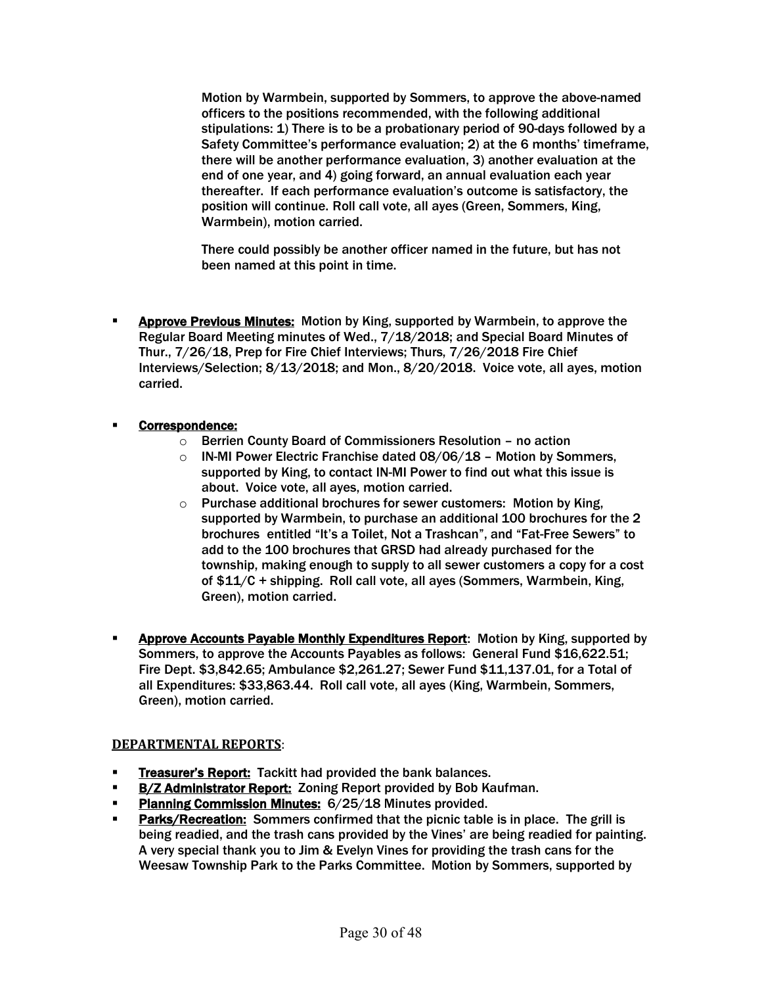Motion by Warmbein, supported by Sommers, to approve the above-named officers to the positions recommended, with the following additional stipulations: 1) There is to be a probationary period of 90-days followed by a Safety Committee's performance evaluation; 2) at the 6 months' timeframe, there will be another performance evaluation, 3) another evaluation at the end of one year, and 4) going forward, an annual evaluation each year thereafter. If each performance evaluation's outcome is satisfactory, the position will continue. Roll call vote, all ayes (Green, Sommers, King, Warmbein), motion carried.

There could possibly be another officer named in the future, but has not been named at this point in time.

- **EXPED PREVIOUS Minutes:** Motion by King, supported by Warmbein, to approve the Regular Board Meeting minutes of Wed., 7/18/2018; and Special Board Minutes of Thur., 7/26/18, Prep for Fire Chief Interviews; Thurs, 7/26/2018 Fire Chief Interviews/Selection; 8/13/2018; and Mon., 8/20/2018. Voice vote, all ayes, motion carried.
- § Correspondence:
	- o Berrien County Board of Commissioners Resolution no action
	- $\circ$  IN-MI Power Electric Franchise dated 08/06/18 Motion by Sommers, supported by King, to contact IN-MI Power to find out what this issue is about. Voice vote, all ayes, motion carried.
	- $\circ$  Purchase additional brochures for sewer customers: Motion by King, supported by Warmbein, to purchase an additional 100 brochures for the 2 brochures entitled "It's a Toilet, Not a Trashcan", and "Fat-Free Sewers" to add to the 100 brochures that GRSD had already purchased for the township, making enough to supply to all sewer customers a copy for a cost of \$11/C + shipping. Roll call vote, all ayes (Sommers, Warmbein, King, Green), motion carried.
- **EXPROVE ACCOUNTY ASSET ASSET ASSET ASSET ASSET ASSET** Motion by King, supported by Sommers, to approve the Accounts Payables as follows: General Fund \$16,622.51; Fire Dept. \$3,842.65; Ambulance \$2,261.27; Sewer Fund \$11,137.01, for a Total of all Expenditures: \$33,863.44. Roll call vote, all ayes (King, Warmbein, Sommers, Green), motion carried.

#### **DEPARTMENTAL REPORTS**:

- **Figurer's Report:** Tackitt had provided the bank balances.
- **B/Z Administrator Report:** Zoning Report provided by Bob Kaufman.
- Planning Commission Minutes: 6/25/18 Minutes provided.
- Parks/Recreation: Sommers confirmed that the picnic table is in place. The grill is being readied, and the trash cans provided by the Vines' are being readied for painting. A very special thank you to Jim & Evelyn Vines for providing the trash cans for the Weesaw Township Park to the Parks Committee. Motion by Sommers, supported by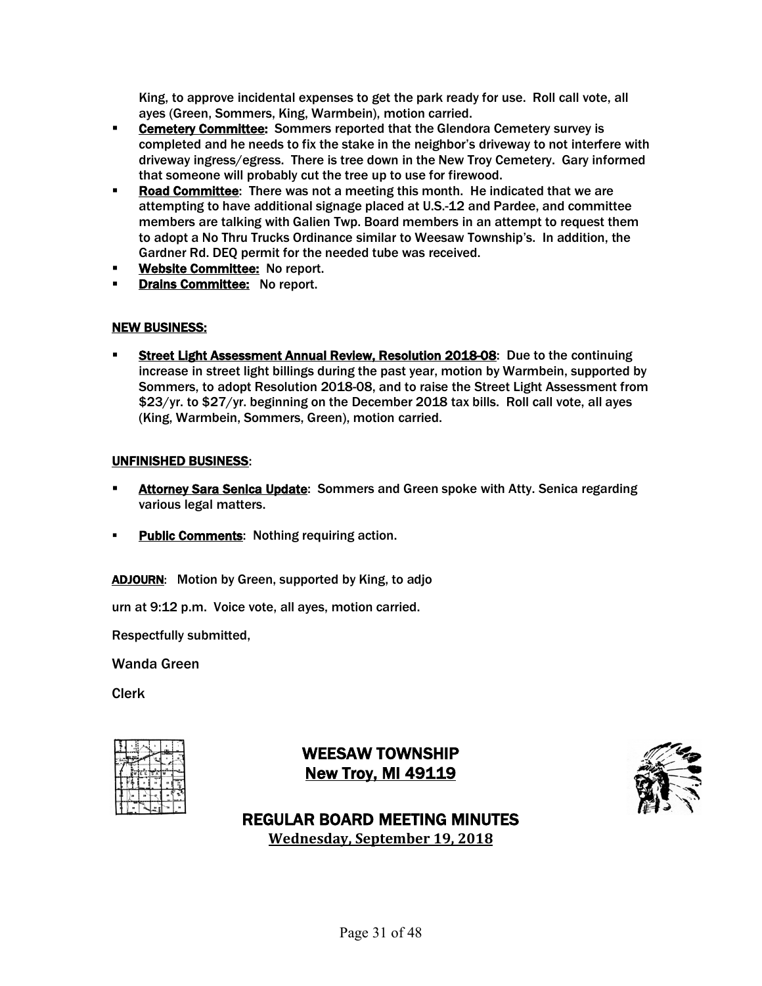King, to approve incidental expenses to get the park ready for use. Roll call vote, all ayes (Green, Sommers, King, Warmbein), motion carried.

- **Cemetery Committee:** Sommers reported that the Glendora Cemetery survey is completed and he needs to fix the stake in the neighbor's driveway to not interfere with driveway ingress/egress. There is tree down in the New Troy Cemetery. Gary informed that someone will probably cut the tree up to use for firewood.
- **Road Committee:** There was not a meeting this month. He indicated that we are attempting to have additional signage placed at U.S.-12 and Pardee, and committee members are talking with Galien Twp. Board members in an attempt to request them to adopt a No Thru Trucks Ordinance similar to Weesaw Township's. In addition, the Gardner Rd. DEQ permit for the needed tube was received.
- **Website Committee: No report.**
- **Drains Committee: No report.**

#### NEW BUSINESS:

Street Light Assessment Annual Review, Resolution 2018-08: Due to the continuing increase in street light billings during the past year, motion by Warmbein, supported by Sommers, to adopt Resolution 2018-08, and to raise the Street Light Assessment from \$23/yr. to \$27/yr. beginning on the December 2018 tax bills. Roll call vote, all ayes (King, Warmbein, Sommers, Green), motion carried.

#### UNFINISHED BUSINESS:

- **EXEDENT Attorney Sara Senica Update:** Sommers and Green spoke with Atty. Senica regarding various legal matters.
- **Public Comments:** Nothing requiring action.

ADJOURN: Motion by Green, supported by King, to adjo

urn at 9:12 p.m. Voice vote, all ayes, motion carried.

Respectfully submitted,

Wanda Green

Clerk

# WEESAW TOWNSHIP **New Troy, MI 49119**



REGULAR BOARD MEETING MINUTES **Wednesday, September 19, 2018**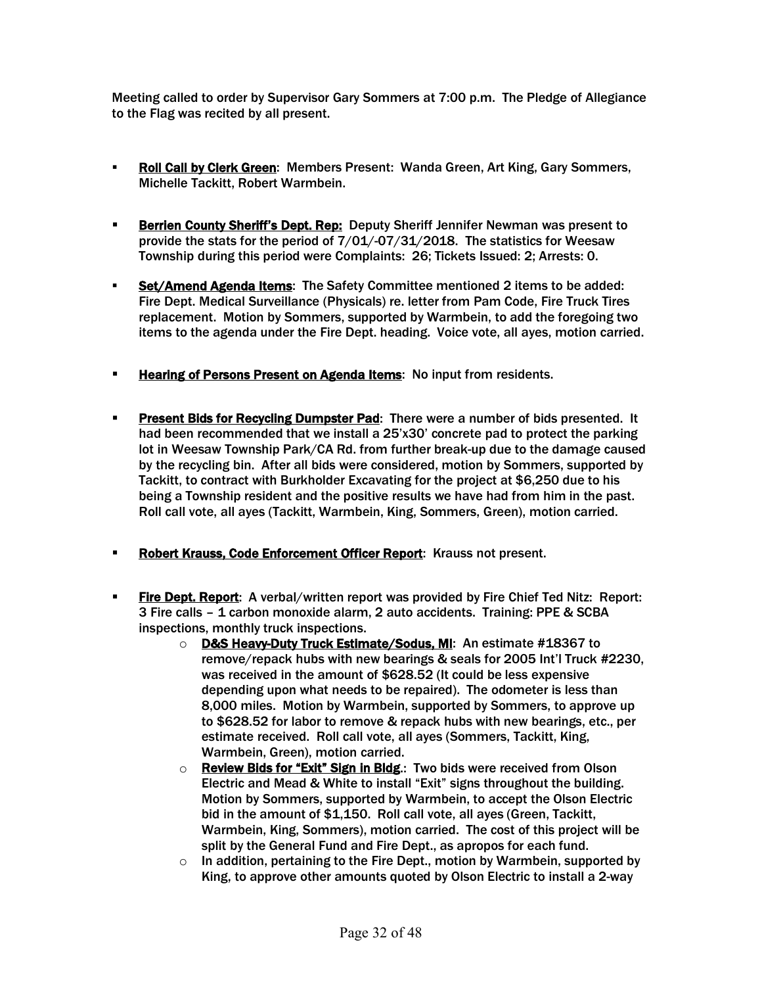- **Roll Call by Clerk Green: Members Present: Wanda Green, Art King, Gary Sommers,** Michelle Tackitt, Robert Warmbein.
- **Berrien County Sheriff's Dept. Rep: Deputy Sheriff Jennifer Newman was present to** provide the stats for the period of 7/01/-07/31/2018. The statistics for Weesaw Township during this period were Complaints: 26; Tickets Issued: 2; Arrests: 0.
- § Set/Amend Agenda Items: The Safety Committee mentioned 2 items to be added: Fire Dept. Medical Surveillance (Physicals) re. letter from Pam Code, Fire Truck Tires replacement. Motion by Sommers, supported by Warmbein, to add the foregoing two items to the agenda under the Fire Dept. heading. Voice vote, all ayes, motion carried.
- **EXEDER** Hearing of Persons Present on Agenda Items: No input from residents.
- **Present Bids for Recycling Dumpster Pad:** There were a number of bids presented. It had been recommended that we install a 25'x30' concrete pad to protect the parking lot in Weesaw Township Park/CA Rd. from further break-up due to the damage caused by the recycling bin. After all bids were considered, motion by Sommers, supported by Tackitt, to contract with Burkholder Excavating for the project at \$6,250 due to his being a Township resident and the positive results we have had from him in the past. Roll call vote, all ayes (Tackitt, Warmbein, King, Sommers, Green), motion carried.
- **Robert Krauss, Code Enforcement Officer Report:** Krauss not present.
- **Fire Dept. Report:** A verbal/written report was provided by Fire Chief Ted Nitz: Report: 3 Fire calls – 1 carbon monoxide alarm, 2 auto accidents. Training: PPE & SCBA inspections, monthly truck inspections.
	- o D&S Heavy-Duty Truck Estimate/Sodus, MI: An estimate #18367 to remove/repack hubs with new bearings & seals for 2005 Int'l Truck #2230, was received in the amount of \$628.52 (It could be less expensive depending upon what needs to be repaired). The odometer is less than 8,000 miles. Motion by Warmbein, supported by Sommers, to approve up to \$628.52 for labor to remove & repack hubs with new bearings, etc., per estimate received. Roll call vote, all ayes (Sommers, Tackitt, King, Warmbein, Green), motion carried.
	- o Review Bids for "Exit" Sign in Bldg.: Two bids were received from Olson Electric and Mead & White to install "Exit" signs throughout the building. Motion by Sommers, supported by Warmbein, to accept the Olson Electric bid in the amount of \$1,150. Roll call vote, all ayes (Green, Tackitt, Warmbein, King, Sommers), motion carried. The cost of this project will be split by the General Fund and Fire Dept., as apropos for each fund.
	- $\circ$  In addition, pertaining to the Fire Dept., motion by Warmbein, supported by King, to approve other amounts quoted by Olson Electric to install a 2-way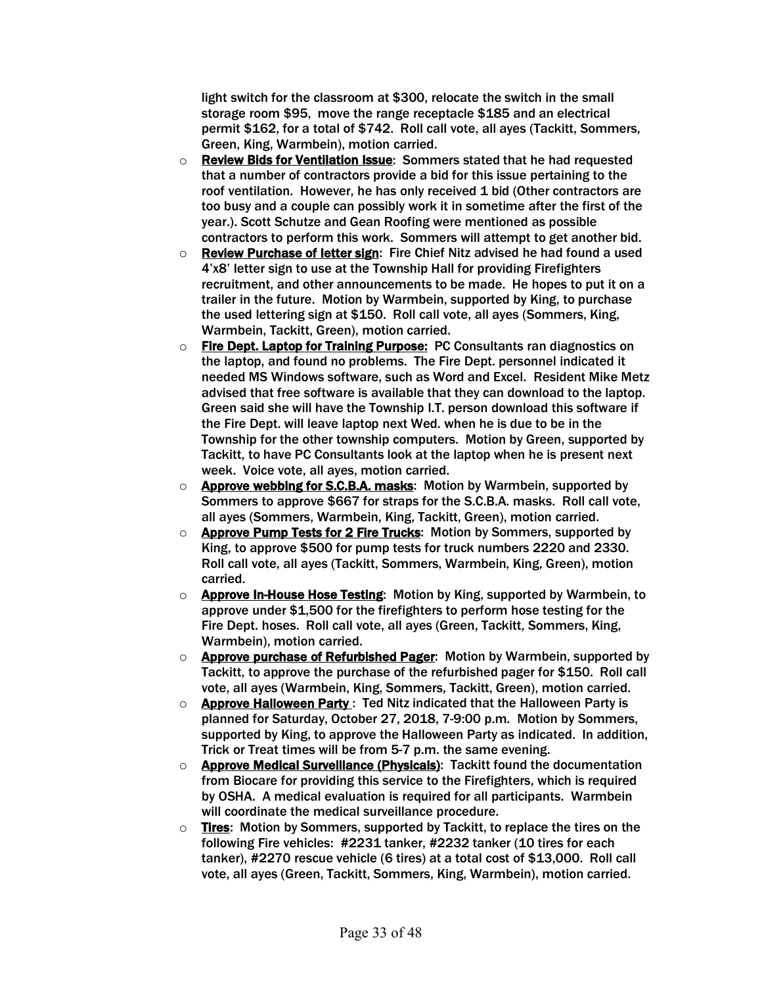light switch for the classroom at \$300, relocate the switch in the small storage room \$95, move the range receptacle \$185 and an electrical permit \$162, for a total of \$742. Roll call vote, all ayes (Tackitt, Sommers, Green, King, Warmbein), motion carried.

- o Review Bids for Ventilation Issue: Sommers stated that he had requested that a number of contractors provide a bid for this issue pertaining to the roof ventilation. However, he has only received 1 bid (Other contractors are too busy and a couple can possibly work it in sometime after the first of the year.). Scott Schutze and Gean Roofing were mentioned as possible contractors to perform this work. Sommers will attempt to get another bid.
- o Review Purchase of letter sign: Fire Chief Nitz advised he had found a used 4'x8' letter sign to use at the Township Hall for providing Firefighters recruitment, and other announcements to be made. He hopes to put it on a trailer in the future. Motion by Warmbein, supported by King, to purchase the used lettering sign at \$150. Roll call vote, all ayes (Sommers, King, Warmbein, Tackitt, Green), motion carried.
- o Fire Dept. Laptop for Training Purpose: PC Consultants ran diagnostics on the laptop, and found no problems. The Fire Dept. personnel indicated it needed MS Windows software, such as Word and Excel. Resident Mike Metz advised that free software is available that they can download to the laptop. Green said she will have the Township I.T. person download this software if the Fire Dept. will leave laptop next Wed. when he is due to be in the Township for the other township computers. Motion by Green, supported by Tackitt, to have PC Consultants look at the laptop when he is present next week. Voice vote, all ayes, motion carried.
- o Approve webbing for S.C.B.A. masks: Motion by Warmbein, supported by Sommers to approve \$667 for straps for the S.C.B.A. masks. Roll call vote, all ayes (Sommers, Warmbein, King, Tackitt, Green), motion carried.
- $\circ$  Approve Pump Tests for 2 Fire Trucks: Motion by Sommers, supported by King, to approve \$500 for pump tests for truck numbers 2220 and 2330. Roll call vote, all ayes (Tackitt, Sommers, Warmbein, King, Green), motion carried.
- $\circ$  Approve In-House Hose Testing: Motion by King, supported by Warmbein, to approve under \$1,500 for the firefighters to perform hose testing for the Fire Dept. hoses. Roll call vote, all ayes (Green, Tackitt, Sommers, King, Warmbein), motion carried.
- o Approve purchase of Refurbished Pager: Motion by Warmbein, supported by Tackitt, to approve the purchase of the refurbished pager for \$150. Roll call vote, all ayes (Warmbein, King, Sommers, Tackitt, Green), motion carried.
- $\circ$  Approve Halloween Party: Ted Nitz indicated that the Halloween Party is planned for Saturday, October 27, 2018, 7-9:00 p.m. Motion by Sommers, supported by King, to approve the Halloween Party as indicated. In addition, Trick or Treat times will be from 5-7 p.m. the same evening.
- o **Approve Medical Surveillance (Physicals)**: Tackitt found the documentation from Biocare for providing this service to the Firefighters, which is required by OSHA. A medical evaluation is required for all participants. Warmbein will coordinate the medical surveillance procedure.
- $\circ$  Tires: Motion by Sommers, supported by Tackitt, to replace the tires on the following Fire vehicles: #2231 tanker, #2232 tanker (10 tires for each tanker), #2270 rescue vehicle (6 tires) at a total cost of \$13,000. Roll call vote, all ayes (Green, Tackitt, Sommers, King, Warmbein), motion carried.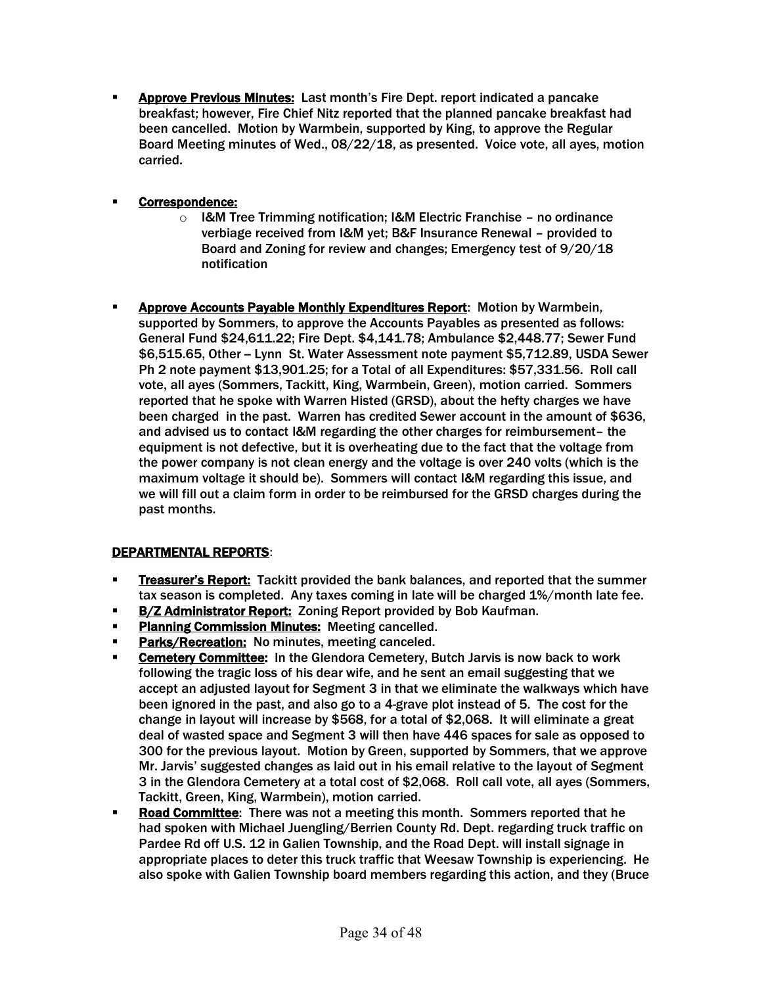§ Approve Previous Minutes: Last month's Fire Dept. report indicated a pancake breakfast; however, Fire Chief Nitz reported that the planned pancake breakfast had been cancelled. Motion by Warmbein, supported by King, to approve the Regular Board Meeting minutes of Wed., 08/22/18, as presented. Voice vote, all ayes, motion carried.

#### § Correspondence:

- $\circ$  I&M Tree Trimming notification; I&M Electric Franchise no ordinance verbiage received from I&M yet; B&F Insurance Renewal – provided to Board and Zoning for review and changes; Emergency test of 9/20/18 notification
- Approve Accounts Payable Monthly Expenditures Report: Motion by Warmbein, supported by Sommers, to approve the Accounts Payables as presented as follows: General Fund \$24,611.22; Fire Dept. \$4,141.78; Ambulance \$2,448.77; Sewer Fund \$6,515.65, Other -- Lynn St. Water Assessment note payment \$5,712.89, USDA Sewer Ph 2 note payment \$13,901.25; for a Total of all Expenditures: \$57,331.56. Roll call vote, all ayes (Sommers, Tackitt, King, Warmbein, Green), motion carried. Sommers reported that he spoke with Warren Histed (GRSD), about the hefty charges we have been charged in the past. Warren has credited Sewer account in the amount of \$636, and advised us to contact I&M regarding the other charges for reimbursement– the equipment is not defective, but it is overheating due to the fact that the voltage from the power company is not clean energy and the voltage is over 240 volts (which is the maximum voltage it should be). Sommers will contact I&M regarding this issue, and we will fill out a claim form in order to be reimbursed for the GRSD charges during the past months.

#### DEPARTMENTAL REPORTS:

- **Treasurer's Report:** Tackitt provided the bank balances, and reported that the summer tax season is completed. Any taxes coming in late will be charged 1%/month late fee.
- **B/Z Administrator Report: Zoning Report provided by Bob Kaufman.**
- **Planning Commission Minutes: Meeting cancelled.**
- Parks/Recreation: No minutes, meeting canceled.
- Cemetery Committee: In the Glendora Cemetery, Butch Jarvis is now back to work following the tragic loss of his dear wife, and he sent an email suggesting that we accept an adjusted layout for Segment 3 in that we eliminate the walkways which have been ignored in the past, and also go to a 4-grave plot instead of 5. The cost for the change in layout will increase by \$568, for a total of \$2,068. It will eliminate a great deal of wasted space and Segment 3 will then have 446 spaces for sale as opposed to 300 for the previous layout. Motion by Green, supported by Sommers, that we approve Mr. Jarvis' suggested changes as laid out in his email relative to the layout of Segment 3 in the Glendora Cemetery at a total cost of \$2,068. Roll call vote, all ayes (Sommers, Tackitt, Green, King, Warmbein), motion carried.
- **Road Committee:** There was not a meeting this month. Sommers reported that he had spoken with Michael Juengling/Berrien County Rd. Dept. regarding truck traffic on Pardee Rd off U.S. 12 in Galien Township, and the Road Dept. will install signage in appropriate places to deter this truck traffic that Weesaw Township is experiencing. He also spoke with Galien Township board members regarding this action, and they (Bruce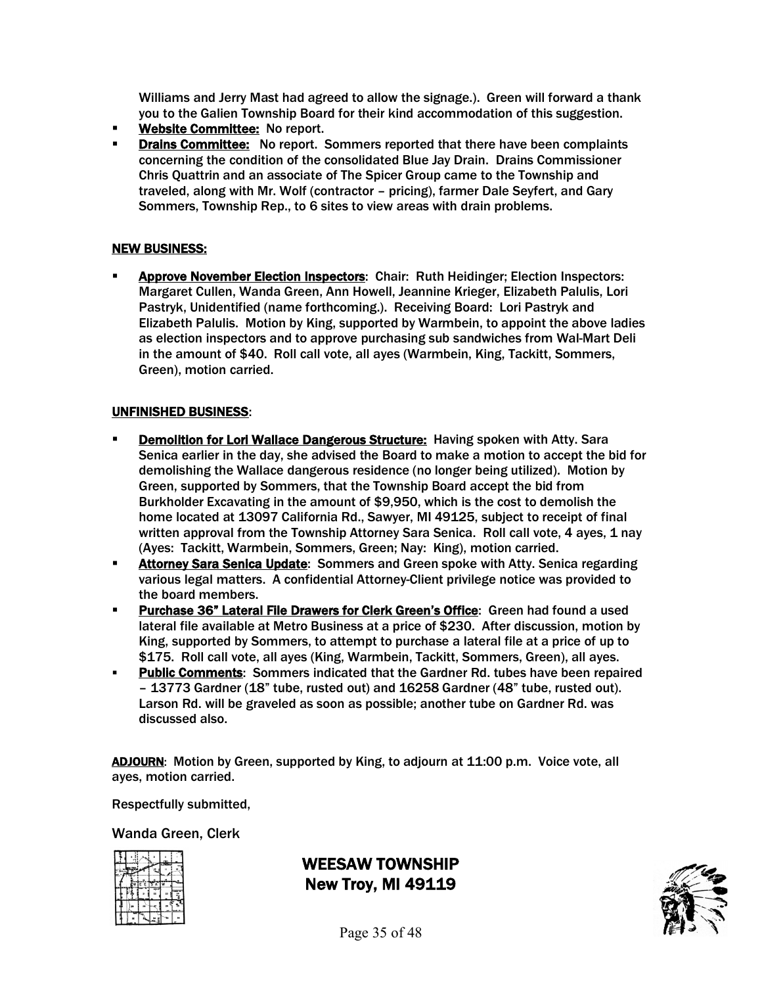Williams and Jerry Mast had agreed to allow the signage.). Green will forward a thank you to the Galien Township Board for their kind accommodation of this suggestion.

- **EXECOMMITTEE: No report.**
- **Drains Committee:** No report. Sommers reported that there have been complaints concerning the condition of the consolidated Blue Jay Drain. Drains Commissioner Chris Quattrin and an associate of The Spicer Group came to the Township and traveled, along with Mr. Wolf (contractor – pricing), farmer Dale Seyfert, and Gary Sommers, Township Rep., to 6 sites to view areas with drain problems.

#### NEW BUSINESS:

§ Approve November Election Inspectors: Chair: Ruth Heidinger; Election Inspectors: Margaret Cullen, Wanda Green, Ann Howell, Jeannine Krieger, Elizabeth Palulis, Lori Pastryk, Unidentified (name forthcoming.). Receiving Board: Lori Pastryk and Elizabeth Palulis. Motion by King, supported by Warmbein, to appoint the above ladies as election inspectors and to approve purchasing sub sandwiches from Wal-Mart Deli in the amount of \$40. Roll call vote, all ayes (Warmbein, King, Tackitt, Sommers, Green), motion carried.

#### UNFINISHED BUSINESS:

- **Demolition for Lori Wallace Dangerous Structure: Having spoken with Atty. Sara** Senica earlier in the day, she advised the Board to make a motion to accept the bid for demolishing the Wallace dangerous residence (no longer being utilized). Motion by Green, supported by Sommers, that the Township Board accept the bid from Burkholder Excavating in the amount of \$9,950, which is the cost to demolish the home located at 13097 California Rd., Sawyer, MI 49125, subject to receipt of final written approval from the Township Attorney Sara Senica. Roll call vote, 4 ayes, 1 nay (Ayes: Tackitt, Warmbein, Sommers, Green; Nay: King), motion carried.
- **EXEDENT Attorney Sara Senica Update:** Sommers and Green spoke with Atty. Senica regarding various legal matters. A confidential Attorney-Client privilege notice was provided to the board members.
- **Purchase 36" Lateral File Drawers for Clerk Green's Office:** Green had found a used lateral file available at Metro Business at a price of \$230. After discussion, motion by King, supported by Sommers, to attempt to purchase a lateral file at a price of up to \$175. Roll call vote, all ayes (King, Warmbein, Tackitt, Sommers, Green), all ayes.
- **Public Comments:** Sommers indicated that the Gardner Rd. tubes have been repaired – 13773 Gardner (18" tube, rusted out) and 16258 Gardner (48" tube, rusted out). Larson Rd. will be graveled as soon as possible; another tube on Gardner Rd. was discussed also.

ADJOURN: Motion by Green, supported by King, to adjourn at 11:00 p.m. Voice vote, all ayes, motion carried.

Respectfully submitted,

#### Wanda Green, Clerk

|  |          | <b>Tres</b> |  |
|--|----------|-------------|--|
|  | E E IS A |             |  |
|  |          |             |  |
|  |          |             |  |
|  |          |             |  |

WEESAW TOWNSHIP New Troy, MI 49119

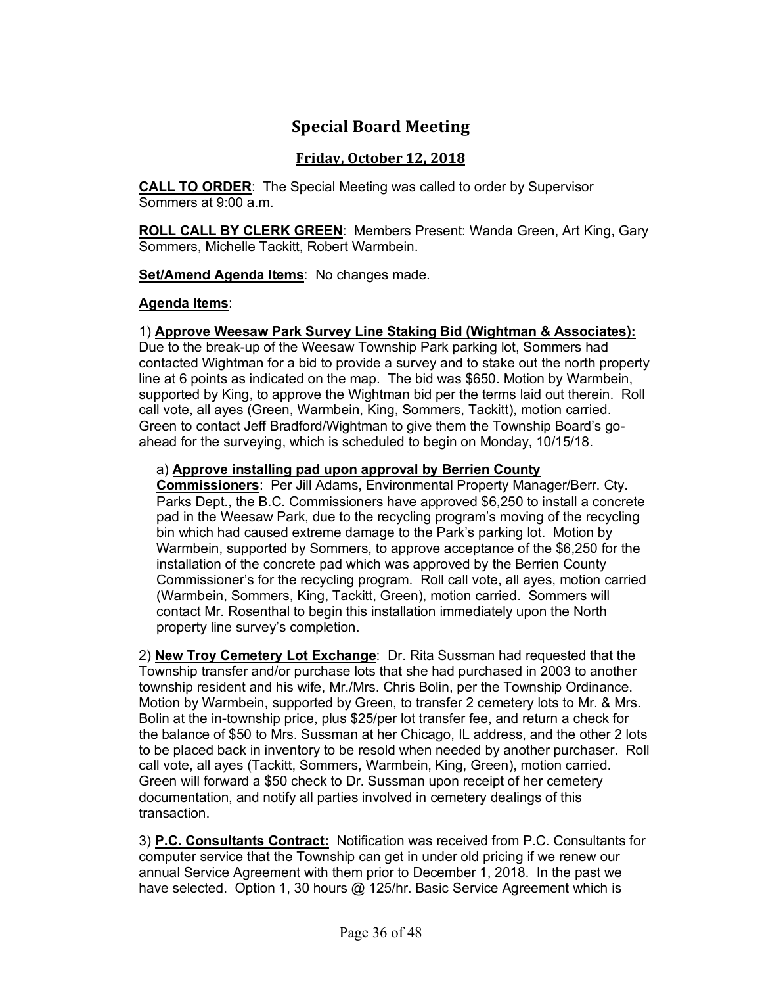# **Special Board Meeting**

### **Friday, October 12, 2018**

**CALL TO ORDER**: The Special Meeting was called to order by Supervisor Sommers at 9:00 a.m.

**ROLL CALL BY CLERK GREEN**: Members Present: Wanda Green, Art King, Gary Sommers, Michelle Tackitt, Robert Warmbein.

**Set/Amend Agenda Items**: No changes made.

### **Agenda Items**:

### 1) **Approve Weesaw Park Survey Line Staking Bid (Wightman & Associates):**

Due to the break-up of the Weesaw Township Park parking lot, Sommers had contacted Wightman for a bid to provide a survey and to stake out the north property line at 6 points as indicated on the map. The bid was \$650. Motion by Warmbein, supported by King, to approve the Wightman bid per the terms laid out therein. Roll call vote, all ayes (Green, Warmbein, King, Sommers, Tackitt), motion carried. Green to contact Jeff Bradford/Wightman to give them the Township Board's goahead for the surveying, which is scheduled to begin on Monday, 10/15/18.

### a) **Approve installing pad upon approval by Berrien County**

**Commissioners**: Per Jill Adams, Environmental Property Manager/Berr. Cty. Parks Dept., the B.C. Commissioners have approved \$6,250 to install a concrete pad in the Weesaw Park, due to the recycling program's moving of the recycling bin which had caused extreme damage to the Park's parking lot. Motion by Warmbein, supported by Sommers, to approve acceptance of the \$6,250 for the installation of the concrete pad which was approved by the Berrien County Commissioner's for the recycling program. Roll call vote, all ayes, motion carried (Warmbein, Sommers, King, Tackitt, Green), motion carried. Sommers will contact Mr. Rosenthal to begin this installation immediately upon the North property line survey's completion.

2) **New Troy Cemetery Lot Exchange**: Dr. Rita Sussman had requested that the Township transfer and/or purchase lots that she had purchased in 2003 to another township resident and his wife, Mr./Mrs. Chris Bolin, per the Township Ordinance. Motion by Warmbein, supported by Green, to transfer 2 cemetery lots to Mr. & Mrs. Bolin at the in-township price, plus \$25/per lot transfer fee, and return a check for the balance of \$50 to Mrs. Sussman at her Chicago, IL address, and the other 2 lots to be placed back in inventory to be resold when needed by another purchaser. Roll call vote, all ayes (Tackitt, Sommers, Warmbein, King, Green), motion carried. Green will forward a \$50 check to Dr. Sussman upon receipt of her cemetery documentation, and notify all parties involved in cemetery dealings of this transaction.

3) **P.C. Consultants Contract:** Notification was received from P.C. Consultants for computer service that the Township can get in under old pricing if we renew our annual Service Agreement with them prior to December 1, 2018. In the past we have selected. Option 1, 30 hours @ 125/hr. Basic Service Agreement which is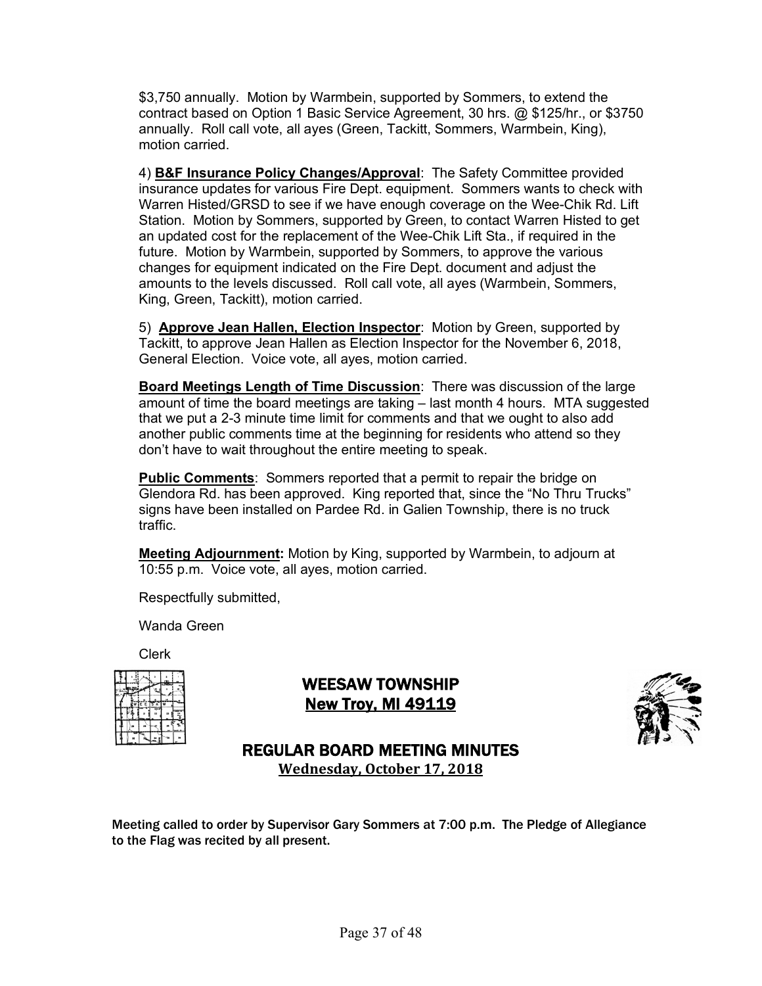\$3,750 annually. Motion by Warmbein, supported by Sommers, to extend the contract based on Option 1 Basic Service Agreement, 30 hrs. @ \$125/hr., or \$3750 annually. Roll call vote, all ayes (Green, Tackitt, Sommers, Warmbein, King), motion carried.

4) **B&F Insurance Policy Changes/Approval**: The Safety Committee provided insurance updates for various Fire Dept. equipment. Sommers wants to check with Warren Histed/GRSD to see if we have enough coverage on the Wee-Chik Rd. Lift Station. Motion by Sommers, supported by Green, to contact Warren Histed to get an updated cost for the replacement of the Wee-Chik Lift Sta., if required in the future. Motion by Warmbein, supported by Sommers, to approve the various changes for equipment indicated on the Fire Dept. document and adjust the amounts to the levels discussed. Roll call vote, all ayes (Warmbein, Sommers, King, Green, Tackitt), motion carried.

5) **Approve Jean Hallen, Election Inspector**: Motion by Green, supported by Tackitt, to approve Jean Hallen as Election Inspector for the November 6, 2018, General Election. Voice vote, all ayes, motion carried.

**Board Meetings Length of Time Discussion**: There was discussion of the large amount of time the board meetings are taking – last month 4 hours. MTA suggested that we put a 2-3 minute time limit for comments and that we ought to also add another public comments time at the beginning for residents who attend so they don't have to wait throughout the entire meeting to speak.

**Public Comments:** Sommers reported that a permit to repair the bridge on Glendora Rd. has been approved. King reported that, since the "No Thru Trucks" signs have been installed on Pardee Rd. in Galien Township, there is no truck traffic.

**Meeting Adjournment:** Motion by King, supported by Warmbein, to adjourn at 10:55 p.m. Voice vote, all ayes, motion carried.

Respectfully submitted,

Wanda Green

Clerk

|  | TE E TS |  |   |
|--|---------|--|---|
|  |         |  | 븽 |
|  |         |  |   |
|  |         |  |   |

WEESAW TOWNSHIP New Troy, MI 49119



# REGULAR BOARD MEETING MINUTES

**Wednesday, October 17, 2018**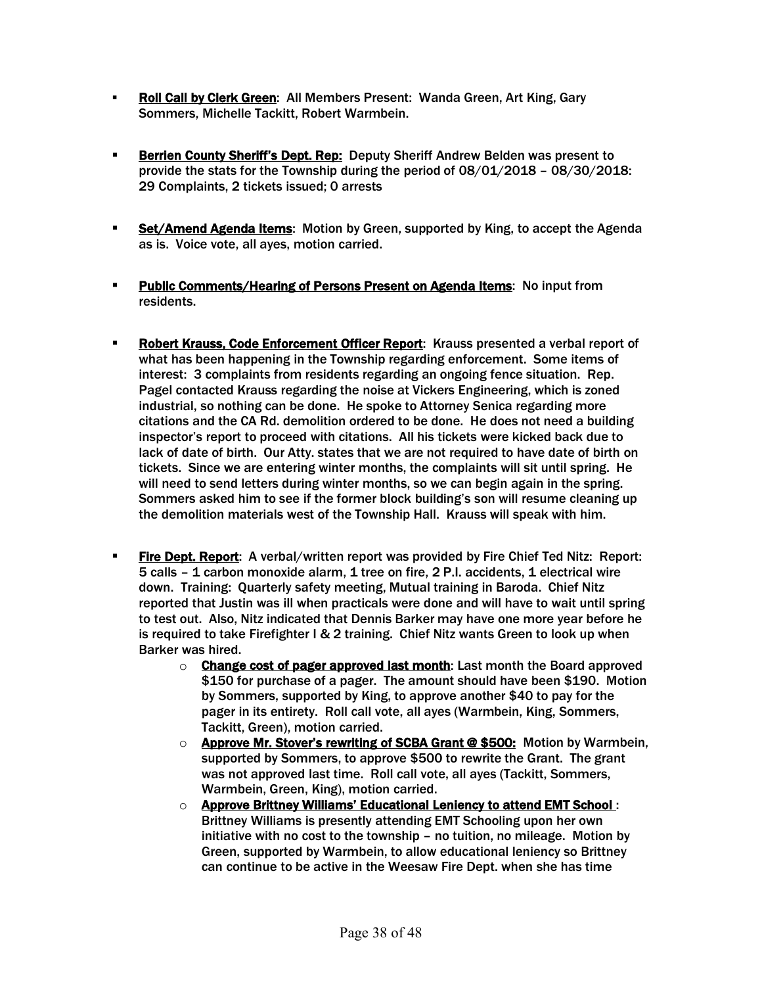- § Roll Call by Clerk Green: All Members Present: Wanda Green, Art King, Gary Sommers, Michelle Tackitt, Robert Warmbein.
- **Berrien County Sheriff's Dept. Rep:** Deputy Sheriff Andrew Belden was present to provide the stats for the Township during the period of 08/01/2018 – 08/30/2018: 29 Complaints, 2 tickets issued; 0 arrests
- **EXECT** Set/Amend Agenda Items: Motion by Green, supported by King, to accept the Agenda as is. Voice vote, all ayes, motion carried.
- **Public Comments/Hearing of Persons Present on Agenda Items:** No input from residents.
- **Robert Krauss, Code Enforcement Officer Report:** Krauss presented a verbal report of what has been happening in the Township regarding enforcement. Some items of interest: 3 complaints from residents regarding an ongoing fence situation. Rep. Pagel contacted Krauss regarding the noise at Vickers Engineering, which is zoned industrial, so nothing can be done. He spoke to Attorney Senica regarding more citations and the CA Rd. demolition ordered to be done. He does not need a building inspector's report to proceed with citations. All his tickets were kicked back due to lack of date of birth. Our Atty. states that we are not required to have date of birth on tickets. Since we are entering winter months, the complaints will sit until spring. He will need to send letters during winter months, so we can begin again in the spring. Sommers asked him to see if the former block building's son will resume cleaning up the demolition materials west of the Township Hall. Krauss will speak with him.
- **Eire Dept. Report:** A verbal/written report was provided by Fire Chief Ted Nitz: Report: 5 calls – 1 carbon monoxide alarm, 1 tree on fire, 2 P.I. accidents, 1 electrical wire down. Training: Quarterly safety meeting, Mutual training in Baroda. Chief Nitz reported that Justin was ill when practicals were done and will have to wait until spring to test out. Also, Nitz indicated that Dennis Barker may have one more year before he is required to take Firefighter I & 2 training. Chief Nitz wants Green to look up when Barker was hired.
	- $\circ$  Change cost of pager approved last month: Last month the Board approved \$150 for purchase of a pager. The amount should have been \$190. Motion by Sommers, supported by King, to approve another \$40 to pay for the pager in its entirety. Roll call vote, all ayes (Warmbein, King, Sommers, Tackitt, Green), motion carried.
	- $\circ$  Approve Mr. Stover's rewriting of SCBA Grant @ \$500: Motion by Warmbein, supported by Sommers, to approve \$500 to rewrite the Grant. The grant was not approved last time. Roll call vote, all ayes (Tackitt, Sommers, Warmbein, Green, King), motion carried.
	- o Approve Brittney Williams' Educational Leniency to attend EMT School : Brittney Williams is presently attending EMT Schooling upon her own initiative with no cost to the township – no tuition, no mileage. Motion by Green, supported by Warmbein, to allow educational leniency so Brittney can continue to be active in the Weesaw Fire Dept. when she has time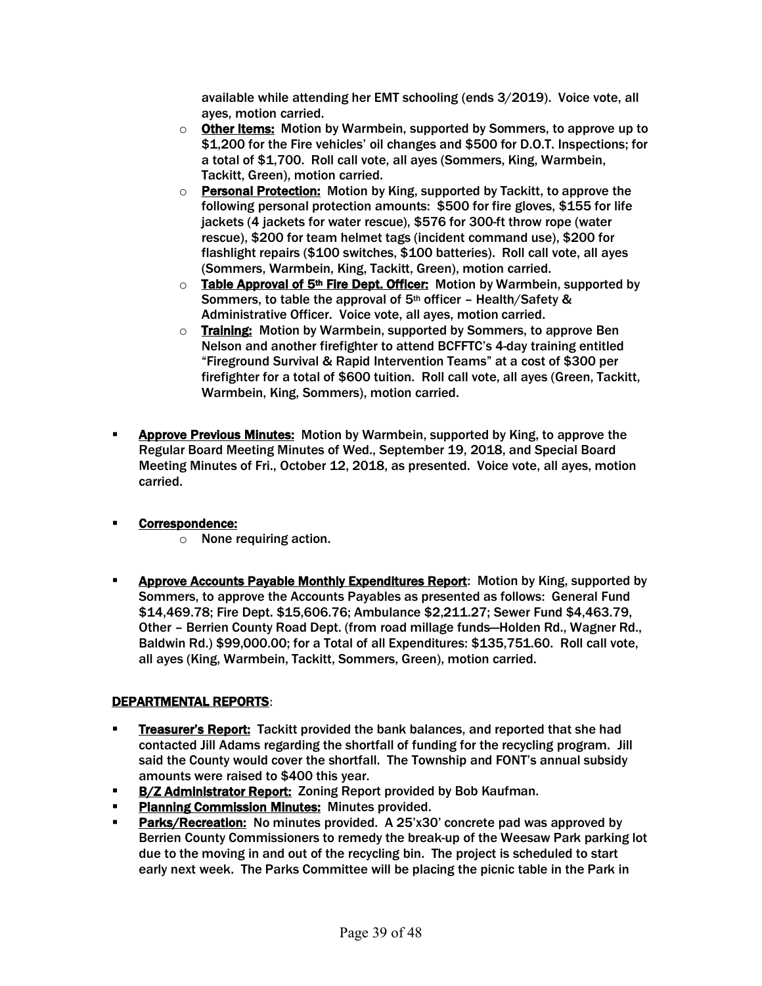available while attending her EMT schooling (ends 3/2019). Voice vote, all ayes, motion carried.

- $\circ$  **Other Items:** Motion by Warmbein, supported by Sommers, to approve up to \$1,200 for the Fire vehicles' oil changes and \$500 for D.O.T. Inspections; for a total of \$1,700. Roll call vote, all ayes (Sommers, King, Warmbein, Tackitt, Green), motion carried.
- o Personal Protection: Motion by King, supported by Tackitt, to approve the following personal protection amounts: \$500 for fire gloves, \$155 for life jackets (4 jackets for water rescue), \$576 for 300-ft throw rope (water rescue), \$200 for team helmet tags (incident command use), \$200 for flashlight repairs (\$100 switches, \$100 batteries). Roll call vote, all ayes (Sommers, Warmbein, King, Tackitt, Green), motion carried.
- $\circ$  Table Approval of 5<sup>th</sup> Fire Dept. Officer: Motion by Warmbein, supported by Sommers, to table the approval of 5th officer – Health/Safety & Administrative Officer. Voice vote, all ayes, motion carried.
- o Training: Motion by Warmbein, supported by Sommers, to approve Ben Nelson and another firefighter to attend BCFFTC's 4-day training entitled "Fireground Survival & Rapid Intervention Teams" at a cost of \$300 per firefighter for a total of \$600 tuition. Roll call vote, all ayes (Green, Tackitt, Warmbein, King, Sommers), motion carried.
- **EXPEDENTIFY Approve Previous Minutes:** Motion by Warmbein, supported by King, to approve the Regular Board Meeting Minutes of Wed., September 19, 2018, and Special Board Meeting Minutes of Fri., October 12, 2018, as presented. Voice vote, all ayes, motion carried.

#### § Correspondence:

- o None requiring action.
- **EXPROVE ACCOUNTY ASSET ASSET ASSET ASSET ASSET ASSET** Motion by King, supported by Sommers, to approve the Accounts Payables as presented as follows: General Fund \$14,469.78; Fire Dept. \$15,606.76; Ambulance \$2,211.27; Sewer Fund \$4,463.79, Other – Berrien County Road Dept. (from road millage funds—Holden Rd., Wagner Rd., Baldwin Rd.) \$99,000.00; for a Total of all Expenditures: \$135,751.60. Roll call vote, all ayes (King, Warmbein, Tackitt, Sommers, Green), motion carried.

### DEPARTMENTAL REPORTS:

- **Examber's Treasurer's Report:** Tackitt provided the bank balances, and reported that she had contacted Jill Adams regarding the shortfall of funding for the recycling program. Jill said the County would cover the shortfall. The Township and FONT's annual subsidy amounts were raised to \$400 this year.
- **B/Z Administrator Report: Zoning Report provided by Bob Kaufman.**
- § Planning Commission Minutes: Minutes provided.
- Parks/Recreation: No minutes provided. A 25'x30' concrete pad was approved by Berrien County Commissioners to remedy the break-up of the Weesaw Park parking lot due to the moving in and out of the recycling bin. The project is scheduled to start early next week. The Parks Committee will be placing the picnic table in the Park in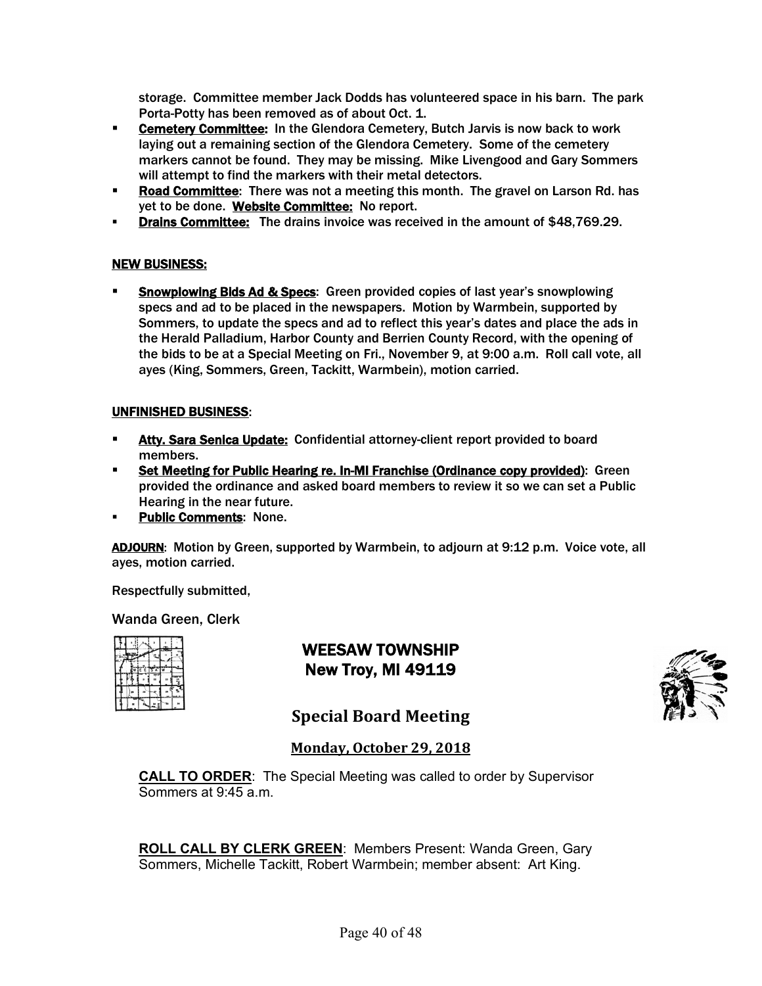storage. Committee member Jack Dodds has volunteered space in his barn. The park Porta-Potty has been removed as of about Oct. 1.

- **Cemetery Committee:** In the Glendora Cemetery, Butch Jarvis is now back to work laying out a remaining section of the Glendora Cemetery. Some of the cemetery markers cannot be found. They may be missing. Mike Livengood and Gary Sommers will attempt to find the markers with their metal detectors.
- **Road Committee:** There was not a meeting this month. The gravel on Larson Rd. has yet to be done. Website Committee: No report.
- **Drains Committee:** The drains invoice was received in the amount of \$48,769.29.

#### NEW BUSINESS:

**• Snowplowing Bids Ad & Specs:** Green provided copies of last year's snowplowing specs and ad to be placed in the newspapers. Motion by Warmbein, supported by Sommers, to update the specs and ad to reflect this year's dates and place the ads in the Herald Palladium, Harbor County and Berrien County Record, with the opening of the bids to be at a Special Meeting on Fri., November 9, at 9:00 a.m. Roll call vote, all ayes (King, Sommers, Green, Tackitt, Warmbein), motion carried.

#### UNFINISHED BUSINESS:

- **EXTER 15 Atty. Sara Senica Update:** Confidential attorney-client report provided to board members.
- § Set Meeting for Public Hearing re. In-MI Franchise (Ordinance copy provided): Green provided the ordinance and asked board members to review it so we can set a Public Hearing in the near future.
- **Public Comments: None.**

ADJOURN: Motion by Green, supported by Warmbein, to adjourn at 9:12 p.m. Voice vote, all ayes, motion carried.

Respectfully submitted,

Wanda Green, Clerk

|  | FТ<br>F |   |  |
|--|---------|---|--|
|  |         |   |  |
|  |         | × |  |
|  |         |   |  |

WEESAW TOWNSHIP New Troy, MI 49119



**Special Board Meeting** 

#### **Monday, October 29, 2018**

**CALL TO ORDER**: The Special Meeting was called to order by Supervisor Sommers at 9:45 a.m.

**ROLL CALL BY CLERK GREEN**: Members Present: Wanda Green, Gary Sommers, Michelle Tackitt, Robert Warmbein; member absent: Art King.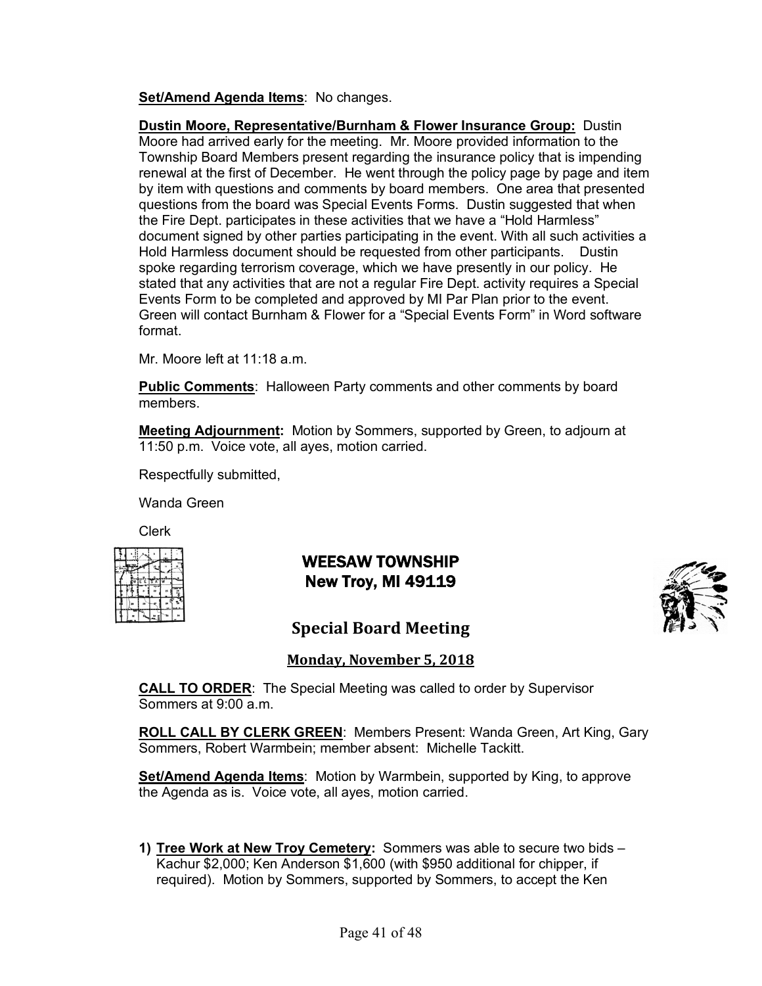**Set/Amend Agenda Items**: No changes.

**Dustin Moore, Representative/Burnham & Flower Insurance Group:** Dustin Moore had arrived early for the meeting. Mr. Moore provided information to the Township Board Members present regarding the insurance policy that is impending renewal at the first of December. He went through the policy page by page and item by item with questions and comments by board members. One area that presented questions from the board was Special Events Forms. Dustin suggested that when the Fire Dept. participates in these activities that we have a "Hold Harmless" document signed by other parties participating in the event. With all such activities a Hold Harmless document should be requested from other participants. Dustin spoke regarding terrorism coverage, which we have presently in our policy. He stated that any activities that are not a regular Fire Dept. activity requires a Special Events Form to be completed and approved by MI Par Plan prior to the event. Green will contact Burnham & Flower for a "Special Events Form" in Word software format.

Mr. Moore left at  $11:18$  a.m.

**Public Comments**: Halloween Party comments and other comments by board members.

**Meeting Adjournment:** Motion by Sommers, supported by Green, to adjourn at 11:50 p.m. Voice vote, all ayes, motion carried.

Respectfully submitted,

Wanda Green

Clerk

|  | ਵਿੱਚ 18 ਨੇ 1 w |    |
|--|----------------|----|
|  |                | 'n |
|  |                |    |
|  |                |    |

# WEESAW TOWNSHIP New Troy, MI 49119



# **Special Board Meeting**

### **Monday, November 5, 2018**

**CALL TO ORDER**: The Special Meeting was called to order by Supervisor Sommers at 9:00 a.m.

**ROLL CALL BY CLERK GREEN**: Members Present: Wanda Green, Art King, Gary Sommers, Robert Warmbein; member absent: Michelle Tackitt.

**Set/Amend Agenda Items**: Motion by Warmbein, supported by King, to approve the Agenda as is. Voice vote, all aves, motion carried.

**1) Tree Work at New Troy Cemetery:** Sommers was able to secure two bids – Kachur \$2,000; Ken Anderson \$1,600 (with \$950 additional for chipper, if required). Motion by Sommers, supported by Sommers, to accept the Ken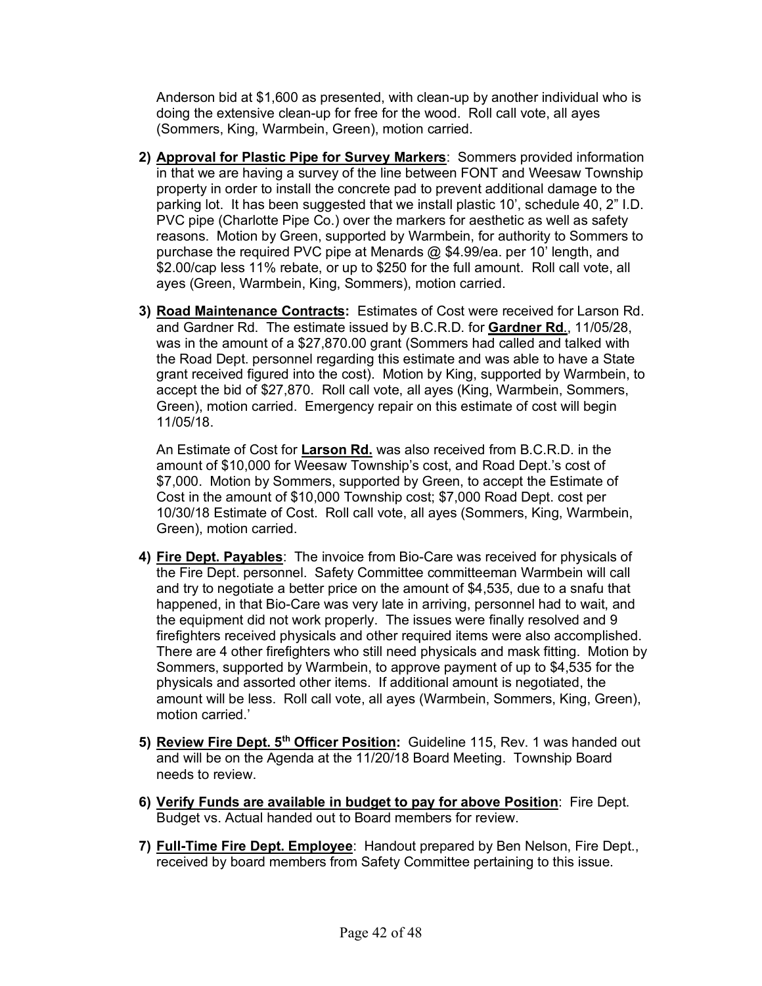Anderson bid at \$1,600 as presented, with clean-up by another individual who is doing the extensive clean-up for free for the wood. Roll call vote, all ayes (Sommers, King, Warmbein, Green), motion carried.

- **2) Approval for Plastic Pipe for Survey Markers**: Sommers provided information in that we are having a survey of the line between FONT and Weesaw Township property in order to install the concrete pad to prevent additional damage to the parking lot. It has been suggested that we install plastic 10', schedule 40, 2" I.D. PVC pipe (Charlotte Pipe Co.) over the markers for aesthetic as well as safety reasons. Motion by Green, supported by Warmbein, for authority to Sommers to purchase the required PVC pipe at Menards @ \$4.99/ea. per 10' length, and \$2.00/cap less 11% rebate, or up to \$250 for the full amount. Roll call vote, all ayes (Green, Warmbein, King, Sommers), motion carried.
- **3) Road Maintenance Contracts:** Estimates of Cost were received for Larson Rd. and Gardner Rd. The estimate issued by B.C.R.D. for **Gardner Rd**., 11/05/28, was in the amount of a \$27,870.00 grant (Sommers had called and talked with the Road Dept. personnel regarding this estimate and was able to have a State grant received figured into the cost). Motion by King, supported by Warmbein, to accept the bid of \$27,870. Roll call vote, all ayes (King, Warmbein, Sommers, Green), motion carried. Emergency repair on this estimate of cost will begin 11/05/18.

An Estimate of Cost for **Larson Rd.** was also received from B.C.R.D. in the amount of \$10,000 for Weesaw Township's cost, and Road Dept.'s cost of \$7,000. Motion by Sommers, supported by Green, to accept the Estimate of Cost in the amount of \$10,000 Township cost; \$7,000 Road Dept. cost per 10/30/18 Estimate of Cost. Roll call vote, all ayes (Sommers, King, Warmbein, Green), motion carried.

- **4) Fire Dept. Payables**: The invoice from Bio-Care was received for physicals of the Fire Dept. personnel. Safety Committee committeeman Warmbein will call and try to negotiate a better price on the amount of \$4,535, due to a snafu that happened, in that Bio-Care was very late in arriving, personnel had to wait, and the equipment did not work properly. The issues were finally resolved and 9 firefighters received physicals and other required items were also accomplished. There are 4 other firefighters who still need physicals and mask fitting. Motion by Sommers, supported by Warmbein, to approve payment of up to \$4,535 for the physicals and assorted other items. If additional amount is negotiated, the amount will be less. Roll call vote, all ayes (Warmbein, Sommers, King, Green), motion carried.'
- **5) Review Fire Dept. 5th Officer Position:** Guideline 115, Rev. 1 was handed out and will be on the Agenda at the 11/20/18 Board Meeting. Township Board needs to review.
- **6) Verify Funds are available in budget to pay for above Position**: Fire Dept. Budget vs. Actual handed out to Board members for review.
- **7) Full-Time Fire Dept. Employee**: Handout prepared by Ben Nelson, Fire Dept., received by board members from Safety Committee pertaining to this issue.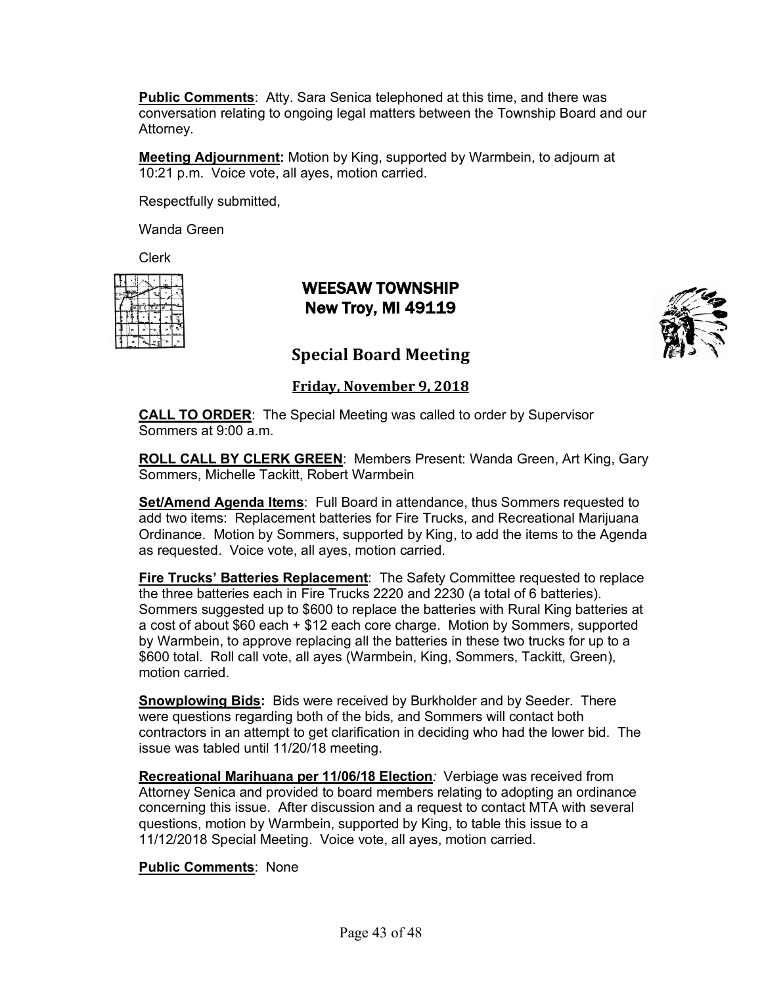**Public Comments**: Atty. Sara Senica telephoned at this time, and there was conversation relating to ongoing legal matters between the Township Board and our Attorney.

**Meeting Adjournment:** Motion by King, supported by Warmbein, to adjourn at 10:21 p.m. Voice vote, all ayes, motion carried.

Respectfully submitted,

Wanda Green

Clerk

|  |       | m |   |
|--|-------|---|---|
|  | EETSA |   |   |
|  |       |   | ÷ |
|  |       |   |   |
|  |       |   |   |

# WEESAW TOWNSHIP New Troy, MI 49119



### **Special Board Meeting**

**Friday, November 9, 2018** 

**CALL TO ORDER**: The Special Meeting was called to order by Supervisor Sommers at 9:00 a.m.

**ROLL CALL BY CLERK GREEN**: Members Present: Wanda Green, Art King, Gary Sommers, Michelle Tackitt, Robert Warmbein

**Set/Amend Agenda Items**: Full Board in attendance, thus Sommers requested to add two items: Replacement batteries for Fire Trucks, and Recreational Marijuana Ordinance. Motion by Sommers, supported by King, to add the items to the Agenda as requested. Voice vote, all ayes, motion carried.

**Fire Trucks' Batteries Replacement**: The Safety Committee requested to replace the three batteries each in Fire Trucks 2220 and 2230 (a total of 6 batteries). Sommers suggested up to \$600 to replace the batteries with Rural King batteries at a cost of about \$60 each + \$12 each core charge. Motion by Sommers, supported by Warmbein, to approve replacing all the batteries in these two trucks for up to a \$600 total. Roll call vote, all ayes (Warmbein, King, Sommers, Tackitt, Green), motion carried.

**Snowplowing Bids:** Bids were received by Burkholder and by Seeder. There were questions regarding both of the bids, and Sommers will contact both contractors in an attempt to get clarification in deciding who had the lower bid. The issue was tabled until 11/20/18 meeting.

**Recreational Marihuana per 11/06/18 Election***:* Verbiage was received from Attorney Senica and provided to board members relating to adopting an ordinance concerning this issue. After discussion and a request to contact MTA with several questions, motion by Warmbein, supported by King, to table this issue to a 11/12/2018 Special Meeting. Voice vote, all ayes, motion carried.

#### **Public Comments**: None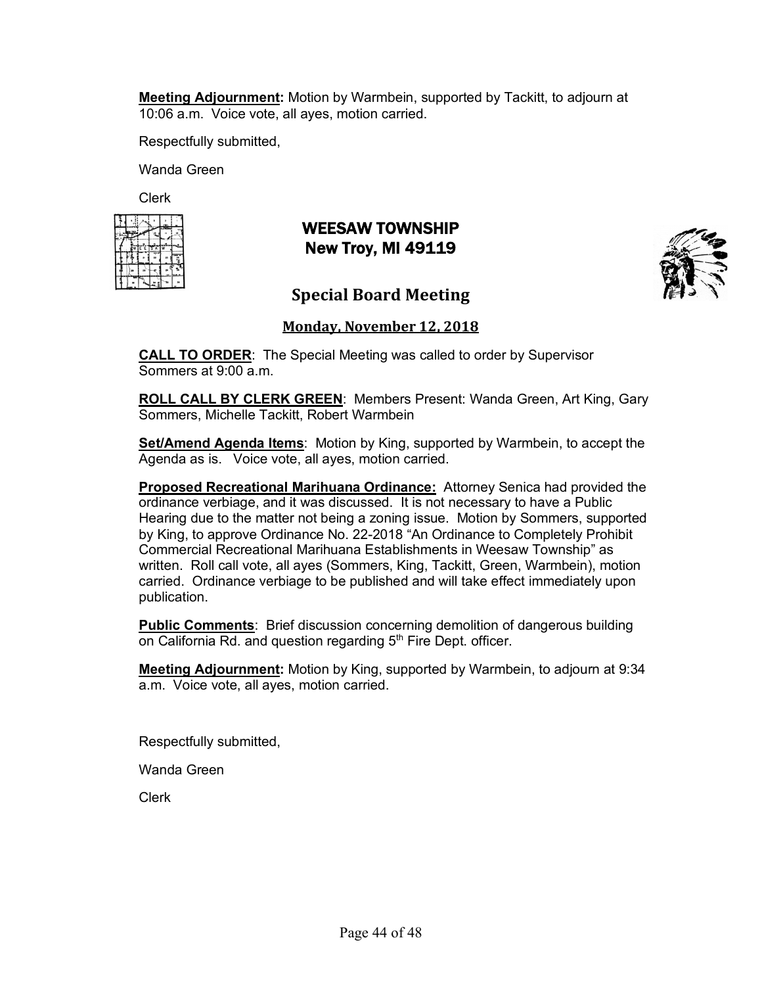**Meeting Adjournment:** Motion by Warmbein, supported by Tackitt, to adjourn at 10:06 a.m. Voice vote, all ayes, motion carried.

Respectfully submitted,

Wanda Green

Clerk

|  |           | ستتعا |  |
|--|-----------|-------|--|
|  | WIE ETS A |       |  |
|  |           |       |  |
|  |           |       |  |
|  |           |       |  |

# WEESAW TOWNSHIP New Troy, MI 49119



# **Special Board Meeting**

### **Monday, November 12, 2018**

**CALL TO ORDER**: The Special Meeting was called to order by Supervisor Sommers at 9:00 a.m.

**ROLL CALL BY CLERK GREEN**: Members Present: Wanda Green, Art King, Gary Sommers, Michelle Tackitt, Robert Warmbein

**Set/Amend Agenda Items**: Motion by King, supported by Warmbein, to accept the Agenda as is. Voice vote, all ayes, motion carried.

**Proposed Recreational Marihuana Ordinance:** Attorney Senica had provided the ordinance verbiage, and it was discussed. It is not necessary to have a Public Hearing due to the matter not being a zoning issue. Motion by Sommers, supported by King, to approve Ordinance No. 22-2018 "An Ordinance to Completely Prohibit Commercial Recreational Marihuana Establishments in Weesaw Township" as written. Roll call vote, all ayes (Sommers, King, Tackitt, Green, Warmbein), motion carried. Ordinance verbiage to be published and will take effect immediately upon publication.

**Public Comments**: Brief discussion concerning demolition of dangerous building on California Rd. and question regarding 5<sup>th</sup> Fire Dept. officer.

**Meeting Adjournment:** Motion by King, supported by Warmbein, to adjourn at 9:34 a.m. Voice vote, all ayes, motion carried.

Respectfully submitted,

Wanda Green

Clerk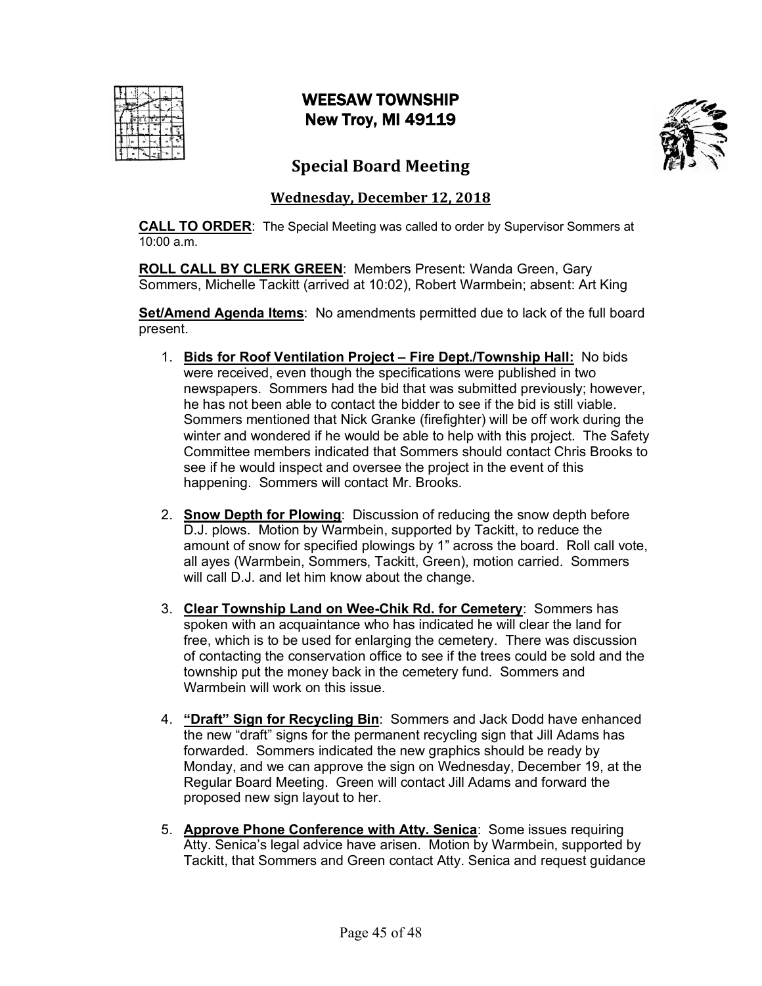# WEESAW TOWNSHIP New Troy, MI 49119



# **Special Board Meeting**

### **Wednesday, December 12, 2018**

**CALL TO ORDER**: The Special Meeting was called to order by Supervisor Sommers at  $10:00 a m$ 

**ROLL CALL BY CLERK GREEN**: Members Present: Wanda Green, Gary Sommers, Michelle Tackitt (arrived at 10:02), Robert Warmbein; absent: Art King

**Set/Amend Agenda Items**: No amendments permitted due to lack of the full board present.

- 1. **Bids for Roof Ventilation Project – Fire Dept./Township Hall:** No bids were received, even though the specifications were published in two newspapers. Sommers had the bid that was submitted previously; however, he has not been able to contact the bidder to see if the bid is still viable. Sommers mentioned that Nick Granke (firefighter) will be off work during the winter and wondered if he would be able to help with this project. The Safety Committee members indicated that Sommers should contact Chris Brooks to see if he would inspect and oversee the project in the event of this happening. Sommers will contact Mr. Brooks.
- 2. **Snow Depth for Plowing**: Discussion of reducing the snow depth before D.J. plows. Motion by Warmbein, supported by Tackitt, to reduce the amount of snow for specified plowings by 1" across the board. Roll call vote, all ayes (Warmbein, Sommers, Tackitt, Green), motion carried. Sommers will call D.J. and let him know about the change.
- 3. **Clear Township Land on Wee-Chik Rd. for Cemetery**: Sommers has spoken with an acquaintance who has indicated he will clear the land for free, which is to be used for enlarging the cemetery. There was discussion of contacting the conservation office to see if the trees could be sold and the township put the money back in the cemetery fund. Sommers and Warmbein will work on this issue.
- 4. **"Draft" Sign for Recycling Bin**: Sommers and Jack Dodd have enhanced the new "draft" signs for the permanent recycling sign that Jill Adams has forwarded. Sommers indicated the new graphics should be ready by Monday, and we can approve the sign on Wednesday, December 19, at the Regular Board Meeting. Green will contact Jill Adams and forward the proposed new sign layout to her.
- 5. **Approve Phone Conference with Atty. Senica**: Some issues requiring Atty. Senica's legal advice have arisen. Motion by Warmbein, supported by Tackitt, that Sommers and Green contact Atty. Senica and request guidance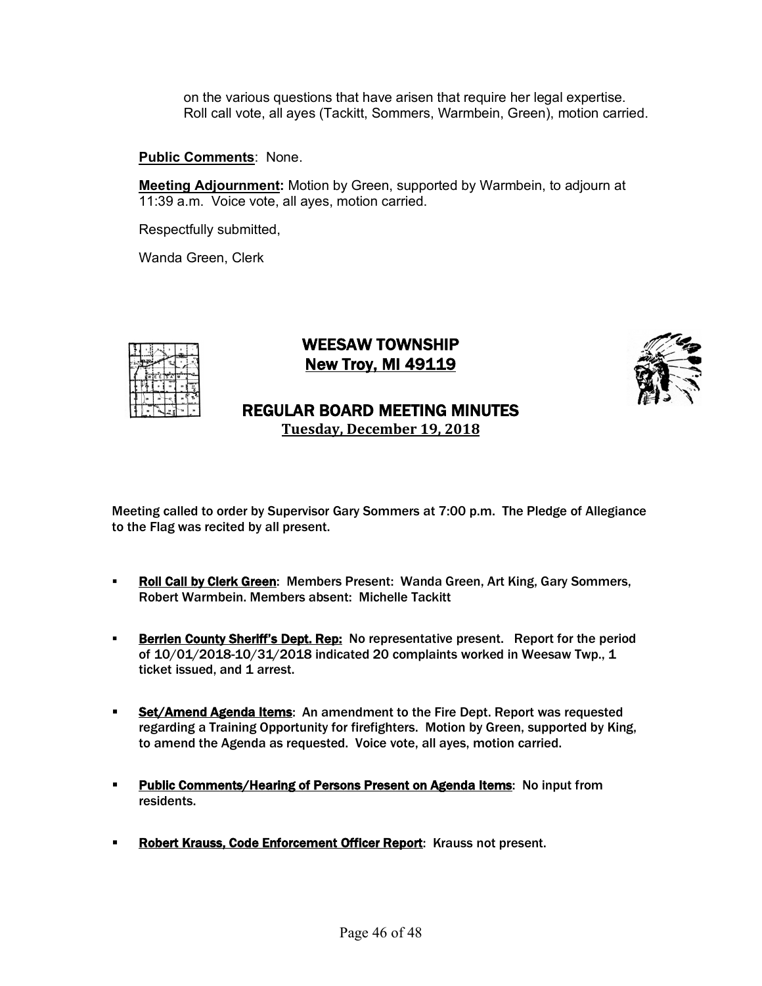on the various questions that have arisen that require her legal expertise. Roll call vote, all ayes (Tackitt, Sommers, Warmbein, Green), motion carried.

#### **Public Comments**: None.

**Meeting Adjournment:** Motion by Green, supported by Warmbein, to adjourn at 11:39 a.m. Voice vote, all ayes, motion carried.

Respectfully submitted,

Wanda Green, Clerk



### WEESAW TOWNSHIP New Troy, MI 49119



# REGULAR BOARD MEETING MINUTES

**Tuesday, December 19, 2018**

- **Roll Call by Clerk Green:** Members Present: Wanda Green, Art King, Gary Sommers, Robert Warmbein. Members absent: Michelle Tackitt
- **Berrien County Sheriff's Dept. Rep:** No representative present. Report for the period of 10/01/2018-10/31/2018 indicated 20 complaints worked in Weesaw Twp., 1 ticket issued, and 1 arrest.
- **EXECTER 15 Set/Amend Agenda Items:** An amendment to the Fire Dept. Report was requested regarding a Training Opportunity for firefighters. Motion by Green, supported by King, to amend the Agenda as requested. Voice vote, all ayes, motion carried.
- **Public Comments/Hearing of Persons Present on Agenda Items:** No input from residents.
- **Robert Krauss, Code Enforcement Officer Report: Krauss not present.**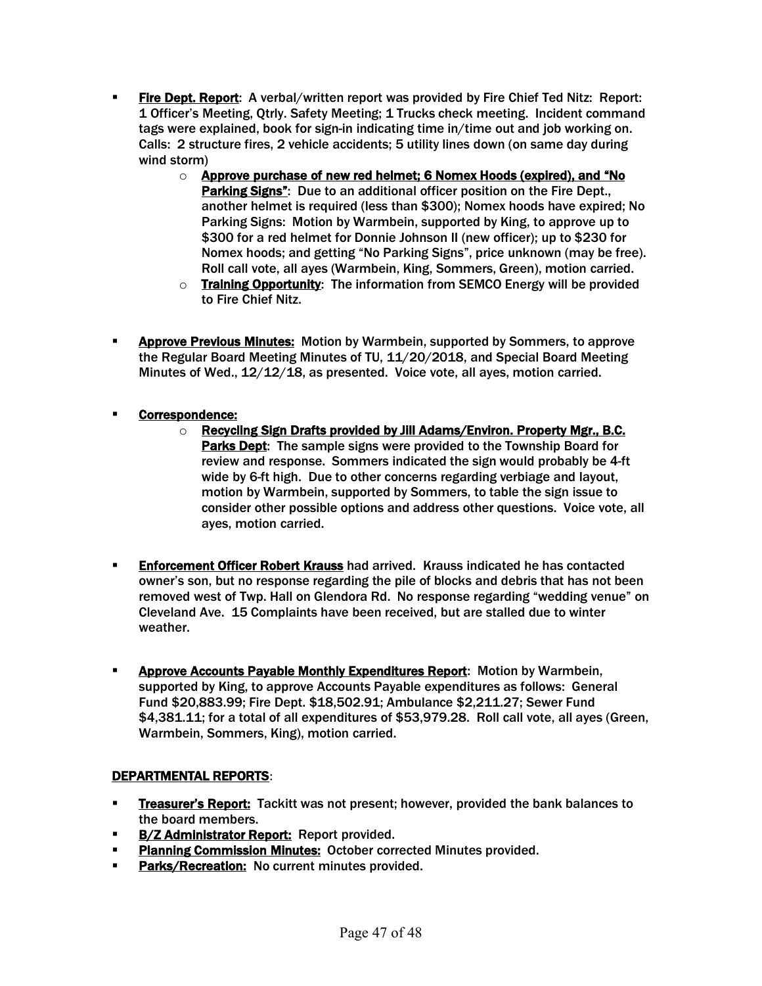- **Fire Dept. Report:** A verbal/written report was provided by Fire Chief Ted Nitz: Report: 1 Officer's Meeting, Qtrly. Safety Meeting; 1 Trucks check meeting. Incident command tags were explained, book for sign-in indicating time in/time out and job working on. Calls: 2 structure fires, 2 vehicle accidents; 5 utility lines down (on same day during wind storm)
	- o Approve purchase of new red helmet; 6 Nomex Hoods (expired), and "No Parking Signs": Due to an additional officer position on the Fire Dept., another helmet is required (less than \$300); Nomex hoods have expired; No Parking Signs: Motion by Warmbein, supported by King, to approve up to \$300 for a red helmet for Donnie Johnson II (new officer); up to \$230 for Nomex hoods; and getting "No Parking Signs", price unknown (may be free). Roll call vote, all ayes (Warmbein, King, Sommers, Green), motion carried.
	- o Training Opportunity: The information from SEMCO Energy will be provided to Fire Chief Nitz.
- **EXPROVE PREVIOUS MINUTES:** Motion by Warmbein, supported by Sommers, to approve the Regular Board Meeting Minutes of TU, 11/20/2018, and Special Board Meeting Minutes of Wed., 12/12/18, as presented. Voice vote, all ayes, motion carried.
- § Correspondence:
	- o Recycling Sign Drafts provided by Jill Adams/Environ. Property Mgr., B.C. Parks Dept: The sample signs were provided to the Township Board for review and response. Sommers indicated the sign would probably be 4-ft wide by 6-ft high. Due to other concerns regarding verbiage and layout, motion by Warmbein, supported by Sommers, to table the sign issue to consider other possible options and address other questions. Voice vote, all ayes, motion carried.
- **Enforcement Officer Robert Krauss** had arrived. Krauss indicated he has contacted owner's son, but no response regarding the pile of blocks and debris that has not been removed west of Twp. Hall on Glendora Rd. No response regarding "wedding venue" on Cleveland Ave. 15 Complaints have been received, but are stalled due to winter weather.
- **EXPEDENT ADDROVE Accounts Payable Monthly Expenditures Report:** Motion by Warmbein, supported by King, to approve Accounts Payable expenditures as follows: General Fund \$20,883.99; Fire Dept. \$18,502.91; Ambulance \$2,211.27; Sewer Fund \$4,381.11; for a total of all expenditures of \$53,979.28. Roll call vote, all ayes (Green, Warmbein, Sommers, King), motion carried.

### DEPARTMENTAL REPORTS:

- **Exambrer's Report:** Tackitt was not present; however, provided the bank balances to the board members.
- **B/Z Administrator Report:** Report provided.
- **Planning Commission Minutes: October corrected Minutes provided.**
- Parks/Recreation: No current minutes provided.